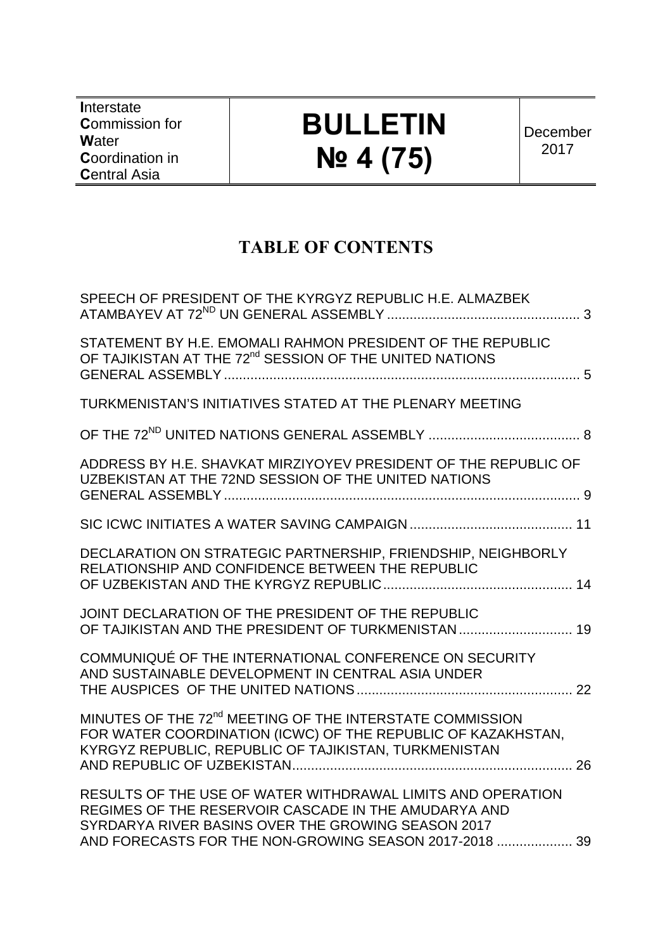**I**nterstate **C**ommission for **W**ater **C**oordination in **C**entral Asia

# **BULLETIN № 4 (75)**

December 2017

# **TABLE OF CONTENTS**

| SPEECH OF PRESIDENT OF THE KYRGYZ REPUBLIC H.E. ALMAZBEK                                                                                                                                                                            |  |
|-------------------------------------------------------------------------------------------------------------------------------------------------------------------------------------------------------------------------------------|--|
| STATEMENT BY H.E. EMOMALI RAHMON PRESIDENT OF THE REPUBLIC<br>OF TAJIKISTAN AT THE 72 <sup>nd</sup> SESSION OF THE UNITED NATIONS                                                                                                   |  |
| TURKMENISTAN'S INITIATIVES STATED AT THE PLENARY MEETING                                                                                                                                                                            |  |
|                                                                                                                                                                                                                                     |  |
| ADDRESS BY H.E. SHAVKAT MIRZIYOYEV PRESIDENT OF THE REPUBLIC OF<br>UZBEKISTAN AT THE 72ND SESSION OF THE UNITED NATIONS                                                                                                             |  |
|                                                                                                                                                                                                                                     |  |
| DECLARATION ON STRATEGIC PARTNERSHIP, FRIENDSHIP, NEIGHBORLY<br>RELATIONSHIP AND CONFIDENCE BETWEEN THE REPUBLIC                                                                                                                    |  |
| JOINT DECLARATION OF THE PRESIDENT OF THE REPUBLIC<br>OF TAJIKISTAN AND THE PRESIDENT OF TURKMENISTAN  19                                                                                                                           |  |
| COMMUNIQUÉ OF THE INTERNATIONAL CONFERENCE ON SECURITY<br>AND SUSTAINABLE DEVELOPMENT IN CENTRAL ASIA UNDER                                                                                                                         |  |
| MINUTES OF THE 72 <sup>nd</sup> MEETING OF THE INTERSTATE COMMISSION<br>FOR WATER COORDINATION (ICWC) OF THE REPUBLIC OF KAZAKHSTAN,<br>KYRGYZ REPUBLIC, REPUBLIC OF TAJIKISTAN, TURKMENISTAN                                       |  |
| RESULTS OF THE USE OF WATER WITHDRAWAL LIMITS AND OPERATION<br>REGIMES OF THE RESERVOIR CASCADE IN THE AMUDARYA AND<br>SYRDARYA RIVER BASINS OVER THE GROWING SEASON 2017<br>AND FORECASTS FOR THE NON-GROWING SEASON 2017-2018  39 |  |
|                                                                                                                                                                                                                                     |  |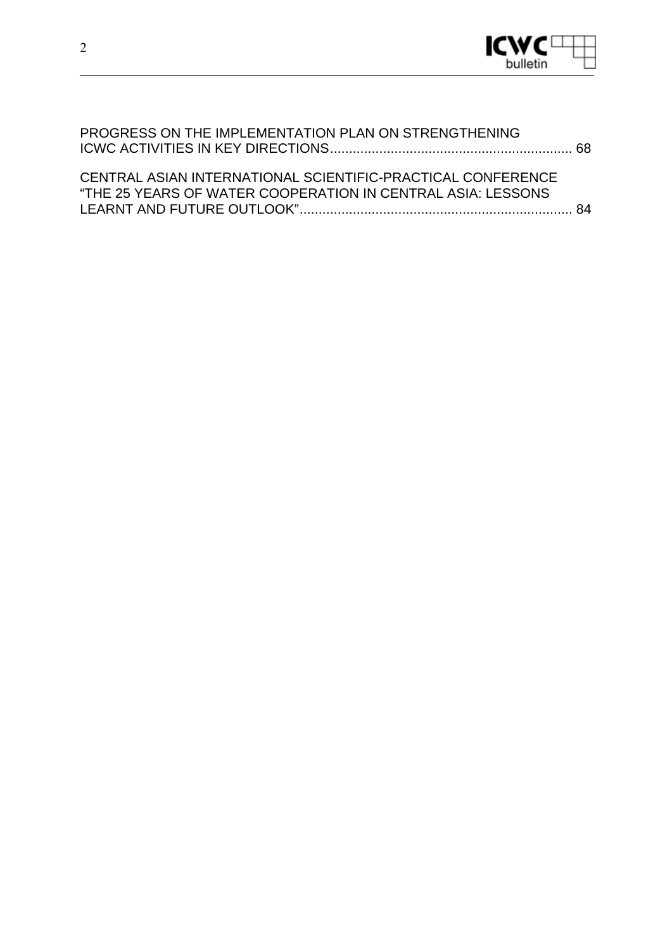

| PROGRESS ON THE IMPLEMENTATION PLAN ON STRENGTHENING                                                                       |  |
|----------------------------------------------------------------------------------------------------------------------------|--|
| CENTRAL ASIAN INTERNATIONAL SCIENTIFIC-PRACTICAL CONFERENCE<br>"THE 25 YEARS OF WATER COOPERATION IN CENTRAL ASIA: LESSONS |  |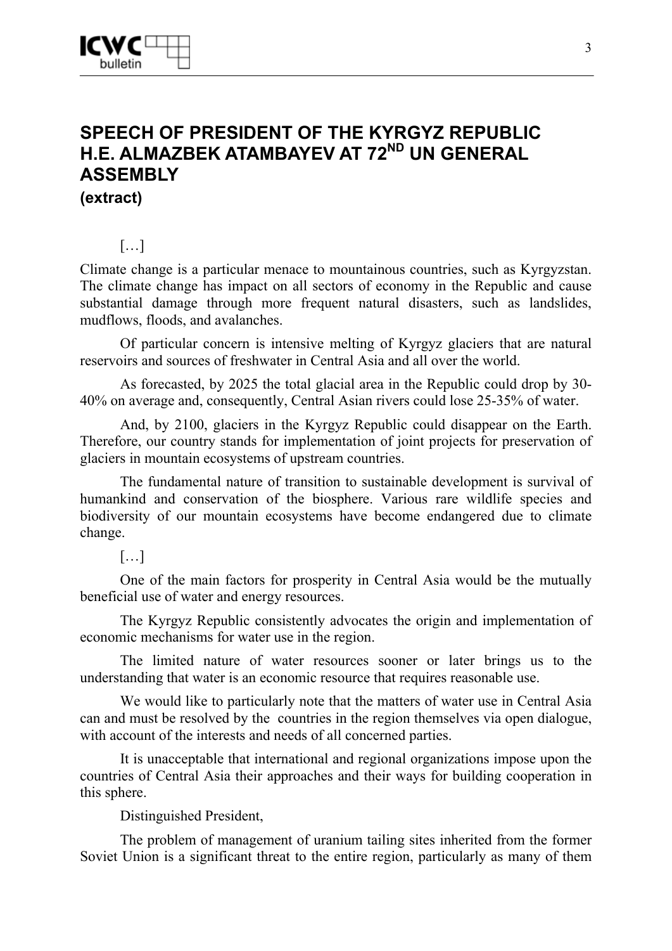# **SPEECH OF PRESIDENT OF THE KYRGYZ REPUBLIC H.E. ALMAZBEK ATAMBAYEV AT 72<sup>ND</sup> UN GENERAL ASSEMBLY (extract)**

### […]

Climate change is a particular menace to mountainous countries, such as Kyrgyzstan. The climate change has impact on all sectors of economy in the Republic and cause substantial damage through more frequent natural disasters, such as landslides, mudflows, floods, and avalanches.

Of particular concern is intensive melting of Kyrgyz glaciers that are natural reservoirs and sources of freshwater in Central Asia and all over the world.

As forecasted, by 2025 the total glacial area in the Republic could drop by 30- 40% on average and, consequently, Central Asian rivers could lose 25-35% of water.

And, by 2100, glaciers in the Kyrgyz Republic could disappear on the Earth. Therefore, our country stands for implementation of joint projects for preservation of glaciers in mountain ecosystems of upstream countries.

The fundamental nature of transition to sustainable development is survival of humankind and conservation of the biosphere. Various rare wildlife species and biodiversity of our mountain ecosystems have become endangered due to climate change.

[…]

One of the main factors for prosperity in Central Asia would be the mutually beneficial use of water and energy resources.

The Kyrgyz Republic consistently advocates the origin and implementation of economic mechanisms for water use in the region.

The limited nature of water resources sooner or later brings us to the understanding that water is an economic resource that requires reasonable use.

We would like to particularly note that the matters of water use in Central Asia can and must be resolved by the countries in the region themselves via open dialogue, with account of the interests and needs of all concerned parties.

It is unacceptable that international and regional organizations impose upon the countries of Central Asia their approaches and their ways for building cooperation in this sphere.

Distinguished President,

The problem of management of uranium tailing sites inherited from the former Soviet Union is a significant threat to the entire region, particularly as many of them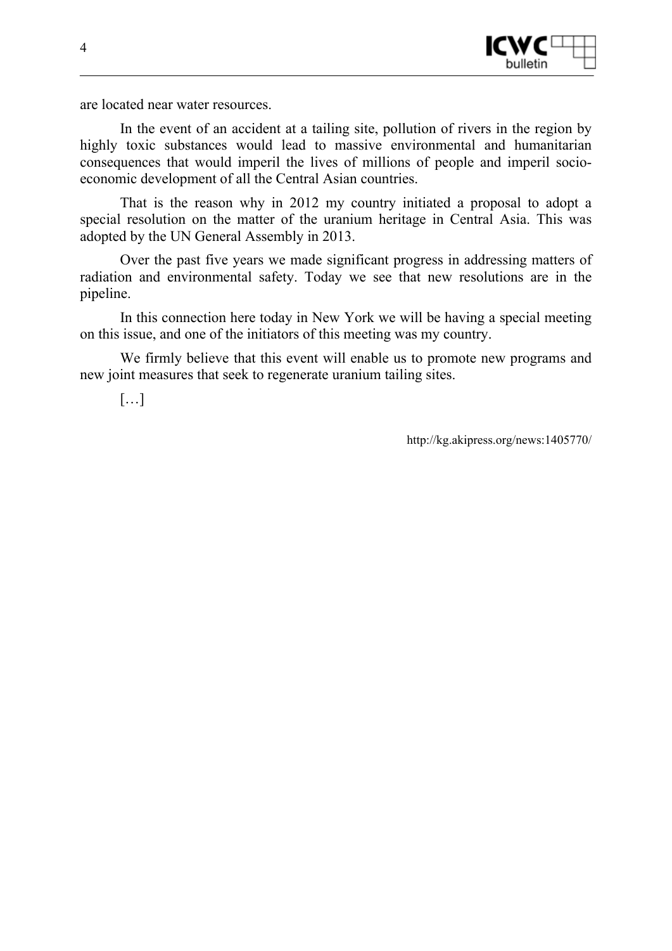

are located near water resources.

In the event of an accident at a tailing site, pollution of rivers in the region by highly toxic substances would lead to massive environmental and humanitarian consequences that would imperil the lives of millions of people and imperil socioeconomic development of all the Central Asian countries.

That is the reason why in 2012 my country initiated a proposal to adopt a special resolution on the matter of the uranium heritage in Central Asia. This was adopted by the UN General Assembly in 2013.

Over the past five years we made significant progress in addressing matters of radiation and environmental safety. Today we see that new resolutions are in the pipeline.

In this connection here today in New York we will be having a special meeting on this issue, and one of the initiators of this meeting was my country.

We firmly believe that this event will enable us to promote new programs and new joint measures that seek to regenerate uranium tailing sites.

[…]

http://kg.akipress.org/news:1405770/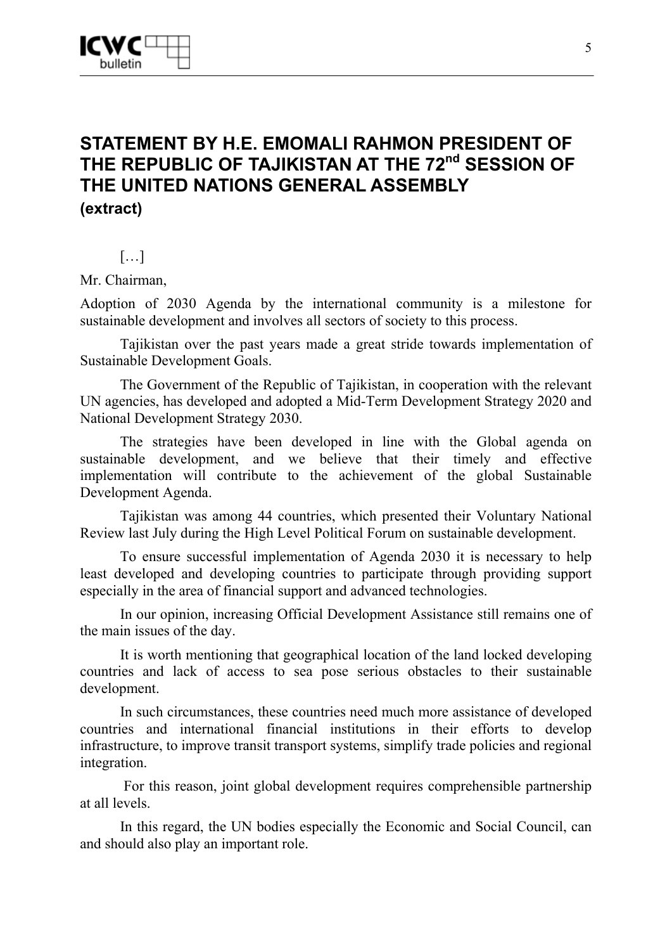### **STATEMENT BY H.E. EMOMALI RAHMON PRESIDENT OF**  THE REPUBLIC OF TAJIKISTAN AT THE 72<sup>nd</sup> SESSION OF **THE UNITED NATIONS GENERAL ASSEMBLY (extract)**

### $[...]$

Mr. Chairman,

Adoption of 2030 Agenda by the international community is a milestone for sustainable development and involves all sectors of society to this process.

Tajikistan over the past years made a great stride towards implementation of Sustainable Development Goals.

The Government of the Republic of Tajikistan, in cooperation with the relevant UN agencies, has developed and adopted a Mid-Term Development Strategy 2020 and National Development Strategy 2030.

The strategies have been developed in line with the Global agenda on sustainable development, and we believe that their timely and effective implementation will contribute to the achievement of the global Sustainable Development Agenda.

Tajikistan was among 44 countries, which presented their Voluntary National Review last July during the High Level Political Forum on sustainable development.

To ensure successful implementation of Agenda 2030 it is necessary to help least developed and developing countries to participate through providing support especially in the area of financial support and advanced technologies.

In our opinion, increasing Official Development Assistance still remains one of the main issues of the day.

It is worth mentioning that geographical location of the land locked developing countries and lack of access to sea pose serious obstacles to their sustainable development.

In such circumstances, these countries need much more assistance of developed countries and international financial institutions in their efforts to develop infrastructure, to improve transit transport systems, simplify trade policies and regional integration.

 For this reason, joint global development requires comprehensible partnership at all levels.

In this regard, the UN bodies especially the Economic and Social Council, can and should also play an important role.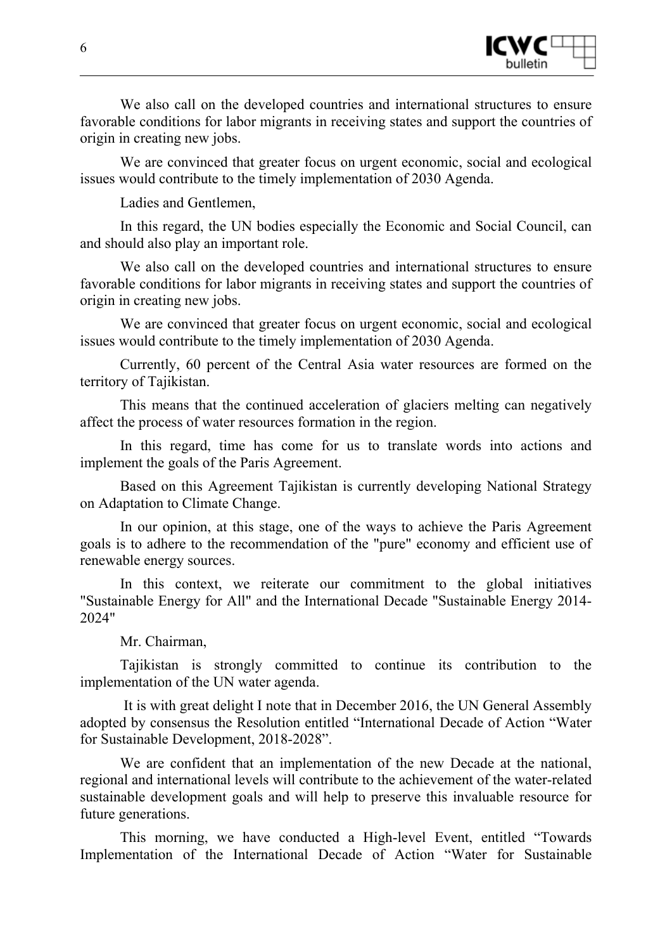

We also call on the developed countries and international structures to ensure favorable conditions for labor migrants in receiving states and support the countries of origin in creating new jobs.

We are convinced that greater focus on urgent economic, social and ecological issues would contribute to the timely implementation of 2030 Agenda.

Ladies and Gentlemen,

In this regard, the UN bodies especially the Economic and Social Council, can and should also play an important role.

We also call on the developed countries and international structures to ensure favorable conditions for labor migrants in receiving states and support the countries of origin in creating new jobs.

We are convinced that greater focus on urgent economic, social and ecological issues would contribute to the timely implementation of 2030 Agenda.

Currently, 60 percent of the Central Asia water resources are formed on the territory of Tajikistan.

This means that the continued acceleration of glaciers melting can negatively affect the process of water resources formation in the region.

In this regard, time has come for us to translate words into actions and implement the goals of the Paris Agreement.

Based on this Agreement Tajikistan is currently developing National Strategy on Adaptation to Climate Change.

In our opinion, at this stage, one of the ways to achieve the Paris Agreement goals is to adhere to the recommendation of the "pure" economy and efficient use of renewable energy sources.

In this context, we reiterate our commitment to the global initiatives "Sustainable Energy for All" and the International Decade "Sustainable Energy 2014- 2024"

Mr. Chairman,

Tajikistan is strongly committed to continue its contribution to the implementation of the UN water agenda.

 It is with great delight I note that in December 2016, the UN General Assembly adopted by consensus the Resolution entitled "International Decade of Action "Water for Sustainable Development, 2018-2028".

We are confident that an implementation of the new Decade at the national, regional and international levels will contribute to the achievement of the water-related sustainable development goals and will help to preserve this invaluable resource for future generations.

This morning, we have conducted a High-level Event, entitled "Towards Implementation of the International Decade of Action "Water for Sustainable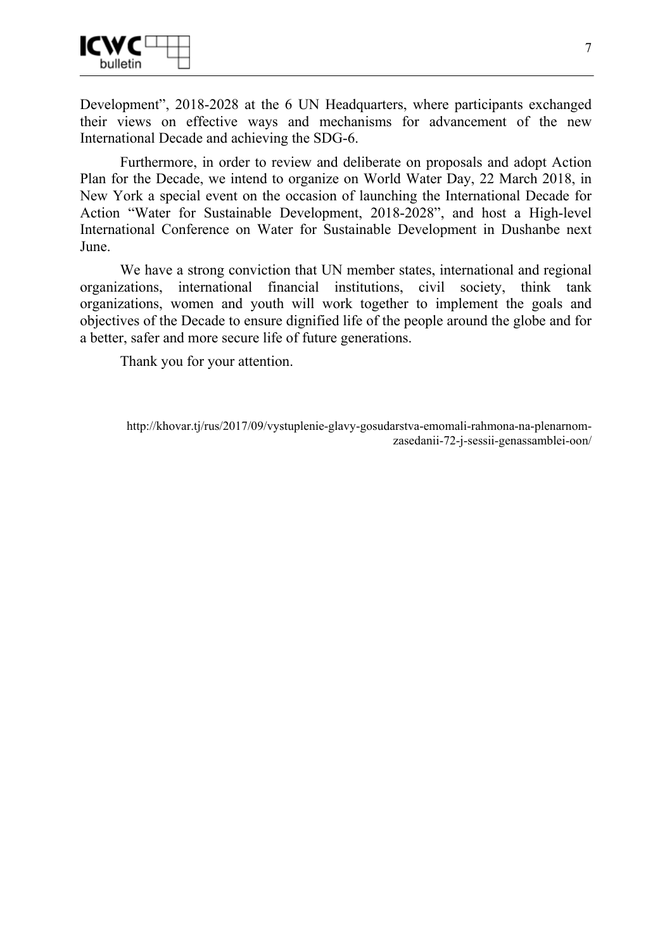

Development", 2018-2028 at the 6 UN Headquarters, where participants exchanged their views on effective ways and mechanisms for advancement of the new International Decade and achieving the SDG-6.

Furthermore, in order to review and deliberate on proposals and adopt Action Plan for the Decade, we intend to organize on World Water Day, 22 March 2018, in New York a special event on the occasion of launching the International Decade for Action "Water for Sustainable Development, 2018-2028", and host a High-level International Conference on Water for Sustainable Development in Dushanbe next June.

We have a strong conviction that UN member states, international and regional organizations, international financial institutions, civil society, think tank organizations, women and youth will work together to implement the goals and objectives of the Decade to ensure dignified life of the people around the globe and for a better, safer and more secure life of future generations.

Thank you for your attention.

http://khovar.tj/rus/2017/09/vystuplenie-glavy-gosudarstva-emomali-rahmona-na-plenarnomzasedanii-72-j-sessii-genassamblei-oon/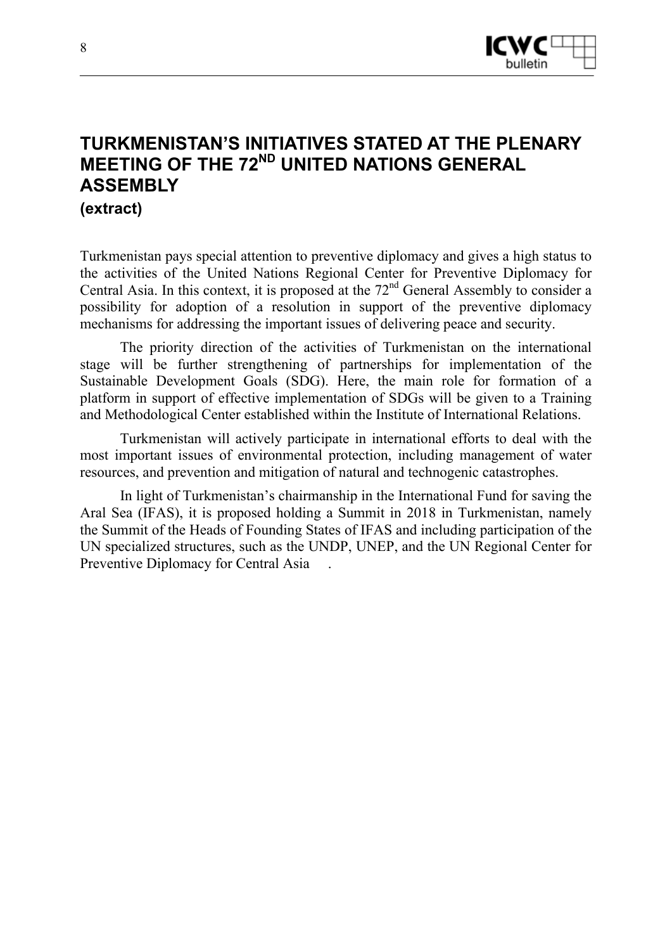

# **TURKMENISTAN'S INITIATIVES STATED AT THE PLENARY MEETING OF THE 72<sup>ND</sup> UNITED NATIONS GENERAL ASSEMBLY (extract)**

Turkmenistan pays special attention to preventive diplomacy and gives a high status to the activities of the United Nations Regional Center for Preventive Diplomacy for Central Asia. In this context, it is proposed at the  $72<sup>nd</sup>$  General Assembly to consider a possibility for adoption of a resolution in support of the preventive diplomacy mechanisms for addressing the important issues of delivering peace and security.

The priority direction of the activities of Turkmenistan on the international stage will be further strengthening of partnerships for implementation of the Sustainable Development Goals (SDG). Here, the main role for formation of a platform in support of effective implementation of SDGs will be given to a Training and Methodological Center established within the Institute of International Relations.

Turkmenistan will actively participate in international efforts to deal with the most important issues of environmental protection, including management of water resources, and prevention and mitigation of natural and technogenic catastrophes.

In light of Turkmenistan's chairmanship in the International Fund for saving the Aral Sea (IFAS), it is proposed holding a Summit in 2018 in Turkmenistan, namely the Summit of the Heads of Founding States of IFAS and including participation of the UN specialized structures, such as the UNDP, UNEP, and the UN Regional Center for Preventive Diplomacy for Central Asia .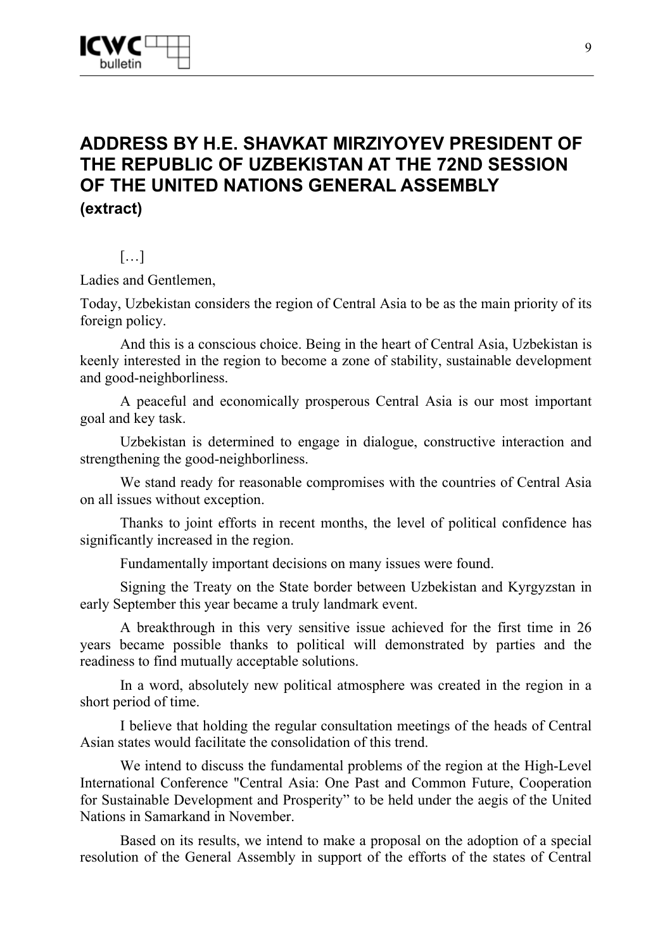

## **ADDRESS BY H.E. SHAVKAT MIRZIYOYEV PRESIDENT OF THE REPUBLIC OF UZBEKISTAN AT THE 72ND SESSION OF THE UNITED NATIONS GENERAL ASSEMBLY (extract)**

#### […]

Ladies and Gentlemen,

Today, Uzbekistan considers the region of Central Asia to be as the main priority of its foreign policy.

And this is a conscious choice. Being in the heart of Central Asia, Uzbekistan is keenly interested in the region to become a zone of stability, sustainable development and good-neighborliness.

A peaceful and economically prosperous Central Asia is our most important goal and key task.

Uzbekistan is determined to engage in dialogue, constructive interaction and strengthening the good-neighborliness.

We stand ready for reasonable compromises with the countries of Central Asia on all issues without exception.

Thanks to joint efforts in recent months, the level of political confidence has significantly increased in the region.

Fundamentally important decisions on many issues were found.

Signing the Treaty on the State border between Uzbekistan and Kyrgyzstan in early September this year became a truly landmark event.

A breakthrough in this very sensitive issue achieved for the first time in 26 years became possible thanks to political will demonstrated by parties and the readiness to find mutually acceptable solutions.

In a word, absolutely new political atmosphere was created in the region in a short period of time.

I believe that holding the regular consultation meetings of the heads of Central Asian states would facilitate the consolidation of this trend.

We intend to discuss the fundamental problems of the region at the High-Level International Conference "Central Asia: One Past and Common Future, Cooperation for Sustainable Development and Prosperity" to be held under the aegis of the United Nations in Samarkand in November.

Based on its results, we intend to make a proposal on the adoption of a special resolution of the General Assembly in support of the efforts of the states of Central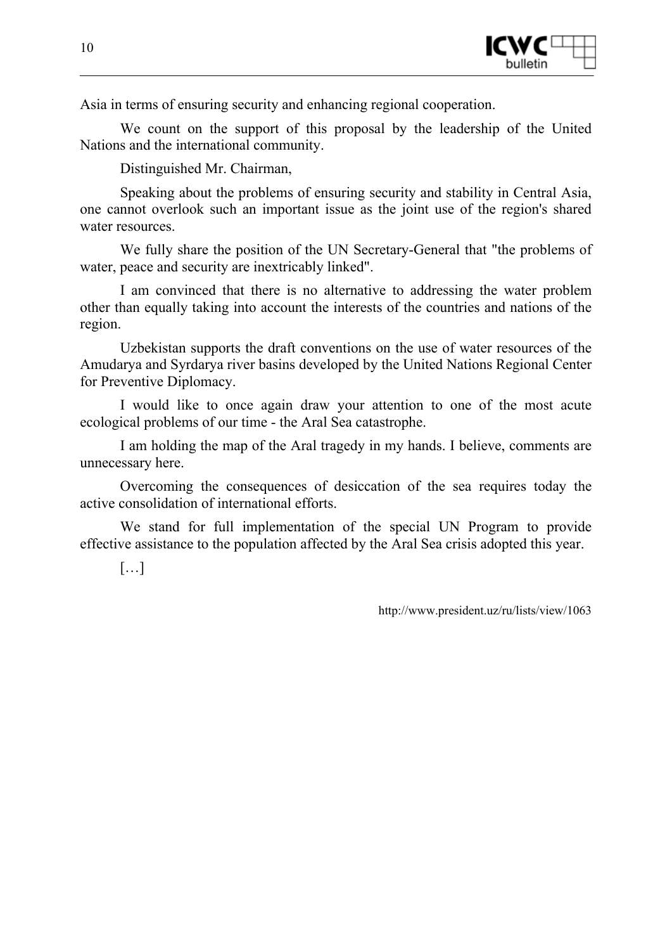

Asia in terms of ensuring security and enhancing regional cooperation.

We count on the support of this proposal by the leadership of the United Nations and the international community.

Distinguished Mr. Chairman,

Speaking about the problems of ensuring security and stability in Central Asia, one cannot overlook such an important issue as the joint use of the region's shared water resources.

We fully share the position of the UN Secretary-General that "the problems of water, peace and security are inextricably linked".

I am convinced that there is no alternative to addressing the water problem other than equally taking into account the interests of the countries and nations of the region.

Uzbekistan supports the draft conventions on the use of water resources of the Amudarya and Syrdarya river basins developed by the United Nations Regional Center for Preventive Diplomacy.

I would like to once again draw your attention to one of the most acute ecological problems of our time - the Aral Sea catastrophe.

I am holding the map of the Aral tragedy in my hands. I believe, comments are unnecessary here.

Overcoming the consequences of desiccation of the sea requires today the active consolidation of international efforts.

We stand for full implementation of the special UN Program to provide effective assistance to the population affected by the Aral Sea crisis adopted this year.

[…]

http://www.president.uz/ru/lists/view/1063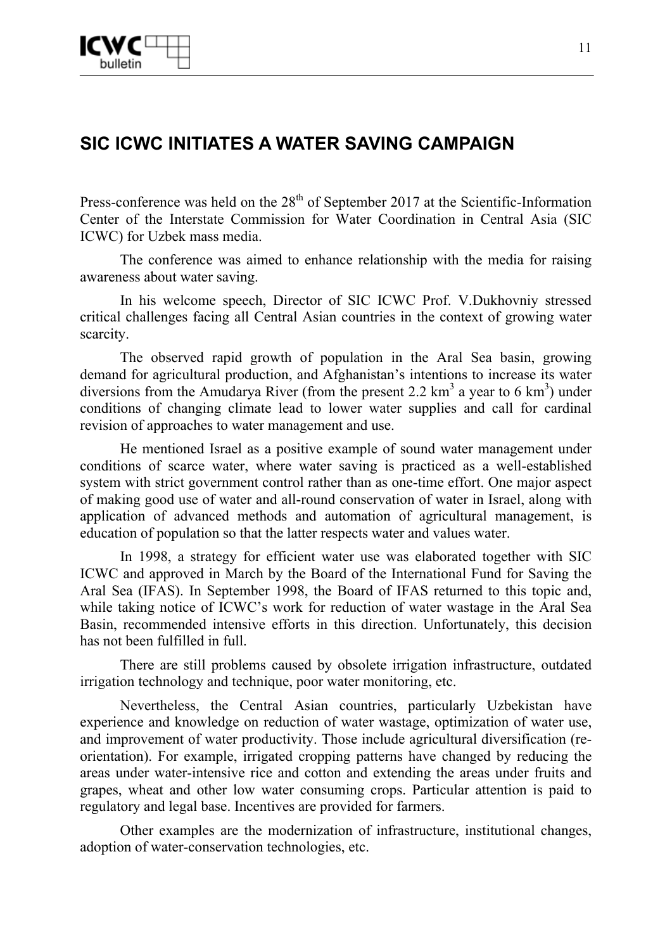# **SIC ICWC INITIATES A WATER SAVING CAMPAIGN**

Press-conference was held on the  $28<sup>th</sup>$  of September 2017 at the Scientific-Information Center of the Interstate Commission for Water Coordination in Central Asia (SIC ICWC) for Uzbek mass media.

The conference was aimed to enhance relationship with the media for raising awareness about water saving.

In his welcome speech, Director of SIC ICWC Prof. V.Dukhovniy stressed critical challenges facing all Central Asian countries in the context of growing water scarcity.

The observed rapid growth of population in the Aral Sea basin, growing demand for agricultural production, and Afghanistan's intentions to increase its water diversions from the Amudarya River (from the present 2.2  $\text{km}^3$  a year to 6  $\text{km}^3$ ) under conditions of changing climate lead to lower water supplies and call for cardinal revision of approaches to water management and use.

He mentioned Israel as a positive example of sound water management under conditions of scarce water, where water saving is practiced as a well-established system with strict government control rather than as one-time effort. One major aspect of making good use of water and all-round conservation of water in Israel, along with application of advanced methods and automation of agricultural management, is education of population so that the latter respects water and values water.

In 1998, a strategy for efficient water use was elaborated together with SIC ICWC and approved in March by the Board of the International Fund for Saving the Aral Sea (IFAS). In September 1998, the Board of IFAS returned to this topic and, while taking notice of ICWC's work for reduction of water wastage in the Aral Sea Basin, recommended intensive efforts in this direction. Unfortunately, this decision has not been fulfilled in full.

There are still problems caused by obsolete irrigation infrastructure, outdated irrigation technology and technique, poor water monitoring, etc.

Nevertheless, the Central Asian countries, particularly Uzbekistan have experience and knowledge on reduction of water wastage, optimization of water use, and improvement of water productivity. Those include agricultural diversification (reorientation). For example, irrigated cropping patterns have changed by reducing the areas under water-intensive rice and cotton and extending the areas under fruits and grapes, wheat and other low water consuming crops. Particular attention is paid to regulatory and legal base. Incentives are provided for farmers.

Other examples are the modernization of infrastructure, institutional changes, adoption of water-conservation technologies, etc.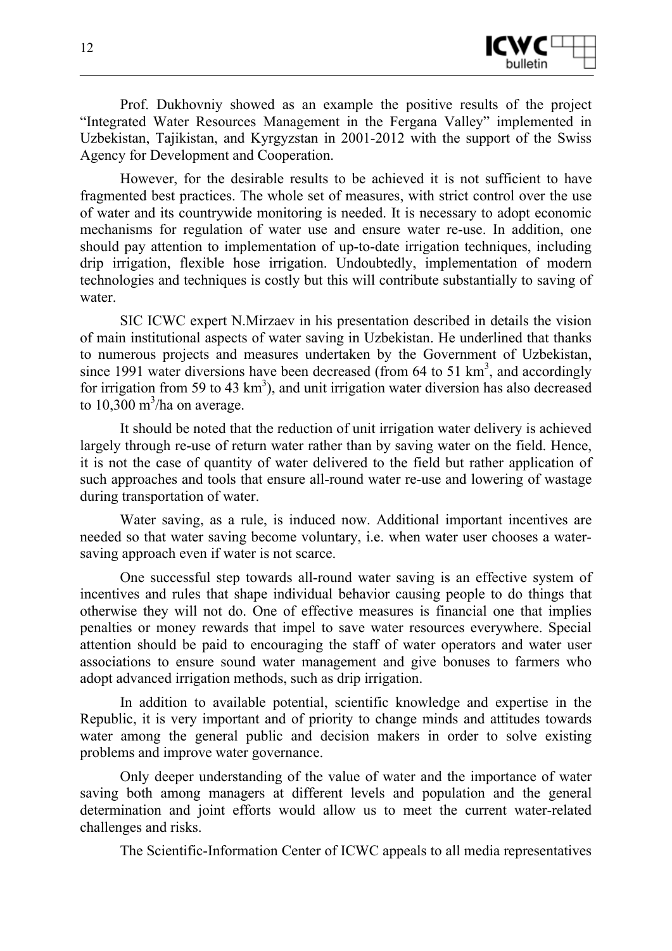

Prof. Dukhovniy showed as an example the positive results of the project "Integrated Water Resources Management in the Fergana Valley" implemented in Uzbekistan, Tajikistan, and Kyrgyzstan in 2001-2012 with the support of the Swiss Agency for Development and Cooperation.

However, for the desirable results to be achieved it is not sufficient to have fragmented best practices. The whole set of measures, with strict control over the use of water and its countrywide monitoring is needed. It is necessary to adopt economic mechanisms for regulation of water use and ensure water re-use. In addition, one should pay attention to implementation of up-to-date irrigation techniques, including drip irrigation, flexible hose irrigation. Undoubtedly, implementation of modern technologies and techniques is costly but this will contribute substantially to saving of water.

SIC ICWC expert N.Mirzaev in his presentation described in details the vision of main institutional aspects of water saving in Uzbekistan. He underlined that thanks to numerous projects and measures undertaken by the Government of Uzbekistan, since 1991 water diversions have been decreased (from  $64$  to  $51 \text{ km}^3$ , and accordingly for irrigation from 59 to 43  $km<sup>3</sup>$ ), and unit irrigation water diversion has also decreased to  $10,300 \text{ m}^3$ /ha on average.

It should be noted that the reduction of unit irrigation water delivery is achieved largely through re-use of return water rather than by saving water on the field. Hence, it is not the case of quantity of water delivered to the field but rather application of such approaches and tools that ensure all-round water re-use and lowering of wastage during transportation of water.

Water saving, as a rule, is induced now. Additional important incentives are needed so that water saving become voluntary, i.e. when water user chooses a watersaving approach even if water is not scarce.

One successful step towards all-round water saving is an effective system of incentives and rules that shape individual behavior causing people to do things that otherwise they will not do. One of effective measures is financial one that implies penalties or money rewards that impel to save water resources everywhere. Special attention should be paid to encouraging the staff of water operators and water user associations to ensure sound water management and give bonuses to farmers who adopt advanced irrigation methods, such as drip irrigation.

In addition to available potential, scientific knowledge and expertise in the Republic, it is very important and of priority to change minds and attitudes towards water among the general public and decision makers in order to solve existing problems and improve water governance.

Only deeper understanding of the value of water and the importance of water saving both among managers at different levels and population and the general determination and joint efforts would allow us to meet the current water-related challenges and risks.

The Scientific-Information Center of ICWC appeals to all media representatives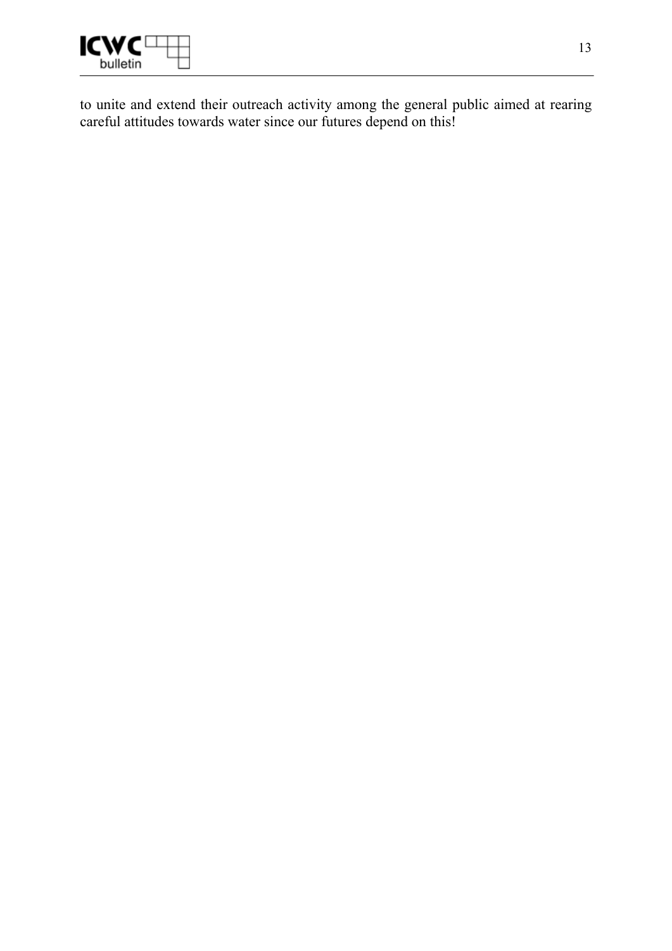

to unite and extend their outreach activity among the general public aimed at rearing careful attitudes towards water since our futures depend on this!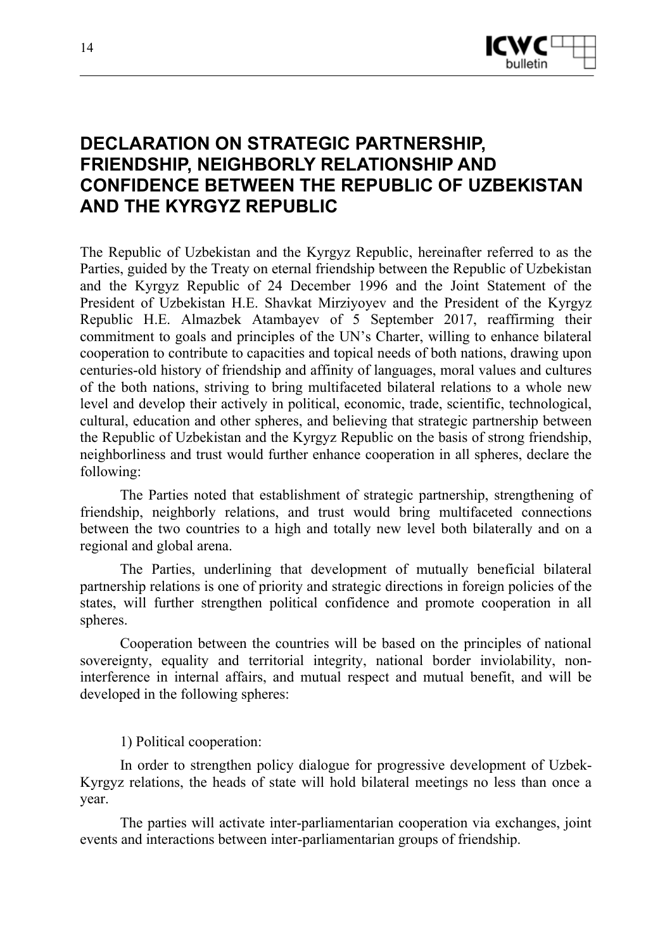

# **DECLARATION ON STRATEGIC PARTNERSHIP, FRIENDSHIP, NEIGHBORLY RELATIONSHIP AND CONFIDENCE BETWEEN THE REPUBLIC OF UZBEKISTAN AND THE KYRGYZ REPUBLIC**

The Republic of Uzbekistan and the Kyrgyz Republic, hereinafter referred to as the Parties, guided by the Treaty on eternal friendship between the Republic of Uzbekistan and the Kyrgyz Republic of 24 December 1996 and the Joint Statement of the President of Uzbekistan H.E. Shavkat Mirziyoyev and the President of the Kyrgyz Republic H.E. Almazbek Atambayev of 5 September 2017, reaffirming their commitment to goals and principles of the UN's Charter, willing to enhance bilateral cooperation to contribute to capacities and topical needs of both nations, drawing upon centuries-old history of friendship and affinity of languages, moral values and cultures of the both nations, striving to bring multifaceted bilateral relations to a whole new level and develop their actively in political, economic, trade, scientific, technological, cultural, education and other spheres, and believing that strategic partnership between the Republic of Uzbekistan and the Kyrgyz Republic on the basis of strong friendship, neighborliness and trust would further enhance cooperation in all spheres, declare the following:

The Parties noted that establishment of strategic partnership, strengthening of friendship, neighborly relations, and trust would bring multifaceted connections between the two countries to a high and totally new level both bilaterally and on a regional and global arena.

The Parties, underlining that development of mutually beneficial bilateral partnership relations is one of priority and strategic directions in foreign policies of the states, will further strengthen political confidence and promote cooperation in all spheres.

Cooperation between the countries will be based on the principles of national sovereignty, equality and territorial integrity, national border inviolability, noninterference in internal affairs, and mutual respect and mutual benefit, and will be developed in the following spheres:

1) Political cooperation:

In order to strengthen policy dialogue for progressive development of Uzbek-Kyrgyz relations, the heads of state will hold bilateral meetings no less than once a year.

The parties will activate inter-parliamentarian cooperation via exchanges, joint events and interactions between inter-parliamentarian groups of friendship.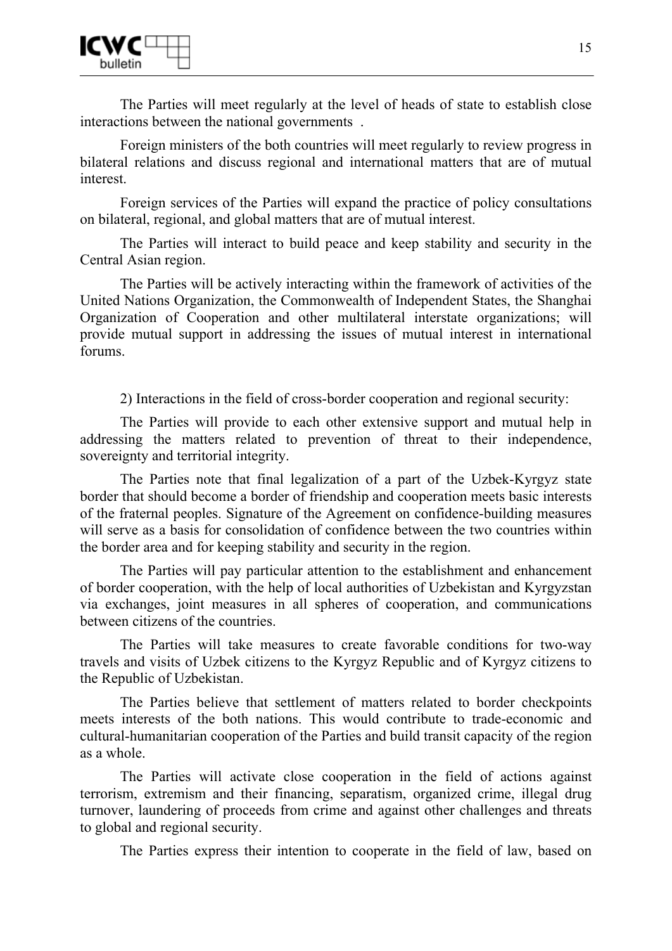

The Parties will meet regularly at the level of heads of state to establish close interactions between the national governments .

Foreign ministers of the both countries will meet regularly to review progress in bilateral relations and discuss regional and international matters that are of mutual interest.

Foreign services of the Parties will expand the practice of policy consultations on bilateral, regional, and global matters that are of mutual interest.

The Parties will interact to build peace and keep stability and security in the Central Asian region.

The Parties will be actively interacting within the framework of activities of the United Nations Organization, the Commonwealth of Independent States, the Shanghai Organization of Cooperation and other multilateral interstate organizations; will provide mutual support in addressing the issues of mutual interest in international forums.

2) Interactions in the field of cross-border cooperation and regional security:

The Parties will provide to each other extensive support and mutual help in addressing the matters related to prevention of threat to their independence, sovereignty and territorial integrity.

The Parties note that final legalization of a part of the Uzbek-Kyrgyz state border that should become a border of friendship and cooperation meets basic interests of the fraternal peoples. Signature of the Agreement on confidence-building measures will serve as a basis for consolidation of confidence between the two countries within the border area and for keeping stability and security in the region.

The Parties will pay particular attention to the establishment and enhancement of border cooperation, with the help of local authorities of Uzbekistan and Kyrgyzstan via exchanges, joint measures in all spheres of cooperation, and communications between citizens of the countries.

The Parties will take measures to create favorable conditions for two-way travels and visits of Uzbek citizens to the Kyrgyz Republic and of Kyrgyz citizens to the Republic of Uzbekistan.

The Parties believe that settlement of matters related to border checkpoints meets interests of the both nations. This would contribute to trade-economic and cultural-humanitarian cooperation of the Parties and build transit capacity of the region as a whole.

The Parties will activate close cooperation in the field of actions against terrorism, extremism and their financing, separatism, organized crime, illegal drug turnover, laundering of proceeds from crime and against other challenges and threats to global and regional security.

The Parties express their intention to cooperate in the field of law, based on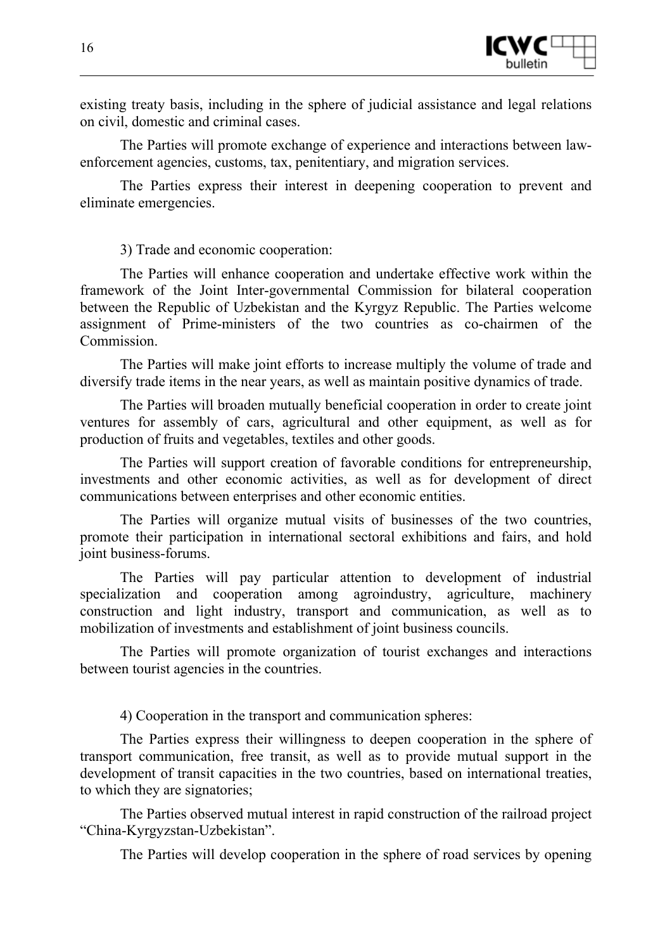

existing treaty basis, including in the sphere of judicial assistance and legal relations on civil, domestic and criminal cases.

The Parties will promote exchange of experience and interactions between lawenforcement agencies, customs, tax, penitentiary, and migration services.

The Parties express their interest in deepening cooperation to prevent and eliminate emergencies.

3) Trade and economic cooperation:

The Parties will enhance cooperation and undertake effective work within the framework of the Joint Inter-governmental Commission for bilateral cooperation between the Republic of Uzbekistan and the Kyrgyz Republic. The Parties welcome assignment of Prime-ministers of the two countries as co-chairmen of the Commission.

The Parties will make joint efforts to increase multiply the volume of trade and diversify trade items in the near years, as well as maintain positive dynamics of trade.

The Parties will broaden mutually beneficial cooperation in order to create joint ventures for assembly of cars, agricultural and other equipment, as well as for production of fruits and vegetables, textiles and other goods.

The Parties will support creation of favorable conditions for entrepreneurship, investments and other economic activities, as well as for development of direct communications between enterprises and other economic entities.

The Parties will organize mutual visits of businesses of the two countries, promote their participation in international sectoral exhibitions and fairs, and hold joint business-forums.

The Parties will pay particular attention to development of industrial specialization and cooperation among agroindustry, agriculture, machinery construction and light industry, transport and communication, as well as to mobilization of investments and establishment of joint business councils.

The Parties will promote organization of tourist exchanges and interactions between tourist agencies in the countries.

4) Cooperation in the transport and communication spheres:

The Parties express their willingness to deepen cooperation in the sphere of transport communication, free transit, as well as to provide mutual support in the development of transit capacities in the two countries, based on international treaties, to which they are signatories;

The Parties observed mutual interest in rapid construction of the railroad project "China-Kyrgyzstan-Uzbekistan".

The Parties will develop cooperation in the sphere of road services by opening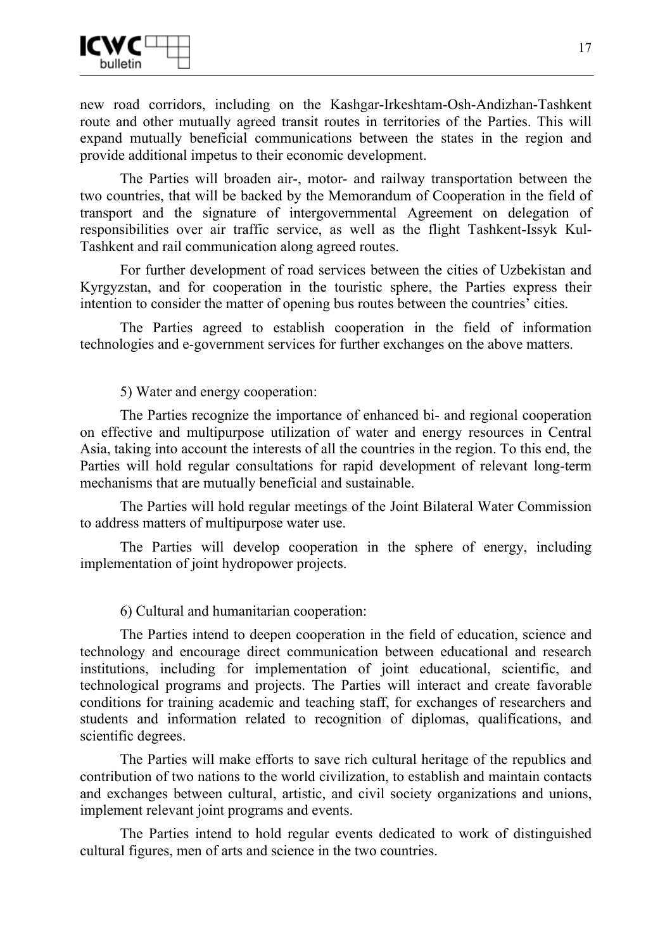

new road corridors, including on the Kashgar-Irkeshtam-Osh-Andizhan-Tashkent route and other mutually agreed transit routes in territories of the Parties. This will expand mutually beneficial communications between the states in the region and provide additional impetus to their economic development.

The Parties will broaden air-, motor- and railway transportation between the two countries, that will be backed by the Memorandum of Cooperation in the field of transport and the signature of intergovernmental Agreement on delegation of responsibilities over air traffic service, as well as the flight Tashkent-Issyk Kul-Tashkent and rail communication along agreed routes.

For further development of road services between the cities of Uzbekistan and Kyrgyzstan, and for cooperation in the touristic sphere, the Parties express their intention to consider the matter of opening bus routes between the countries' cities.

The Parties agreed to establish cooperation in the field of information technologies and e-government services for further exchanges on the above matters.

5) Water and energy cooperation:

The Parties recognize the importance of enhanced bi- and regional cooperation on effective and multipurpose utilization of water and energy resources in Central Asia, taking into account the interests of all the countries in the region. To this end, the Parties will hold regular consultations for rapid development of relevant long-term mechanisms that are mutually beneficial and sustainable.

The Parties will hold regular meetings of the Joint Bilateral Water Commission to address matters of multipurpose water use.

The Parties will develop cooperation in the sphere of energy, including implementation of joint hydropower projects.

6) Cultural and humanitarian cooperation:

The Parties intend to deepen cooperation in the field of education, science and technology and encourage direct communication between educational and research institutions, including for implementation of joint educational, scientific, and technological programs and projects. The Parties will interact and create favorable conditions for training academic and teaching staff, for exchanges of researchers and students and information related to recognition of diplomas, qualifications, and scientific degrees.

The Parties will make efforts to save rich cultural heritage of the republics and contribution of two nations to the world civilization, to establish and maintain contacts and exchanges between cultural, artistic, and civil society organizations and unions, implement relevant joint programs and events.

The Parties intend to hold regular events dedicated to work of distinguished cultural figures, men of arts and science in the two countries.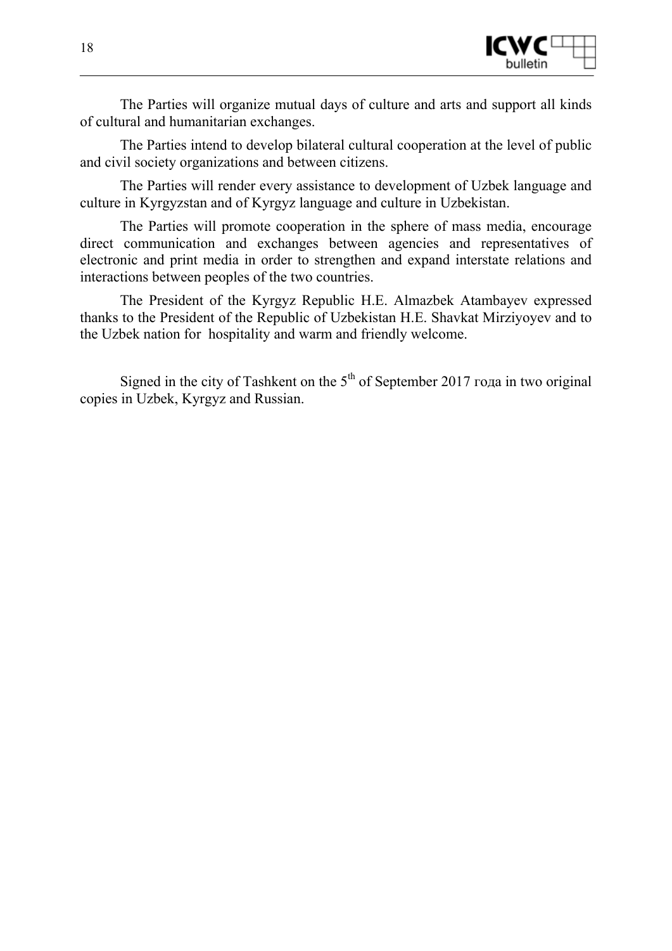

The Parties will organize mutual days of culture and arts and support all kinds of cultural and humanitarian exchanges.

The Parties intend to develop bilateral cultural cooperation at the level of public and civil society organizations and between citizens.

The Parties will render every assistance to development of Uzbek language and culture in Kyrgyzstan and of Kyrgyz language and culture in Uzbekistan.

The Parties will promote cooperation in the sphere of mass media, encourage direct communication and exchanges between agencies and representatives of electronic and print media in order to strengthen and expand interstate relations and interactions between peoples of the two countries.

The President of the Kyrgyz Republic H.E. Almazbek Atambayev expressed thanks to the President of the Republic of Uzbekistan H.E. Shavkat Mirziyoyev and to the Uzbek nation for hospitality and warm and friendly welcome.

Signed in the city of Tashkent on the  $5<sup>th</sup>$  of September 2017 года in two original copies in Uzbek, Kyrgyz and Russian.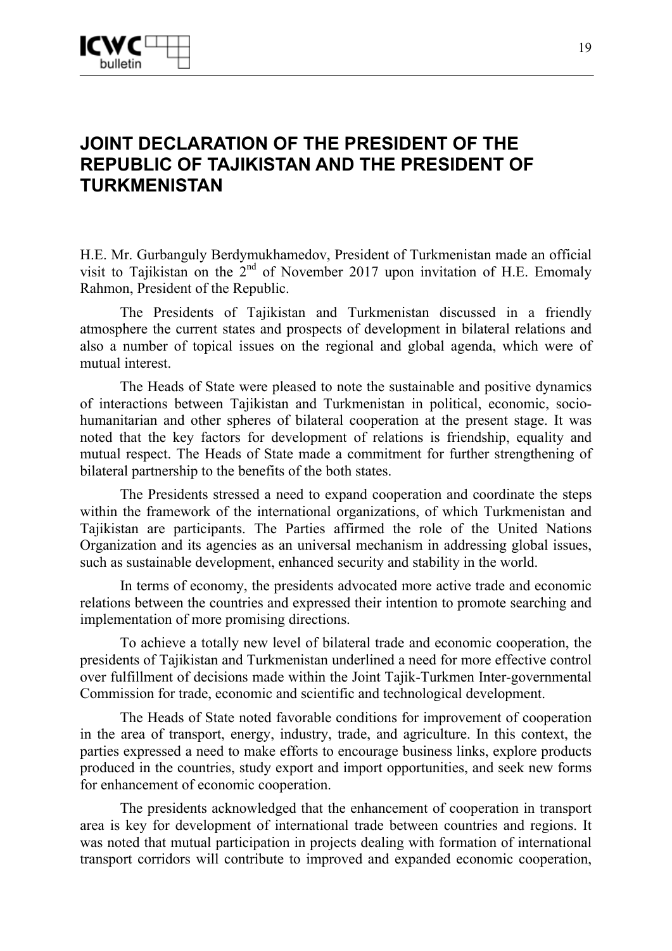

# **JOINT DECLARATION OF THE PRESIDENT OF THE REPUBLIC OF TAJIKISTAN AND THE PRESIDENT OF TURKMENISTAN**

H.E. Mr. Gurbanguly Berdymukhamedov, President of Turkmenistan made an official visit to Tajikistan on the 2<sup>nd</sup> of November 2017 upon invitation of H.E. Emomaly Rahmon, President of the Republic.

The Presidents of Tajikistan and Turkmenistan discussed in a friendly atmosphere the current states and prospects of development in bilateral relations and also a number of topical issues on the regional and global agenda, which were of mutual interest.

The Heads of State were pleased to note the sustainable and positive dynamics of interactions between Tajikistan and Turkmenistan in political, economic, sociohumanitarian and other spheres of bilateral cooperation at the present stage. It was noted that the key factors for development of relations is friendship, equality and mutual respect. The Heads of State made a commitment for further strengthening of bilateral partnership to the benefits of the both states.

The Presidents stressed a need to expand cooperation and coordinate the steps within the framework of the international organizations, of which Turkmenistan and Tajikistan are participants. The Parties affirmed the role of the United Nations Organization and its agencies as an universal mechanism in addressing global issues, such as sustainable development, enhanced security and stability in the world.

In terms of economy, the presidents advocated more active trade and economic relations between the countries and expressed their intention to promote searching and implementation of more promising directions.

To achieve a totally new level of bilateral trade and economic cooperation, the presidents of Tajikistan and Turkmenistan underlined a need for more effective control over fulfillment of decisions made within the Joint Tajik-Turkmen Inter-governmental Commission for trade, economic and scientific and technological development.

The Heads of State noted favorable conditions for improvement of cooperation in the area of transport, energy, industry, trade, and agriculture. In this context, the parties expressed a need to make efforts to encourage business links, explore products produced in the countries, study export and import opportunities, and seek new forms for enhancement of economic cooperation.

The presidents acknowledged that the enhancement of cooperation in transport area is key for development of international trade between countries and regions. It was noted that mutual participation in projects dealing with formation of international transport corridors will contribute to improved and expanded economic cooperation,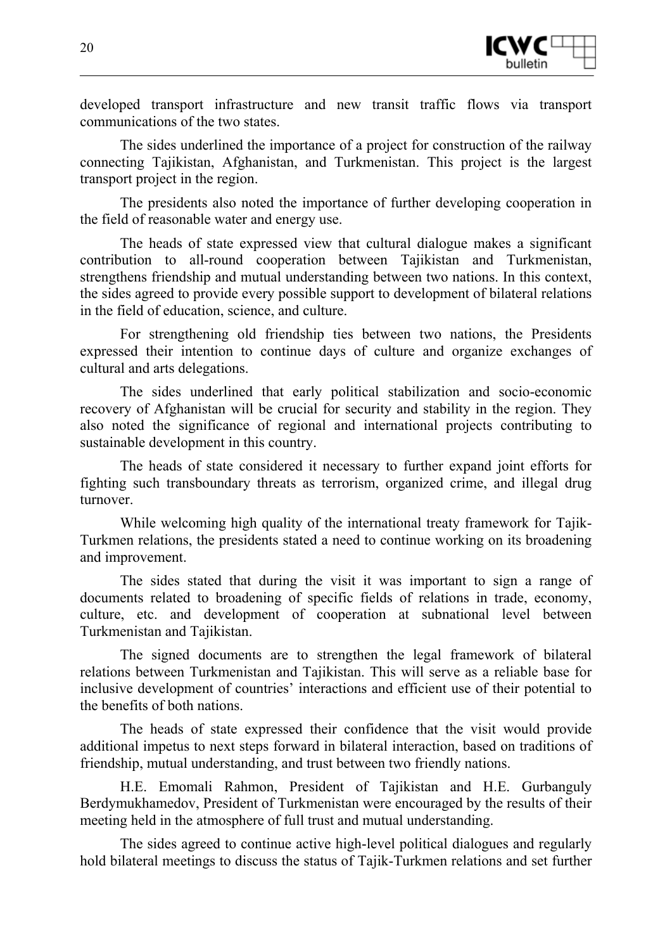

developed transport infrastructure and new transit traffic flows via transport communications of the two states.

The sides underlined the importance of a project for construction of the railway connecting Tajikistan, Afghanistan, and Turkmenistan. This project is the largest transport project in the region.

The presidents also noted the importance of further developing cooperation in the field of reasonable water and energy use.

The heads of state expressed view that cultural dialogue makes a significant contribution to all-round cooperation between Tajikistan and Turkmenistan, strengthens friendship and mutual understanding between two nations. In this context, the sides agreed to provide every possible support to development of bilateral relations in the field of education, science, and culture.

For strengthening old friendship ties between two nations, the Presidents expressed their intention to continue days of culture and organize exchanges of cultural and arts delegations.

The sides underlined that early political stabilization and socio-economic recovery of Afghanistan will be crucial for security and stability in the region. They also noted the significance of regional and international projects contributing to sustainable development in this country.

The heads of state considered it necessary to further expand joint efforts for fighting such transboundary threats as terrorism, organized crime, and illegal drug turnover.

While welcoming high quality of the international treaty framework for Tajik-Turkmen relations, the presidents stated a need to continue working on its broadening and improvement.

The sides stated that during the visit it was important to sign a range of documents related to broadening of specific fields of relations in trade, economy, culture, etc. and development of cooperation at subnational level between Turkmenistan and Tajikistan.

The signed documents are to strengthen the legal framework of bilateral relations between Turkmenistan and Tajikistan. This will serve as a reliable base for inclusive development of countries' interactions and efficient use of their potential to the benefits of both nations.

The heads of state expressed their confidence that the visit would provide additional impetus to next steps forward in bilateral interaction, based on traditions of friendship, mutual understanding, and trust between two friendly nations.

H.E. Emomali Rahmon, President of Tajikistan and H.E. Gurbanguly Berdymukhamedov, President of Turkmenistan were encouraged by the results of their meeting held in the atmosphere of full trust and mutual understanding.

The sides agreed to continue active high-level political dialogues and regularly hold bilateral meetings to discuss the status of Tajik-Turkmen relations and set further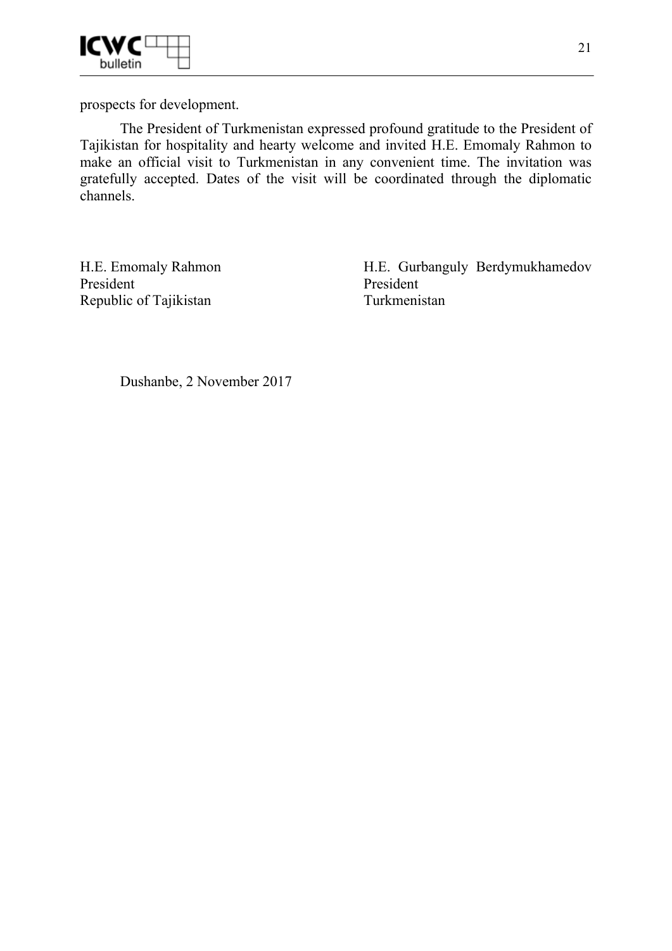

prospects for development.

The President of Turkmenistan expressed profound gratitude to the President of Tajikistan for hospitality and hearty welcome and invited H.E. Emomaly Rahmon to make an official visit to Turkmenistan in any convenient time. The invitation was gratefully accepted. Dates of the visit will be coordinated through the diplomatic channels.

H.E. Emomaly Rahmon President Republic of Tajikistan

H.E. Gurbanguly Berdymukhamedov President Turkmenistan

Dushanbe, 2 November 2017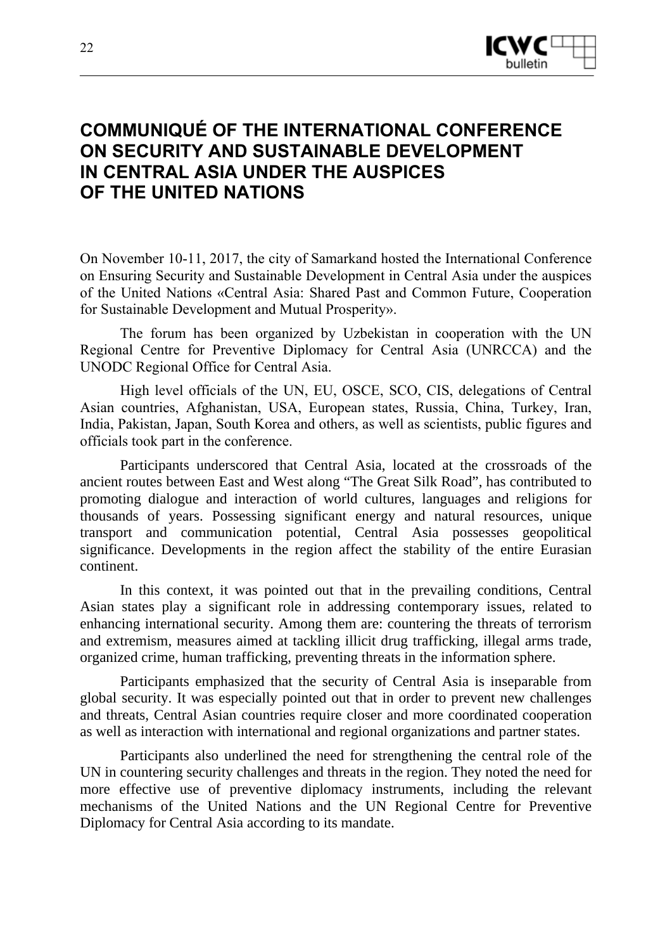

# **COMMUNIQUÉ OF THE INTERNATIONAL CONFERENCE ON SECURITY AND SUSTAINABLE DEVELOPMENT IN CENTRAL ASIA UNDER THE AUSPICES OF THE UNITED NATIONS**

On November 10-11, 2017, the city of Samarkand hosted the International Conference on Ensuring Security and Sustainable Development in Central Asia under the auspices of the United Nations «Central Asia: Shared Past and Common Future, Cooperation for Sustainable Development and Mutual Prosperity».

The forum has been organized by Uzbekistan in cooperation with the UN Regional Centre for Preventive Diplomacy for Central Asia (UNRCCA) and the UNODC Regional Office for Central Asia.

High level officials of the UN, EU, OSCE, SCO, CIS, delegations of Central Asian countries, Afghanistan, USA, European states, Russia, China, Turkey, Iran, India, Pakistan, Japan, South Korea and others, as well as scientists, public figures and officials took part in the conference.

Participants underscored that Central Asia, located at the crossroads of the ancient routes between East and West along "The Great Silk Road", has contributed to promoting dialogue and interaction of world cultures, languages and religions for thousands of years. Possessing significant energy and natural resources, unique transport and communication potential, Central Asia possesses geopolitical significance. Developments in the region affect the stability of the entire Eurasian continent.

In this context, it was pointed out that in the prevailing conditions, Central Asian states play a significant role in addressing contemporary issues, related to enhancing international security. Among them are: countering the threats of terrorism and extremism, measures aimed at tackling illicit drug trafficking, illegal arms trade, organized crime, human trafficking, preventing threats in the information sphere.

Participants emphasized that the security of Central Asia is inseparable from global security. It was especially pointed out that in order to prevent new challenges and threats, Central Asian countries require closer and more coordinated cooperation as well as interaction with international and regional organizations and partner states.

Participants also underlined the need for strengthening the central role of the UN in countering security challenges and threats in the region. They noted the need for more effective use of preventive diplomacy instruments, including the relevant mechanisms of the United Nations and the UN Regional Centre for Preventive Diplomacy for Central Asia according to its mandate.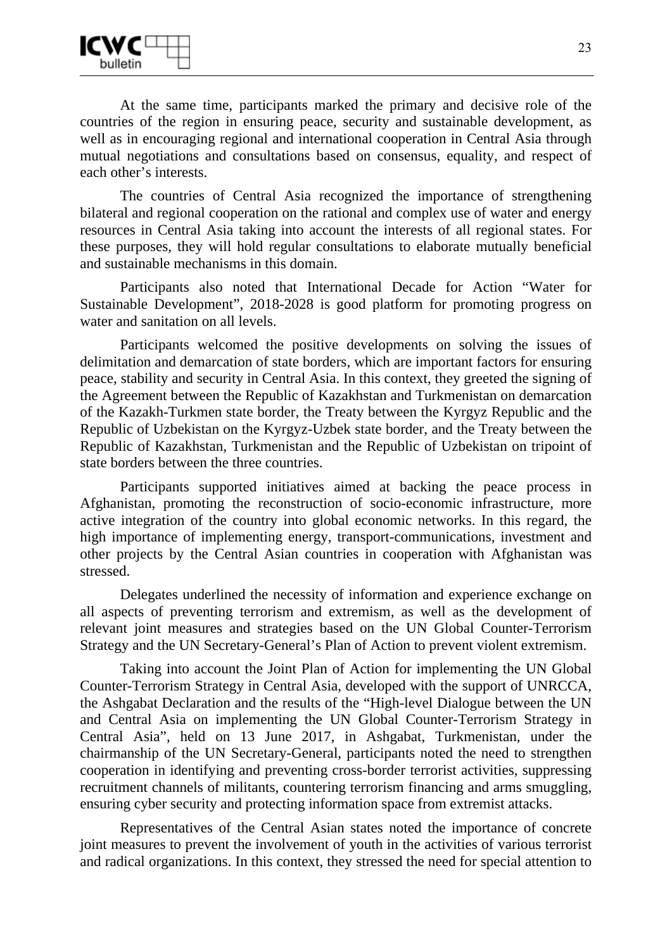At the same time, participants marked the primary and decisive role of the countries of the region in ensuring peace, security and sustainable development, as well as in encouraging regional and international cooperation in Central Asia through mutual negotiations and consultations based on consensus, equality, and respect of each other's interests.

The countries of Central Asia recognized the importance of strengthening bilateral and regional cooperation on the rational and complex use of water and energy resources in Central Asia taking into account the interests of all regional states. For these purposes, they will hold regular consultations to elaborate mutually beneficial and sustainable mechanisms in this domain.

Participants also noted that International Decade for Action "Water for Sustainable Development", 2018-2028 is good platform for promoting progress on water and sanitation on all levels.

Participants welcomed the positive developments on solving the issues of delimitation and demarcation of state borders, which are important factors for ensuring peace, stability and security in Central Asia. In this context, they greeted the signing of the Agreement between the Republic of Kazakhstan and Turkmenistan on demarcation of the Kazakh-Turkmen state border, the Treaty between the Kyrgyz Republic and the Republic of Uzbekistan on the Kyrgyz-Uzbek state border, and the Treaty between the Republic of Kazakhstan, Turkmenistan and the Republic of Uzbekistan on tripoint of state borders between the three countries.

Participants supported initiatives aimed at backing the peace process in Afghanistan, promoting the reconstruction of socio-economic infrastructure, more active integration of the country into global economic networks. In this regard, the high importance of implementing energy, transport-communications, investment and other projects by the Central Asian countries in cooperation with Afghanistan was stressed.

Delegates underlined the necessity of information and experience exchange on all aspects of preventing terrorism and extremism, as well as the development of relevant joint measures and strategies based on the UN Global Counter-Terrorism Strategy and the UN Secretary-General's Plan of Action to prevent violent extremism.

Taking into account the Joint Plan of Action for implementing the UN Global Counter-Terrorism Strategy in Central Asia, developed with the support of UNRCCA, the Ashgabat Declaration and the results of the "High-level Dialogue between the UN and Central Asia on implementing the UN Global Counter-Terrorism Strategy in Central Asia", held on 13 June 2017, in Ashgabat, Turkmenistan, under the chairmanship of the UN Secretary-General, participants noted the need to strengthen cooperation in identifying and preventing cross-border terrorist activities, suppressing recruitment channels of militants, countering terrorism financing and arms smuggling, ensuring cyber security and protecting information space from extremist attacks.

Representatives of the Central Asian states noted the importance of concrete joint measures to prevent the involvement of youth in the activities of various terrorist and radical organizations. In this context, they stressed the need for special attention to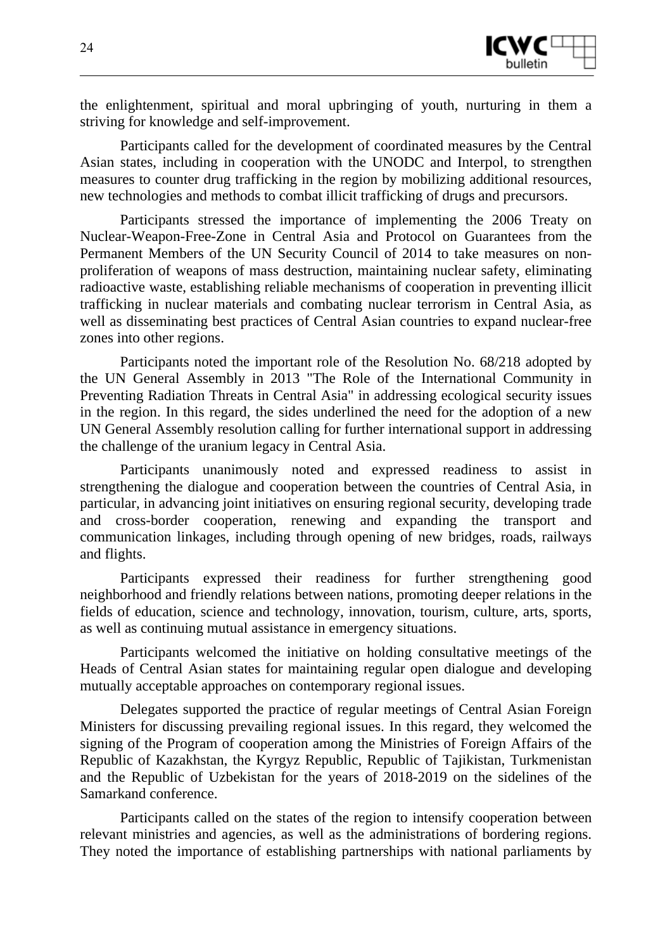

the enlightenment, spiritual and moral upbringing of youth, nurturing in them a striving for knowledge and self-improvement.

Participants called for the development of coordinated measures by the Central Asian states, including in cooperation with the UNODC and Interpol, to strengthen measures to counter drug trafficking in the region by mobilizing additional resources, new technologies and methods to combat illicit trafficking of drugs and precursors.

Participants stressed the importance of implementing the 2006 Treaty on Nuclear-Weapon-Free-Zone in Central Asia and Protocol on Guarantees from the Permanent Members of the UN Security Council of 2014 to take measures on nonproliferation of weapons of mass destruction, maintaining nuclear safety, eliminating radioactive waste, establishing reliable mechanisms of cooperation in preventing illicit trafficking in nuclear materials and combating nuclear terrorism in Central Asia, as well as disseminating best practices of Central Asian countries to expand nuclear-free zones into other regions.

Participants noted the important role of the Resolution No. 68/218 adopted by the UN General Assembly in 2013 "The Role of the International Community in Preventing Radiation Threats in Central Asia" in addressing ecological security issues in the region. In this regard, the sides underlined the need for the adoption of a new UN General Assembly resolution calling for further international support in addressing the challenge of the uranium legacy in Central Asia.

Participants unanimously noted and expressed readiness to assist in strengthening the dialogue and cooperation between the countries of Central Asia, in particular, in advancing joint initiatives on ensuring regional security, developing trade and cross-border cooperation, renewing and expanding the transport and communication linkages, including through opening of new bridges, roads, railways and flights.

Participants expressed their readiness for further strengthening good neighborhood and friendly relations between nations, promoting deeper relations in the fields of education, science and technology, innovation, tourism, culture, arts, sports, as well as continuing mutual assistance in emergency situations.

Participants welcomed the initiative on holding consultative meetings of the Heads of Central Asian states for maintaining regular open dialogue and developing mutually acceptable approaches on contemporary regional issues.

Delegates supported the practice of regular meetings of Central Asian Foreign Ministers for discussing prevailing regional issues. In this regard, they welcomed the signing of the Program of cooperation among the Ministries of Foreign Affairs of the Republic of Kazakhstan, the Kyrgyz Republic, Republic of Tajikistan, Turkmenistan and the Republic of Uzbekistan for the years of 2018-2019 on the sidelines of the Samarkand conference.

Participants called on the states of the region to intensify cooperation between relevant ministries and agencies, as well as the administrations of bordering regions. They noted the importance of establishing partnerships with national parliaments by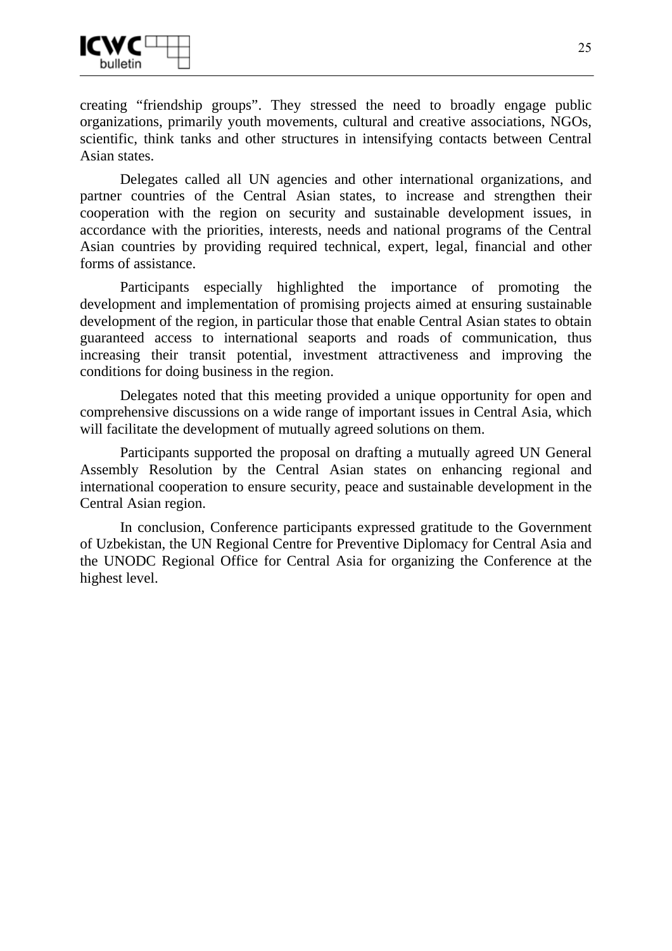

creating "friendship groups". They stressed the need to broadly engage public organizations, primarily youth movements, cultural and creative associations, NGOs, scientific, think tanks and other structures in intensifying contacts between Central Asian states.

Delegates called all UN agencies and other international organizations, and partner countries of the Central Asian states, to increase and strengthen their cooperation with the region on security and sustainable development issues, in accordance with the priorities, interests, needs and national programs of the Central Asian countries by providing required technical, expert, legal, financial and other forms of assistance.

Participants especially highlighted the importance of promoting the development and implementation of promising projects aimed at ensuring sustainable development of the region, in particular those that enable Central Asian states to obtain guaranteed access to international seaports and roads of communication, thus increasing their transit potential, investment attractiveness and improving the conditions for doing business in the region.

Delegates noted that this meeting provided a unique opportunity for open and comprehensive discussions on a wide range of important issues in Central Asia, which will facilitate the development of mutually agreed solutions on them.

Participants supported the proposal on drafting a mutually agreed UN General Assembly Resolution by the Central Asian states on enhancing regional and international cooperation to ensure security, peace and sustainable development in the Central Asian region.

In conclusion, Conference participants expressed gratitude to the Government of Uzbekistan, the UN Regional Centre for Preventive Diplomacy for Central Asia and the UNODC Regional Office for Central Asia for organizing the Conference at the highest level.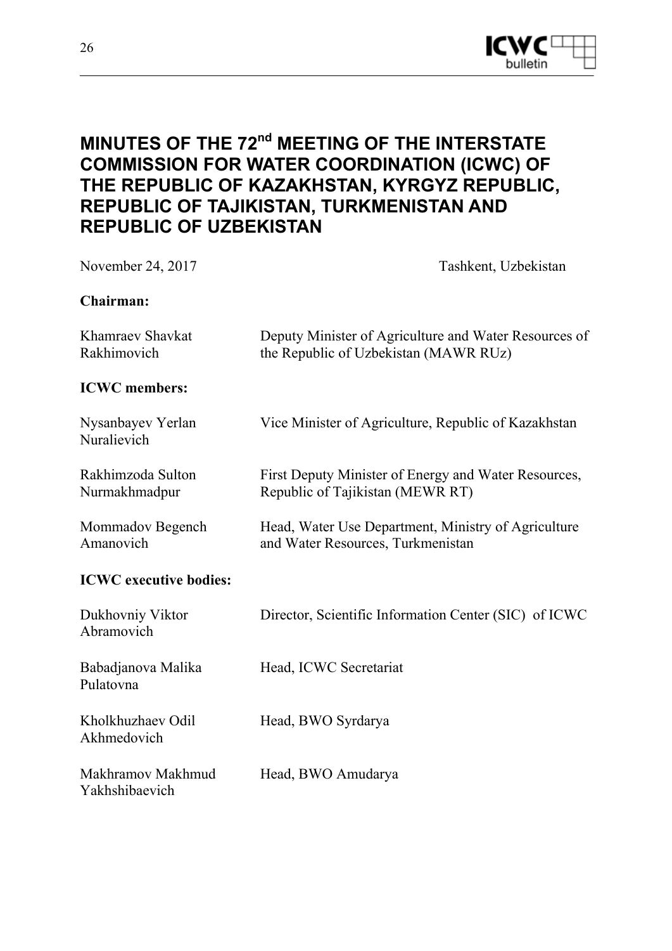

# **MINUTES OF THE 72<sup>nd</sup> MEETING OF THE INTERSTATE COMMISSION FOR WATER COORDINATION (ICWC) OF THE REPUBLIC OF KAZAKHSTAN, KYRGYZ REPUBLIC, REPUBLIC OF TAJIKISTAN, TURKMENISTAN AND REPUBLIC OF UZBEKISTAN**

| November 24, 2017                   | Tashkent, Uzbekistan                                                                           |
|-------------------------------------|------------------------------------------------------------------------------------------------|
| Chairman:                           |                                                                                                |
| Khamraev Shavkat<br>Rakhimovich     | Deputy Minister of Agriculture and Water Resources of<br>the Republic of Uzbekistan (MAWR RUz) |
| <b>ICWC</b> members:                |                                                                                                |
| Nysanbayev Yerlan<br>Nuralievich    | Vice Minister of Agriculture, Republic of Kazakhstan                                           |
| Rakhimzoda Sulton<br>Nurmakhmadpur  | First Deputy Minister of Energy and Water Resources,<br>Republic of Tajikistan (MEWR RT)       |
| Mommadov Begench<br>Amanovich       | Head, Water Use Department, Ministry of Agriculture<br>and Water Resources, Turkmenistan       |
| <b>ICWC</b> executive bodies:       |                                                                                                |
| Dukhovniy Viktor<br>Abramovich      | Director, Scientific Information Center (SIC) of ICWC                                          |
| Babadjanova Malika<br>Pulatovna     | Head, ICWC Secretariat                                                                         |
| Kholkhuzhaev Odil<br>Akhmedovich    | Head, BWO Syrdarya                                                                             |
| Makhramov Makhmud<br>Yakhshibaevich | Head, BWO Amudarya                                                                             |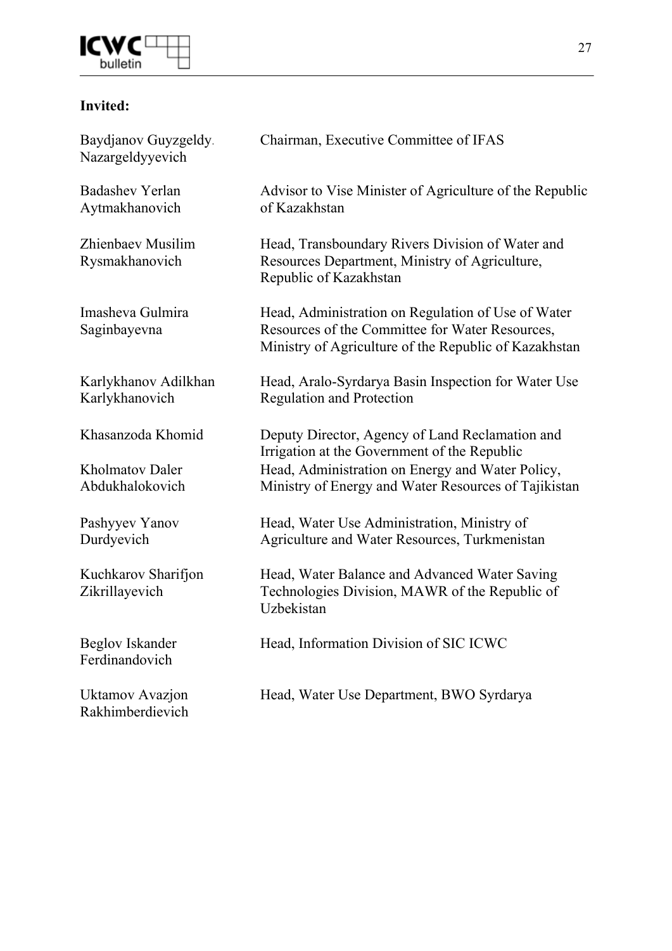

### **Invited:**

| Baydjanov Guyzgeldy.<br>Nazargeldyyevich  | Chairman, Executive Committee of IFAS                                                                                                                          |
|-------------------------------------------|----------------------------------------------------------------------------------------------------------------------------------------------------------------|
| <b>Badashev Yerlan</b><br>Aytmakhanovich  | Advisor to Vise Minister of Agriculture of the Republic<br>of Kazakhstan                                                                                       |
| Zhienbaev Musilim<br>Rysmakhanovich       | Head, Transboundary Rivers Division of Water and<br>Resources Department, Ministry of Agriculture,<br>Republic of Kazakhstan                                   |
| Imasheva Gulmira<br>Saginbayevna          | Head, Administration on Regulation of Use of Water<br>Resources of the Committee for Water Resources,<br>Ministry of Agriculture of the Republic of Kazakhstan |
| Karlykhanov Adilkhan<br>Karlykhanovich    | Head, Aralo-Syrdarya Basin Inspection for Water Use<br><b>Regulation and Protection</b>                                                                        |
| Khasanzoda Khomid                         | Deputy Director, Agency of Land Reclamation and<br>Irrigation at the Government of the Republic                                                                |
| <b>Kholmatov Daler</b><br>Abdukhalokovich | Head, Administration on Energy and Water Policy,<br>Ministry of Energy and Water Resources of Tajikistan                                                       |
| Pashyyev Yanov<br>Durdyevich              | Head, Water Use Administration, Ministry of<br>Agriculture and Water Resources, Turkmenistan                                                                   |
| Kuchkarov Sharifjon<br>Zikrillayevich     | Head, Water Balance and Advanced Water Saving<br>Technologies Division, MAWR of the Republic of<br>Uzbekistan                                                  |
| <b>Beglov Iskander</b><br>Ferdinandovich  | Head, Information Division of SIC ICWC                                                                                                                         |
| Uktamov Avazjon<br>Rakhimberdievich       | Head, Water Use Department, BWO Syrdarya                                                                                                                       |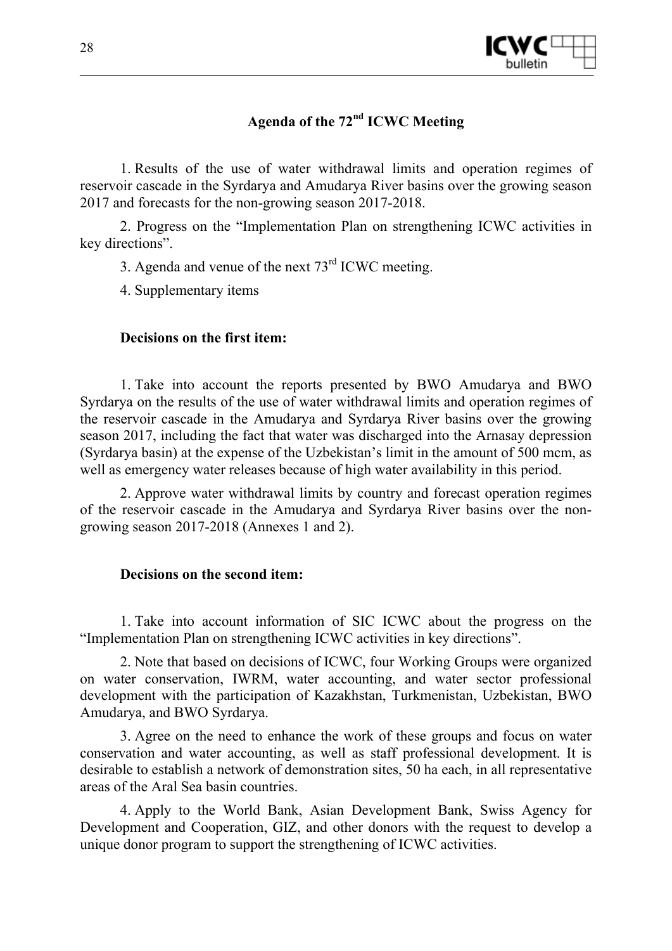

# **Agenda of the 72nd ICWC Meeting**

1. Results of the use of water withdrawal limits and operation regimes of reservoir cascade in the Syrdarya and Amudarya River basins over the growing season 2017 and forecasts for the non-growing season 2017-2018.

2. Progress on the "Implementation Plan on strengthening ICWC activities in key directions".

3. Agenda and venue of the next  $73<sup>rd</sup>$  ICWC meeting.

4. Supplementary items

### **Decisions on the first item:**

1. Take into account the reports presented by BWO Amudarya and BWO Syrdarya on the results of the use of water withdrawal limits and operation regimes of the reservoir cascade in the Amudarya and Syrdarya River basins over the growing season 2017, including the fact that water was discharged into the Arnasay depression (Syrdarya basin) at the expense of the Uzbekistan's limit in the amount of 500 mcm, as well as emergency water releases because of high water availability in this period.

2. Approve water withdrawal limits by country and forecast operation regimes of the reservoir cascade in the Amudarya and Syrdarya River basins over the nongrowing season 2017-2018 (Annexes 1 and 2).

### **Decisions on the second item:**

1. Take into account information of SIC ICWC about the progress on the "Implementation Plan on strengthening ICWC activities in key directions".

2. Note that based on decisions of ICWC, four Working Groups were organized on water conservation, IWRM, water accounting, and water sector professional development with the participation of Kazakhstan, Turkmenistan, Uzbekistan, BWO Amudarya, and BWO Syrdarya.

3. Agree on the need to enhance the work of these groups and focus on water conservation and water accounting, as well as staff professional development. It is desirable to establish a network of demonstration sites, 50 ha each, in all representative areas of the Aral Sea basin countries.

4. Apply to the World Bank, Asian Development Bank, Swiss Agency for Development and Cooperation, GIZ, and other donors with the request to develop a unique donor program to support the strengthening of ICWC activities.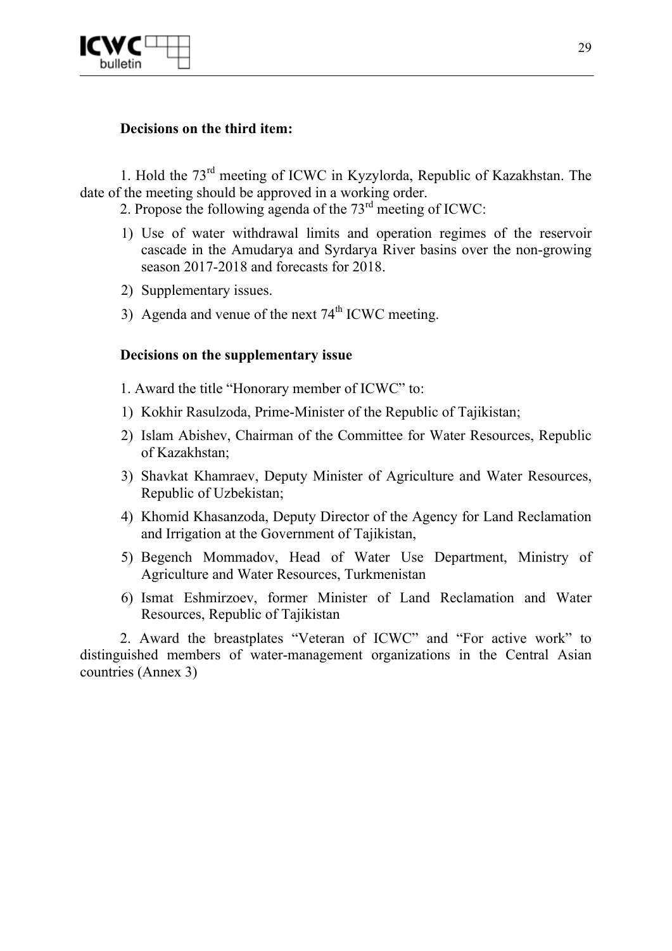

#### **Decisions on the third item:**

1. Hold the 73rd meeting of ICWC in Kyzylorda, Republic of Kazakhstan. The date of the meeting should be approved in a working order.

2. Propose the following agenda of the  $73<sup>rd</sup>$  meeting of ICWC:

- 1) Use of water withdrawal limits and operation regimes of the reservoir cascade in the Amudarya and Syrdarya River basins over the non-growing season 2017-2018 and forecasts for 2018.
- 2) Supplementary issues.
- 3) Agenda and venue of the next  $74<sup>th</sup>$  ICWC meeting.

#### **Decisions on the supplementary issue**

- 1. Award the title "Honorary member of ICWC" to:
- 1) Kokhir Rasulzoda, Prime-Minister of the Republic of Tajikistan;
- 2) Islam Abishev, Chairman of the Committee for Water Resources, Republic of Kazakhstan;
- 3) Shavkat Khamraev, Deputy Minister of Agriculture and Water Resources, Republic of Uzbekistan;
- 4) Khomid Khasanzoda, Deputy Director of the Agency for Land Reclamation and Irrigation at the Government of Tajikistan,
- 5) Begench Mommadov, Head of Water Use Department, Ministry of Agriculture and Water Resources, Turkmenistan
- 6) Ismat Eshmirzoev, former Minister of Land Reclamation and Water Resources, Republic of Tajikistan

2. Award the breastplates "Veteran of ICWC" and "For active work" to distinguished members of water-management organizations in the Central Asian countries (Annex 3)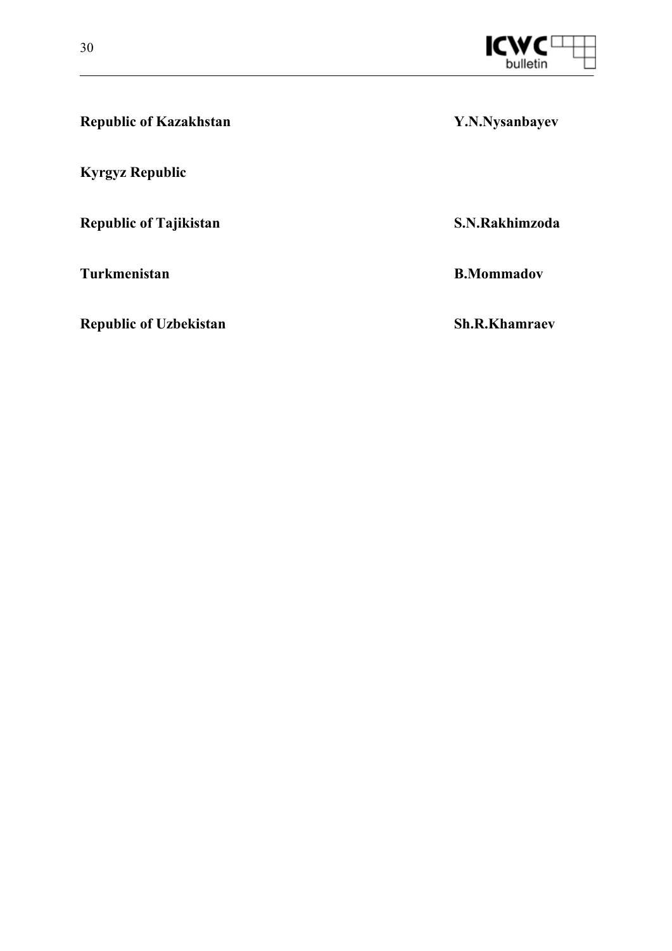

| <b>Republic of Kazakhstan</b> | Y.N.Nysanbayev    |
|-------------------------------|-------------------|
| <b>Kyrgyz Republic</b>        |                   |
| <b>Republic of Tajikistan</b> | S.N.Rakhimzoda    |
| Turkmenistan                  | <b>B.Mommadov</b> |

**Republic of Uzbekistan Sh.R.Khamraev**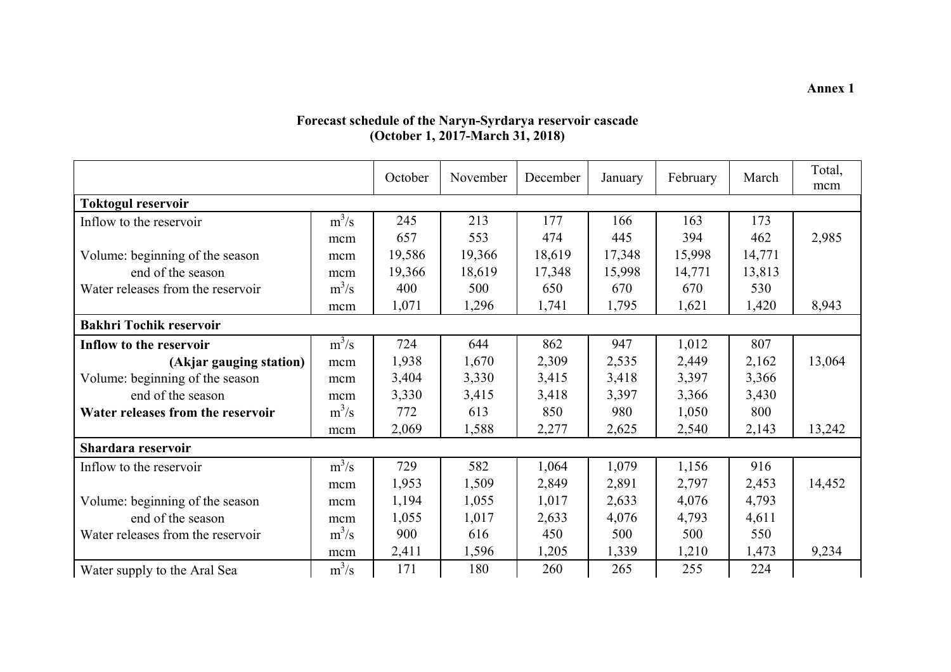#### **Forecast schedule of the Naryn-Syrdarya reservoir cascade (October 1, 2017-March 31, 2018)**

|                                   |         | October | November | December | January | February | March  | Total,<br>mcm |
|-----------------------------------|---------|---------|----------|----------|---------|----------|--------|---------------|
| <b>Toktogul reservoir</b>         |         |         |          |          |         |          |        |               |
| Inflow to the reservoir           | $m^3/s$ | 245     | 213      | 177      | 166     | 163      | 173    |               |
|                                   | mcm     | 657     | 553      | 474      | 445     | 394      | 462    | 2,985         |
| Volume: beginning of the season   | mcm     | 19,586  | 19,366   | 18,619   | 17,348  | 15,998   | 14,771 |               |
| end of the season                 | mcm     | 19,366  | 18,619   | 17,348   | 15,998  | 14,771   | 13,813 |               |
| Water releases from the reservoir | $m^3/s$ | 400     | 500      | 650      | 670     | 670      | 530    |               |
|                                   | mcm     | 1,071   | 1,296    | 1,741    | 1,795   | 1,621    | 1,420  | 8,943         |
| <b>Bakhri Tochik reservoir</b>    |         |         |          |          |         |          |        |               |
| Inflow to the reservoir           | $m^3/s$ | 724     | 644      | 862      | 947     | 1,012    | 807    |               |
| (Akjar gauging station)           | mcm     | 1,938   | 1,670    | 2,309    | 2,535   | 2,449    | 2,162  | 13,064        |
| Volume: beginning of the season   | mcm     | 3,404   | 3,330    | 3,415    | 3,418   | 3,397    | 3,366  |               |
| end of the season                 | mcm     | 3,330   | 3,415    | 3,418    | 3,397   | 3,366    | 3,430  |               |
| Water releases from the reservoir | $m^3/s$ | 772     | 613      | 850      | 980     | 1,050    | 800    |               |
|                                   | mcm     | 2,069   | 1,588    | 2,277    | 2,625   | 2,540    | 2,143  | 13,242        |
| Shardara reservoir                |         |         |          |          |         |          |        |               |
| Inflow to the reservoir           | $m^3/s$ | 729     | 582      | 1,064    | 1,079   | 1,156    | 916    |               |
|                                   | mcm     | 1,953   | 1,509    | 2,849    | 2,891   | 2,797    | 2,453  | 14,452        |
| Volume: beginning of the season   | mcm     | 1,194   | 1,055    | 1,017    | 2,633   | 4,076    | 4,793  |               |
| end of the season                 | mcm     | 1,055   | 1,017    | 2,633    | 4,076   | 4,793    | 4,611  |               |
| Water releases from the reservoir | $m^3/s$ | 900     | 616      | 450      | 500     | 500      | 550    |               |
|                                   | mcm     | 2,411   | 1,596    | 1,205    | 1,339   | 1,210    | 1,473  | 9,234         |
| Water supply to the Aral Sea      | $m^3/s$ | 171     | 180      | 260      | 265     | 255      | 224    |               |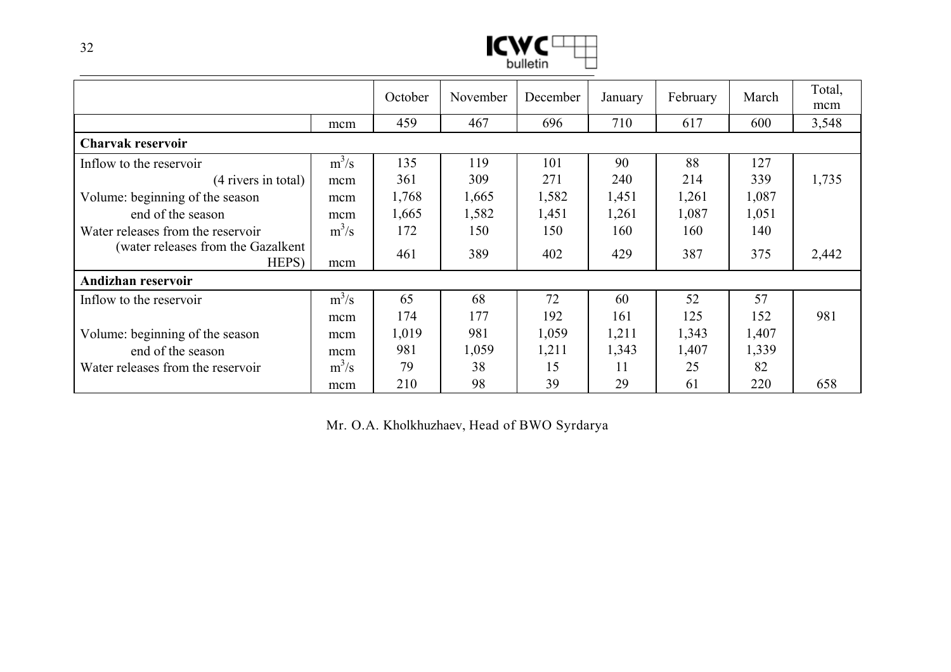

|                                              |         | October | November | December | January | February | March | Total,<br>mcm |
|----------------------------------------------|---------|---------|----------|----------|---------|----------|-------|---------------|
|                                              | mcm     | 459     | 467      | 696      | 710     | 617      | 600   | 3,548         |
| Charvak reservoir                            |         |         |          |          |         |          |       |               |
| Inflow to the reservoir                      | $m^3/s$ | 135     | 119      | 101      | 90      | 88       | 127   |               |
| $(4$ rivers in total)                        | mcm     | 361     | 309      | 271      | 240     | 214      | 339   | 1,735         |
| Volume: beginning of the season              | mcm     | 1,768   | 1,665    | 1,582    | 1,451   | 1,261    | 1,087 |               |
| end of the season                            | mcm     | 1,665   | 1,582    | 1,451    | 1,261   | 1,087    | 1,051 |               |
| Water releases from the reservoir            | $m^3/s$ | 172     | 150      | 150      | 160     | 160      | 140   |               |
| (water releases from the Gazalkent)<br>HEPS) | mcm     | 461     | 389      | 402      | 429     | 387      | 375   | 2,442         |
| Andizhan reservoir                           |         |         |          |          |         |          |       |               |
| Inflow to the reservoir                      | $m^3/s$ | 65      | 68       | 72       | 60      | 52       | 57    |               |
|                                              | mcm     | 174     | 177      | 192      | 161     | 125      | 152   | 981           |
| Volume: beginning of the season              | mcm     | 1,019   | 981      | 1,059    | 1,211   | 1,343    | 1,407 |               |
| end of the season                            | mcm     | 981     | 1,059    | 1,211    | 1,343   | 1,407    | 1,339 |               |
| Water releases from the reservoir            | $m^3/s$ | 79      | 38       | 15       | 11      | 25       | 82    |               |
|                                              | mcm     | 210     | 98       | 39       | 29      | 61       | 220   | 658           |

Mr. O.A. Kholkhuzhaev, Head of BWO Syrdarya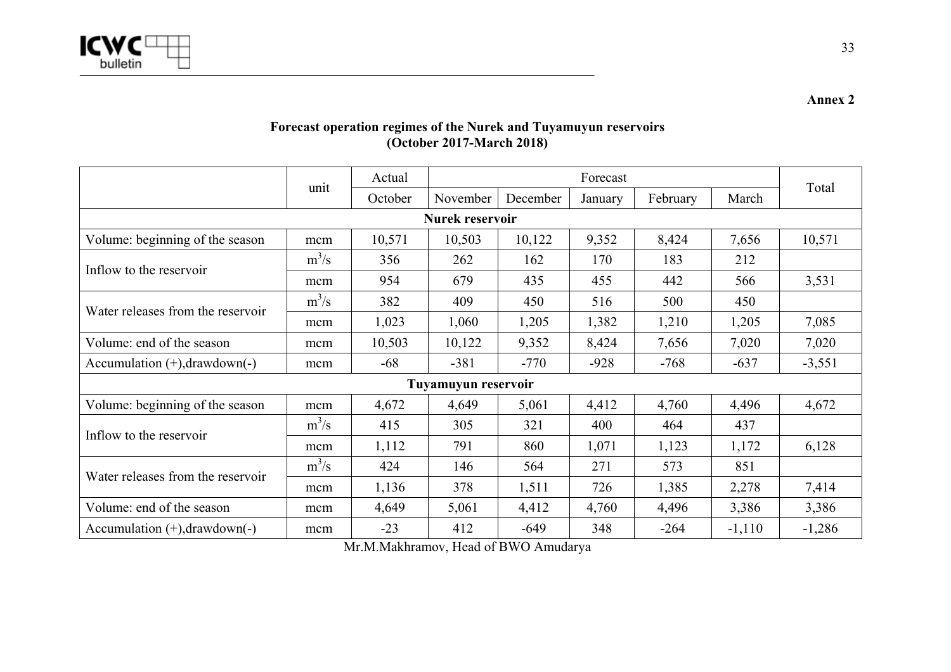

**Forecast operation regimes of the Nurek and Tuyamuyun reservoirs (October 2017-March 2018)** 

|                                     |         | Actual   |                     | Total   |          |        |          |          |
|-------------------------------------|---------|----------|---------------------|---------|----------|--------|----------|----------|
| unit                                | October | November | December            | January | February | March  |          |          |
| Nurek reservoir                     |         |          |                     |         |          |        |          |          |
| Volume: beginning of the season     | mcm     | 10,571   | 10,503              | 10,122  | 9,352    | 8,424  | 7,656    | 10,571   |
| Inflow to the reservoir             | $m^3/s$ | 356      | 262                 | 162     | 170      | 183    | 212      |          |
|                                     | mcm     | 954      | 679                 | 435     | 455      | 442    | 566      | 3,531    |
| Water releases from the reservoir   | $m^3/s$ | 382      | 409                 | 450     | 516      | 500    | 450      |          |
|                                     | mcm     | 1,023    | 1,060               | 1,205   | 1,382    | 1,210  | 1,205    | 7,085    |
| Volume: end of the season           | mcm     | 10,503   | 10,122              | 9,352   | 8,424    | 7,656  | 7,020    | 7,020    |
| Accumulation $(+)$ , drawdown $(-)$ | mcm     | $-68$    | $-381$              | $-770$  | $-928$   | $-768$ | $-637$   | $-3,551$ |
|                                     |         |          | Tuyamuyun reservoir |         |          |        |          |          |
| Volume: beginning of the season     | mcm     | 4,672    | 4,649               | 5,061   | 4,412    | 4,760  | 4,496    | 4,672    |
| Inflow to the reservoir             | $m^3/s$ | 415      | 305                 | 321     | 400      | 464    | 437      |          |
|                                     | mcm     | 1,112    | 791                 | 860     | 1,071    | 1,123  | 1,172    | 6,128    |
| Water releases from the reservoir   | $m^3/s$ | 424      | 146                 | 564     | 271      | 573    | 851      |          |
|                                     | mcm     | 1,136    | 378                 | 1,511   | 726      | 1,385  | 2,278    | 7,414    |
| Volume: end of the season           | mcm     | 4,649    | 5,061               | 4,412   | 4,760    | 4,496  | 3,386    | 3,386    |
| Accumulation $(+)$ , drawdown $(-)$ | mcm     | $-23$    | 412                 | $-649$  | 348      | $-264$ | $-1,110$ | $-1,286$ |

Mr.M.Makhramov, Head of BWO Amudarya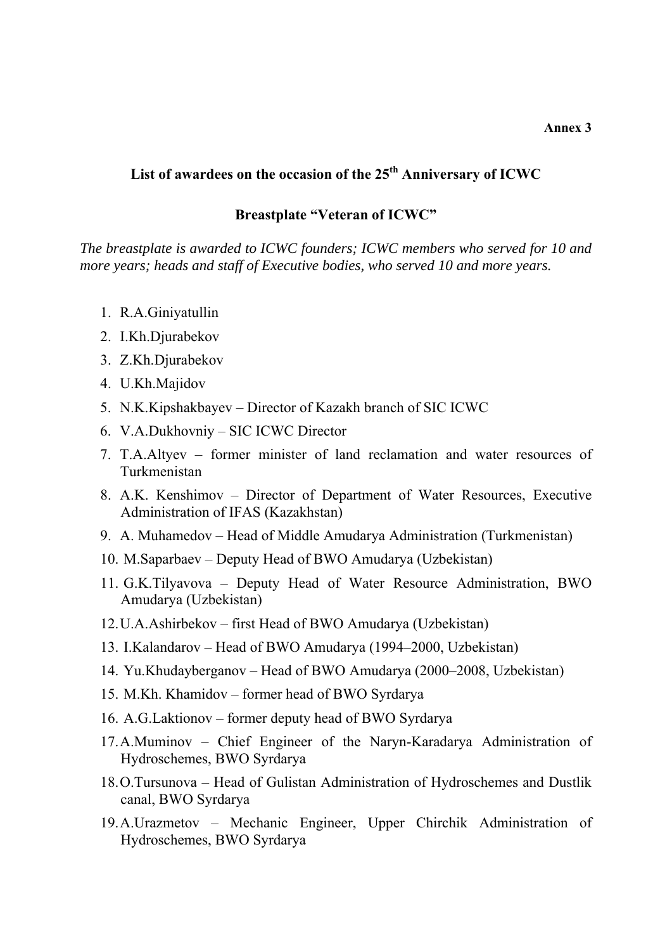### **List of awardees on the occasion of the 25th Anniversary of ICWC**

#### **Breastplate "Veteran of ICWC"**

*The breastplate is awarded to ICWC founders; ICWC members who served for 10 and more years; heads and staff of Executive bodies, who served 10 and more years.* 

- 1. R.A.Giniyatullin
- 2. I.Kh.Djurabekov
- 3. Z.Kh.Djurabekov
- 4. U.Kh.Majidov
- 5. N.K.Kipshakbayev Director of Kazakh branch of SIC ICWC
- 6. V.A.Dukhovniy SIC ICWC Director
- 7. T.A.Altyev former minister of land reclamation and water resources of Turkmenistan
- 8. A.K. Kenshimov Director of Department of Water Resources, Executive Administration of IFAS (Kazakhstan)
- 9. A. Muhamedov Head of Middle Amudarya Administration (Turkmenistan)
- 10. M.Saparbaev Deputy Head of BWO Amudarya (Uzbekistan)
- 11. G.K.Tilyavova Deputy Head of Water Resource Administration, BWO Amudarya (Uzbekistan)
- 12.U.A.Ashirbekov first Head of BWO Amudarya (Uzbekistan)
- 13. I.Kalandarov Head of BWO Amudarya (1994–2000, Uzbekistan)
- 14. Yu.Khudayberganov Head of BWO Amudarya (2000–2008, Uzbekistan)
- 15. M.Kh. Khamidov former head of BWO Syrdarya
- 16. A.G.Laktionov former deputy head of BWO Syrdarya
- 17.A.Muminov Chief Engineer of the Naryn-Karadarya Administration of Hydroschemes, BWO Syrdarya
- 18.O.Tursunova Head of Gulistan Administration of Hydroschemes and Dustlik canal, BWO Syrdarya
- 19.A.Urazmetov Mechanic Engineer, Upper Chirchik Administration of Hydroschemes, BWO Syrdarya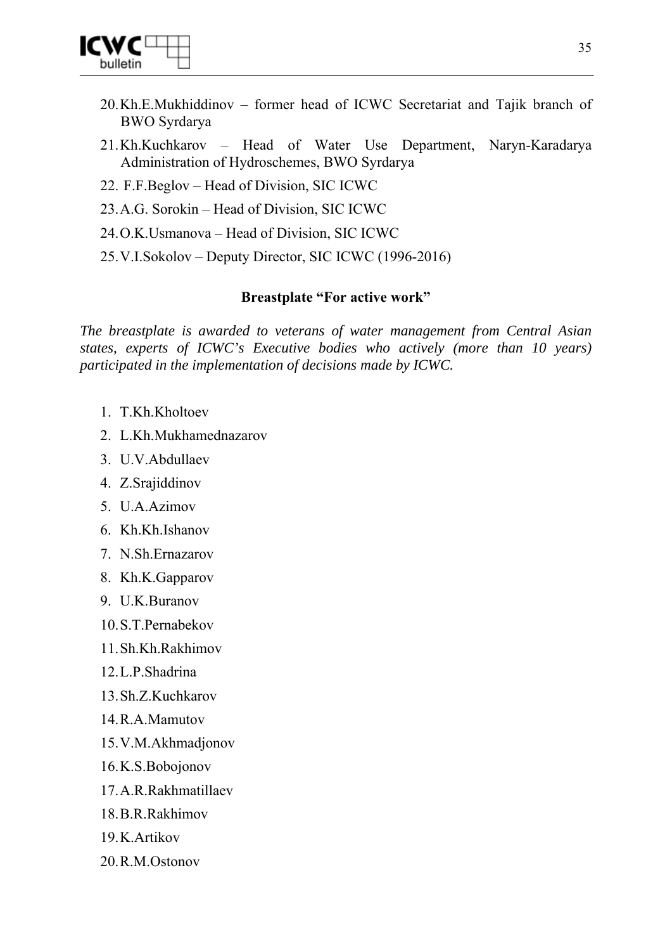

- 20.Kh.E.Mukhiddinov former head of ICWC Secretariat and Tajik branch of BWO Syrdarya
- 21.Kh.Kuchkarov Head of Water Use Department, Naryn-Karadarya Administration of Hydroschemes, BWO Syrdarya
- 22. F.F.Beglov Head of Division, SIC ICWC
- 23.A.G. Sorokin Head of Division, SIC ICWC
- 24.O.K.Usmanova Head of Division, SIC ICWC
- 25.V.I.Sokolov Deputy Director, SIC ICWC (1996-2016)

### **Breastplate "For active work"**

*The breastplate is awarded to veterans of water management from Central Asian states, experts of ICWC's Executive bodies who actively (more than 10 years) participated in the implementation of decisions made by ICWC.* 

- 1. T.Kh.Kholtoev
- 2. L.Kh.Mukhamednazarov
- 3. U.V.Abdullaev
- 4. Z.Srajiddinov
- 5. U.A.Azimov
- 6. Kh.Kh.Ishanov
- 7. N.Sh.Ernazarov
- 8. Kh.K.Gapparov
- 9. U.K.Buranov
- 10.S.T.Pernabekov
- 11.Sh.Kh.Rakhimov
- 12.L.P.Shadrina
- 13.Sh.Z.Kuchkarov
- 14.R.A.Mamutov
- 15.V.M.Akhmadjonov
- 16.K.S.Bobojonov
- 17.A.R.Rakhmatillaev
- 18.B.R.Rakhimov
- 19.K.Artikov
- 20.R.M.Ostonov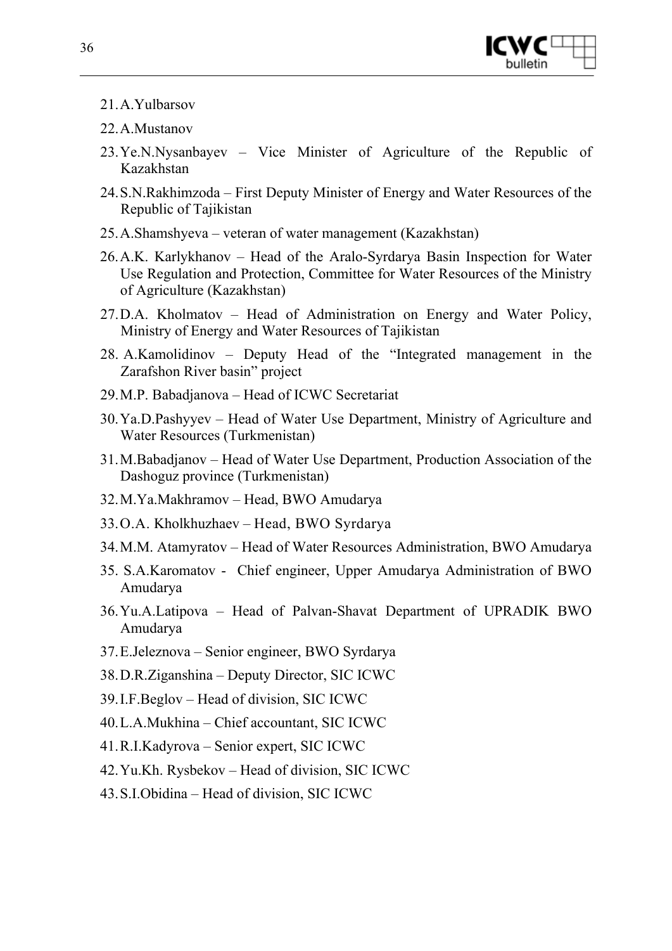

- 21.A.Yulbarsov
- 22.A.Mustanov
- 23.Ye.N.Nysanbayev Vice Minister of Agriculture of the Republic of Kazakhstan
- 24.S.N.Rakhimzoda First Deputy Minister of Energy and Water Resources of the Republic of Tajikistan
- 25.A.Shamshyeva veteran of water management (Kazakhstan)
- 26.A.K. Karlykhanov Head of the Aralo-Syrdarya Basin Inspection for Water Use Regulation and Protection, Committee for Water Resources of the Ministry of Agriculture (Kazakhstan)
- 27.D.A. Kholmatov Head of Administration on Energy and Water Policy, Ministry of Energy and Water Resources of Tajikistan
- 28. A.Kamolidinov Deputy Head of the "Integrated management in the Zarafshon River basin" project
- 29.M.P. Babadjanova Head of ICWC Secretariat
- 30.Ya.D.Pashyyev Head of Water Use Department, Ministry of Agriculture and Water Resources (Turkmenistan)
- 31.M.Babadjanov Head of Water Use Department, Production Association of the Dashoguz province (Turkmenistan)
- 32.M.Ya.Makhramov Head, BWO Amudarya
- 33.O.A. Kholkhuzhaev Head, BWO Syrdarya
- 34.M.M. Atamyratov Head of Water Resources Administration, BWO Amudarya
- 35. S.A.Karomatov Chief engineer, Upper Amudarya Administration of BWO Amudarya
- 36.Yu.A.Latipova Head of Palvan-Shavat Department of UPRADIK BWO Amudarya
- 37.E.Jeleznova Senior engineer, BWO Syrdarya
- 38.D.R.Ziganshina Deputy Director, SIC ICWC
- 39.I.F.Beglov Head of division, SIC ICWC
- 40.L.A.Mukhina Chief accountant, SIC ICWC
- 41.R.I.Kadyrova Senior expert, SIC ICWC
- 42.Yu.Kh. Rysbekov Head of division, SIC ICWC
- 43.S.I.Obidina Head of division, SIC ICWC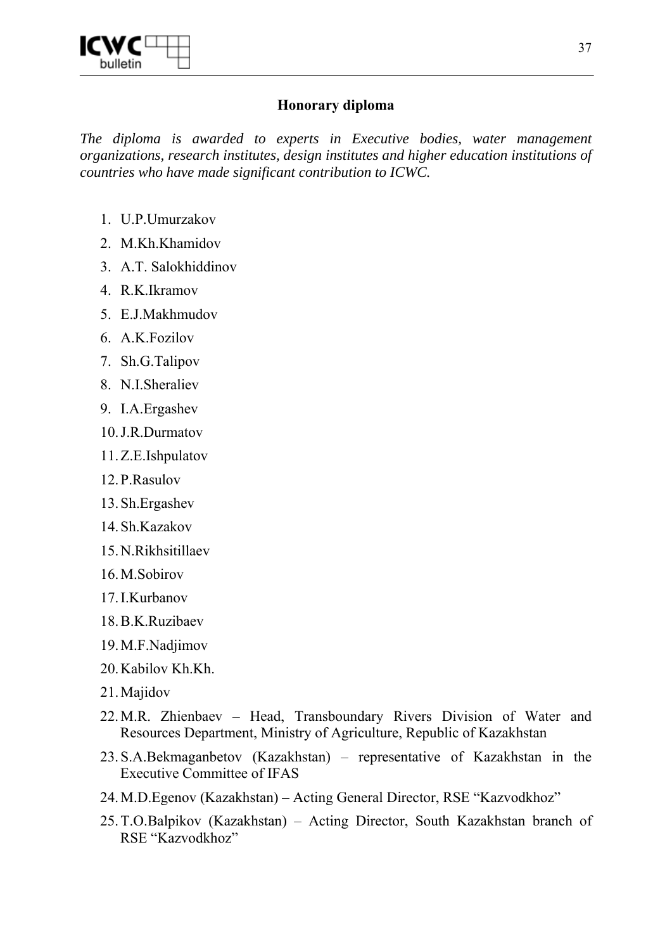

## **Honorary diploma**

*The diploma is awarded to experts in Executive bodies, water management organizations, research institutes, design institutes and higher education institutions of countries who have made significant contribution to ICWC.* 

- 1. U.P.Umurzakov
- 2. M.Kh.Khamidov
- 3. A.T. Salokhiddinov
- 4. R.K.Ikramov
- 5. E.J.Makhmudov
- 6. A.K.Fozilov
- 7. Sh.G.Talipov
- 8. N.I.Sheraliev
- 9. I.A.Ergashev
- 10.J.R.Durmatov
- 11.Z.E.Ishpulatov
- 12.P.Rasulov
- 13.Sh.Ergashev
- 14.Sh.Kazakov
- 15.N.Rikhsitillaev
- 16.M.Sobirov
- 17.I.Kurbanov
- 18.B.K.Ruzibaev
- 19.M.F.Nadjimov
- 20.Kabilov Kh.Kh.
- 21.Majidov
- 22.M.R. Zhienbaev Head, Transboundary Rivers Division of Water and Resources Department, Ministry of Agriculture, Republic of Kazakhstan
- 23.S.A.Bekmaganbetov (Kazakhstan) representative of Kazakhstan in the Executive Committee of IFAS
- 24.M.D.Egenov (Kazakhstan) Acting General Director, RSE "Kazvodkhoz"
- 25.T.O.Balpikov (Kazakhstan) Acting Director, South Kazakhstan branch of RSE "Kazvodkhoz"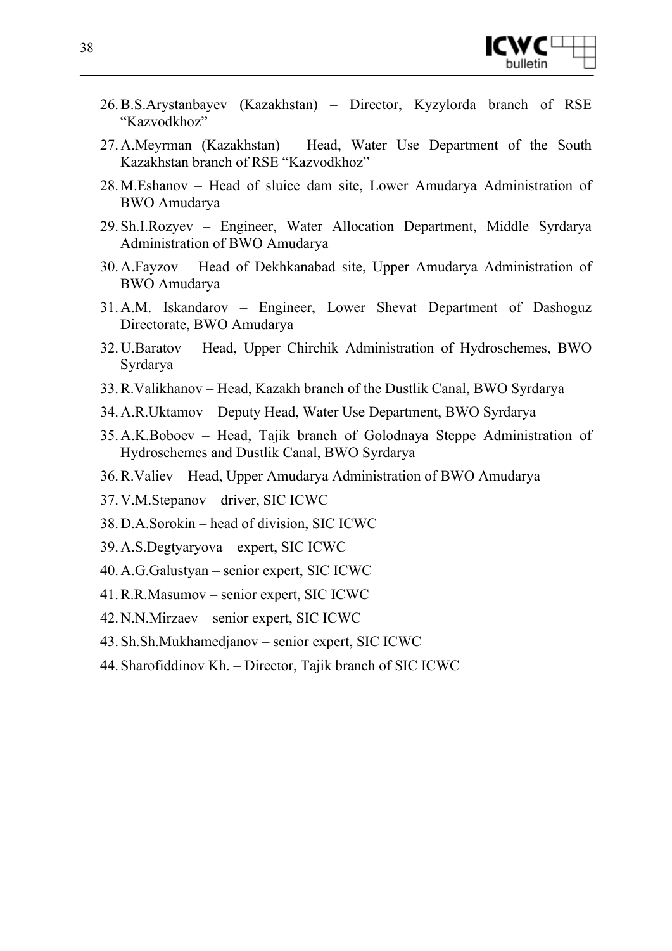

- 26.B.S.Arystanbayev (Kazakhstan) Director, Kyzylorda branch of RSE "Kazvodkhoz"
- 27.A.Meyrman (Kazakhstan) Head, Water Use Department of the South Kazakhstan branch of RSE "Kazvodkhoz"
- 28.M.Eshanov Head of sluice dam site, Lower Amudarya Administration of BWO Amudarya
- 29.Sh.I.Rozyev Engineer, Water Allocation Department, Middle Syrdarya Administration of BWO Amudarya
- 30.A.Fayzov Head of Dekhkanabad site, Upper Amudarya Administration of BWO Amudarya
- 31.A.M. Iskandarov Engineer, Lower Shevat Department of Dashoguz Directorate, BWO Amudarya
- 32.U.Baratov Head, Upper Chirchik Administration of Hydroschemes, BWO Syrdarya
- 33.R.Valikhanov Head, Kazakh branch of the Dustlik Canal, BWO Syrdarya
- 34.A.R.Uktamov Deputy Head, Water Use Department, BWO Syrdarya
- 35.A.K.Boboev Head, Tajik branch of Golodnaya Steppe Administration of Hydroschemes and Dustlik Canal, BWO Syrdarya
- 36.R.Valiev Head, Upper Amudarya Administration of BWO Amudarya
- 37.V.M.Stepanov driver, SIC ICWC
- 38.D.A.Sorokin head of division, SIC ICWC
- 39.A.S.Degtyaryova expert, SIC ICWC
- 40.A.G.Galustyan senior expert, SIC ICWC
- 41.R.R.Masumov senior expert, SIC ICWC
- 42.N.N.Mirzaev senior expert, SIC ICWC
- 43.Sh.Sh.Mukhamedjanov senior expert, SIC ICWC
- 44.Sharofiddinov Kh. Director, Tajik branch of SIC ICWC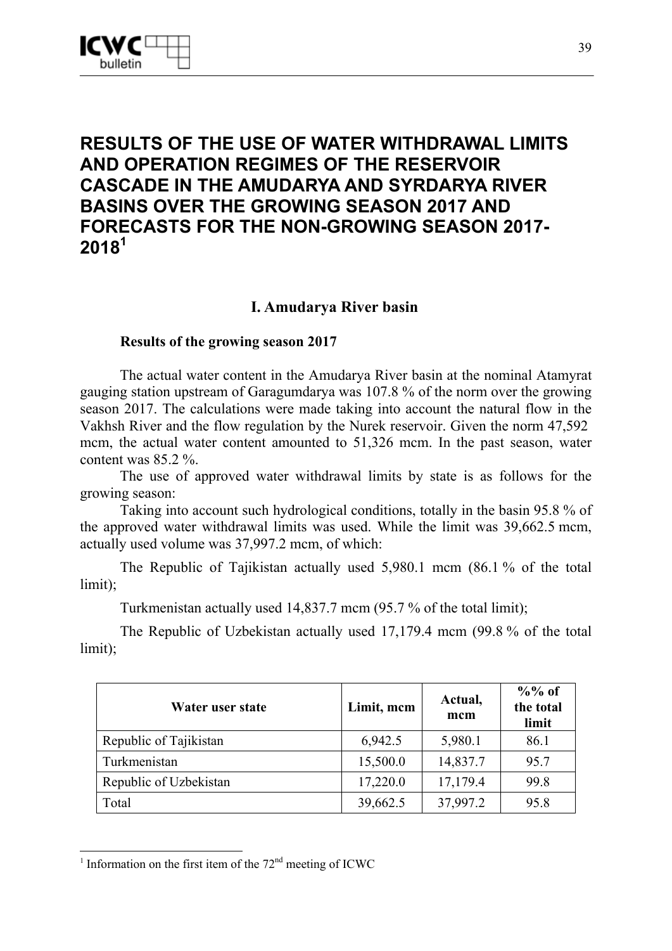# **RESULTS OF THE USE OF WATER WITHDRAWAL LIMITS AND OPERATION REGIMES OF THE RESERVOIR CASCADE IN THE AMUDARYA AND SYRDARYA RIVER BASINS OVER THE GROWING SEASON 2017 AND FORECASTS FOR THE NON-GROWING SEASON 2017- 2018<sup>1</sup>**

## **I. Amudarya River basin**

## **Results of the growing season 2017**

The actual water content in the Amudarya River basin at the nominal Atamyrat gauging station upstream of Garagumdarya was 107.8 % of the norm over the growing season 2017. The calculations were made taking into account the natural flow in the Vakhsh River and the flow regulation by the Nurek reservoir. Given the norm 47,592 mcm, the actual water content amounted to 51,326 mcm. In the past season, water content was 85.2 %.

The use of approved water withdrawal limits by state is as follows for the growing season:

Taking into account such hydrological conditions, totally in the basin 95.8 % of the approved water withdrawal limits was used. While the limit was 39,662.5 mcm, actually used volume was 37,997.2 mcm, of which:

The Republic of Tajikistan actually used 5,980.1 mcm (86.1 % of the total limit);

Turkmenistan actually used 14,837.7 mcm (95.7 % of the total limit);

The Republic of Uzbekistan actually used 17,179.4 mcm (99.8 % of the total limit);

| Water user state       | Limit, mcm | Actual,<br>mcm | $\%$ % of<br>the total<br>limit |
|------------------------|------------|----------------|---------------------------------|
| Republic of Tajikistan | 6,942.5    | 5,980.1        | 86.1                            |
| Turkmenistan           | 15,500.0   | 14,837.7       | 95.7                            |
| Republic of Uzbekistan | 17,220.0   | 17,179.4       | 99.8                            |
| Total                  | 39,662.5   | 37,997.2       | 95.8                            |

<sup>-</sup><sup>1</sup> Information on the first item of the  $72<sup>nd</sup>$  meeting of ICWC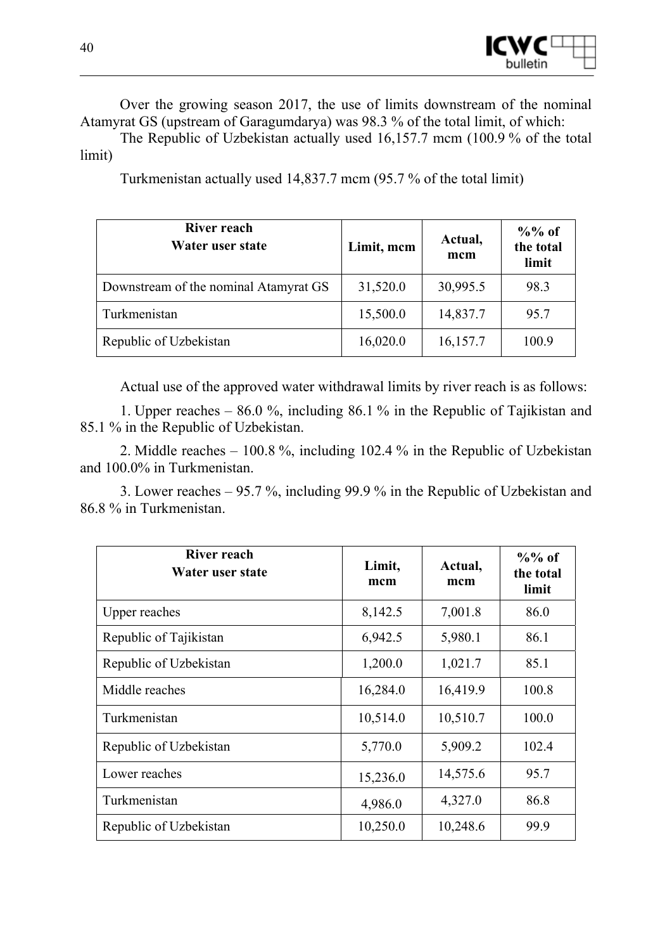

Over the growing season 2017, the use of limits downstream of the nominal Atamyrat GS (upstream of Garagumdarya) was 98.3 % of the total limit, of which:

The Republic of Uzbekistan actually used 16,157.7 mcm (100.9 % of the total limit)

Turkmenistan actually used 14,837.7 mcm (95.7 % of the total limit)

| <b>River reach</b><br>Water user state | Limit, mcm | Actual,<br>mcm | $\%$ % of<br>the total<br>limit |
|----------------------------------------|------------|----------------|---------------------------------|
| Downstream of the nominal Atamyrat GS  | 31,520.0   | 30,995.5       | 98.3                            |
| Turkmenistan                           | 15,500.0   | 14,837.7       | 95.7                            |
| Republic of Uzbekistan                 | 16,020.0   | 16,157.7       | 100.9                           |

Actual use of the approved water withdrawal limits by river reach is as follows:

1. Upper reaches – 86.0 %, including 86.1 % in the Republic of Tajikistan and 85.1 % in the Republic of Uzbekistan.

2. Middle reaches – 100.8 %, including 102.4 % in the Republic of Uzbekistan and 100.0% in Turkmenistan.

3. Lower reaches – 95.7 %, including 99.9 % in the Republic of Uzbekistan and 86.8 % in Turkmenistan.

| <b>River reach</b><br>Water user state | Limit,<br>mcm | Actual,<br>mcm | $\%$ % of<br>the total<br>limit |
|----------------------------------------|---------------|----------------|---------------------------------|
| Upper reaches                          | 8,142.5       | 7,001.8        | 86.0                            |
| Republic of Tajikistan                 | 6,942.5       | 5,980.1        | 86.1                            |
| Republic of Uzbekistan                 | 1,200.0       | 1,021.7        | 85.1                            |
| Middle reaches                         | 16,284.0      | 16,419.9       | 100.8                           |
| Turkmenistan                           | 10,514.0      | 10,510.7       | 100.0                           |
| Republic of Uzbekistan                 | 5,770.0       | 5,909.2        | 102.4                           |
| Lower reaches                          | 15,236.0      | 14,575.6       | 95.7                            |
| Turkmenistan                           | 4,986.0       | 4,327.0        | 86.8                            |
| Republic of Uzbekistan                 | 10,250.0      | 10,248.6       | 99.9                            |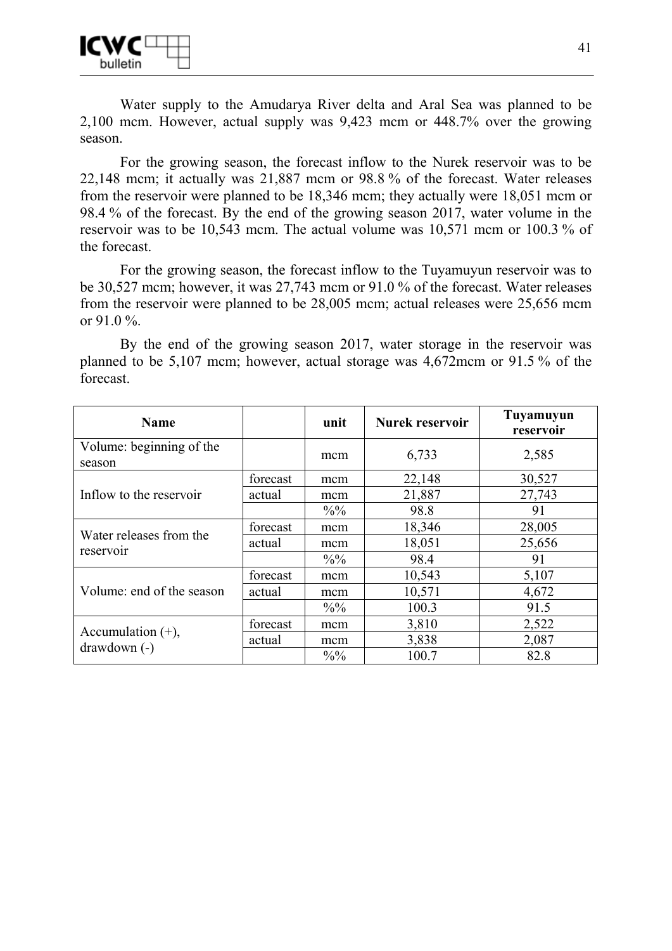Water supply to the Amudarya River delta and Aral Sea was planned to be 2,100 mcm. However, actual supply was 9,423 mcm or 448.7% over the growing season.

For the growing season, the forecast inflow to the Nurek reservoir was to be 22,148 mcm; it actually was 21,887 mcm or 98.8 % of the forecast. Water releases from the reservoir were planned to be 18,346 mcm; they actually were 18,051 mcm or 98.4 % of the forecast. By the end of the growing season 2017, water volume in the reservoir was to be 10,543 mcm. The actual volume was 10,571 mcm or 100.3 % of the forecast.

For the growing season, the forecast inflow to the Tuyamuyun reservoir was to be 30,527 mcm; however, it was 27,743 mcm or 91.0 % of the forecast. Water releases from the reservoir were planned to be 28,005 mcm; actual releases were 25,656 mcm or 91.0 %.

By the end of the growing season 2017, water storage in the reservoir was planned to be 5,107 mcm; however, actual storage was 4,672mcm or 91.5 % of the forecast.

| <b>Name</b>                        |          | unit            | <b>Nurek reservoir</b> | Tuyamuyun<br>reservoir |
|------------------------------------|----------|-----------------|------------------------|------------------------|
| Volume: beginning of the<br>season |          | mcm             | 6,733                  | 2,585                  |
|                                    | forecast | mcm             | 22,148                 | 30,527                 |
| Inflow to the reservoir            | actual   | mcm             | 21,887                 | 27,743                 |
|                                    |          | $\frac{0}{0}$   | 98.8                   | 91                     |
| Water releases from the            | forecast | mcm             | 18,346                 | 28,005                 |
|                                    | actual   | mcm             | 18,051                 | 25,656                 |
| reservoir                          |          | $\frac{0}{0}$   | 98.4                   | 91                     |
|                                    | forecast | mcm             | 10,543                 | 5,107                  |
| Volume: end of the season          | actual   | mcm             | 10,571                 | 4,672                  |
|                                    |          | $\frac{0}{0}$   | 100.3                  | 91.5                   |
|                                    | forecast | mcm             | 3,810                  | 2,522                  |
| Accumulation $(+)$ ,               | actual   | mcm             | 3,838                  | 2,087                  |
| $drawdown(-)$                      |          | $\frac{0}{0}$ % | 100.7                  | 82.8                   |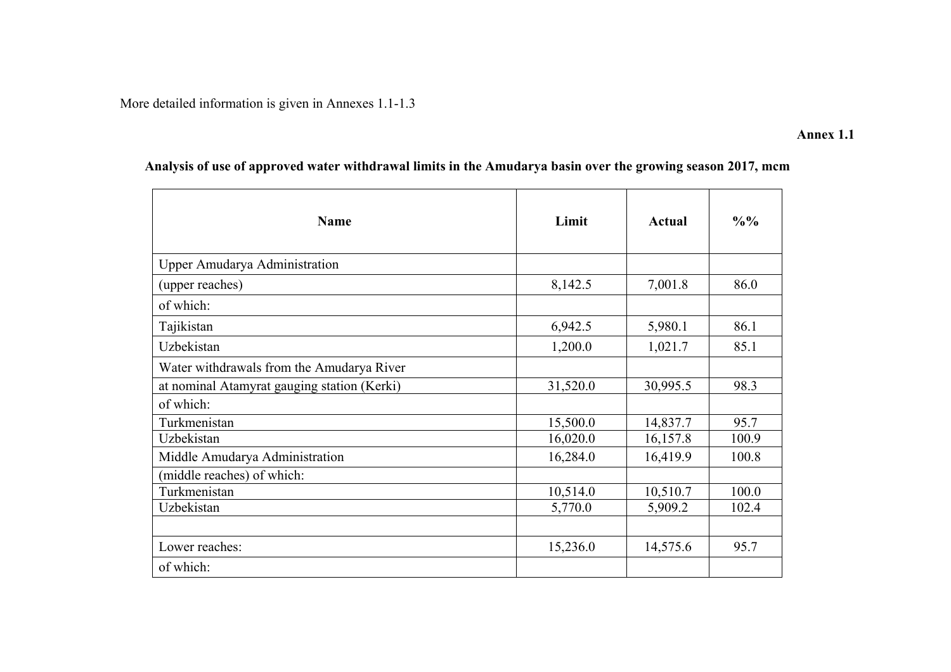More detailed information is given in Annexes 1.1-1.3

#### **Annex 1.1**

| <b>Name</b>                                 | Limit    | Actual   | $\frac{0}{0}$ % |
|---------------------------------------------|----------|----------|-----------------|
| <b>Upper Amudarya Administration</b>        |          |          |                 |
| (upper reaches)                             | 8,142.5  | 7,001.8  | 86.0            |
| of which:                                   |          |          |                 |
| Tajikistan                                  | 6,942.5  | 5,980.1  | 86.1            |
| Uzbekistan                                  | 1,200.0  | 1,021.7  | 85.1            |
| Water withdrawals from the Amudarya River   |          |          |                 |
| at nominal Atamyrat gauging station (Kerki) | 31,520.0 | 30,995.5 | 98.3            |
| of which:                                   |          |          |                 |
| Turkmenistan                                | 15,500.0 | 14,837.7 | 95.7            |
| Uzbekistan                                  | 16,020.0 | 16,157.8 | 100.9           |
| Middle Amudarya Administration              | 16,284.0 | 16,419.9 | 100.8           |
| (middle reaches) of which:                  |          |          |                 |
| Turkmenistan                                | 10,514.0 | 10,510.7 | 100.0           |
| Uzbekistan                                  | 5,770.0  | 5,909.2  | 102.4           |
|                                             |          |          |                 |
| Lower reaches:                              | 15,236.0 | 14,575.6 | 95.7            |
| of which:                                   |          |          |                 |

# **Analysis of use of approved water withdrawal limits in the Amudarya basin over the growing season 2017, mcm**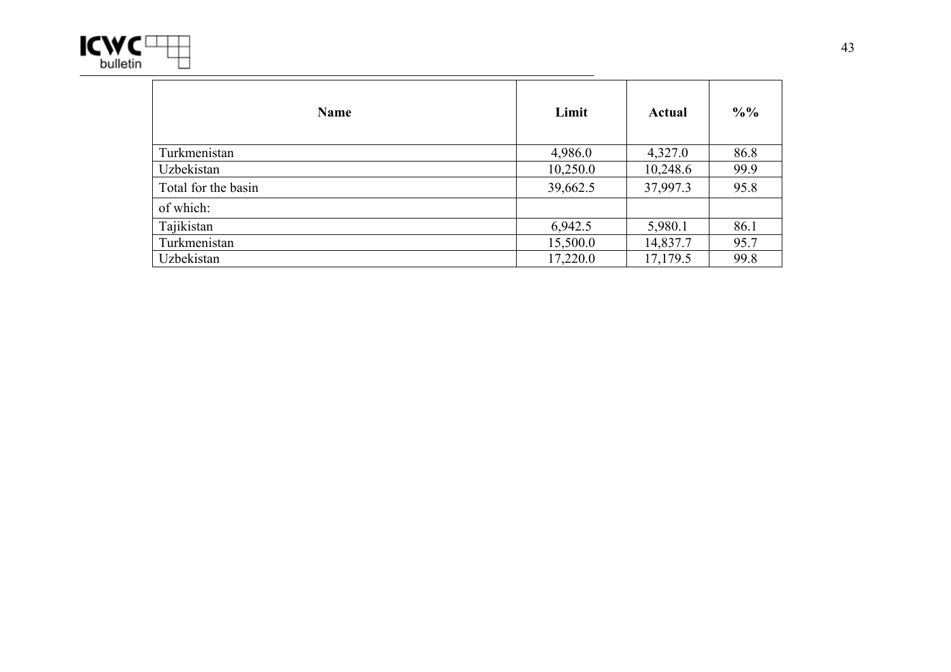

| <b>Name</b>         | Limit    | Actual   | $\frac{0}{0}$ % |
|---------------------|----------|----------|-----------------|
| Turkmenistan        | 4,986.0  | 4,327.0  | 86.8            |
| Uzbekistan          | 10,250.0 | 10,248.6 | 99.9            |
| Total for the basin | 39,662.5 | 37,997.3 | 95.8            |
| of which:           |          |          |                 |
| Tajikistan          | 6,942.5  | 5,980.1  | 86.1            |
| Turkmenistan        | 15,500.0 | 14,837.7 | 95.7            |
| Uzbekistan          | 17,220.0 | 17,179.5 | 99.8            |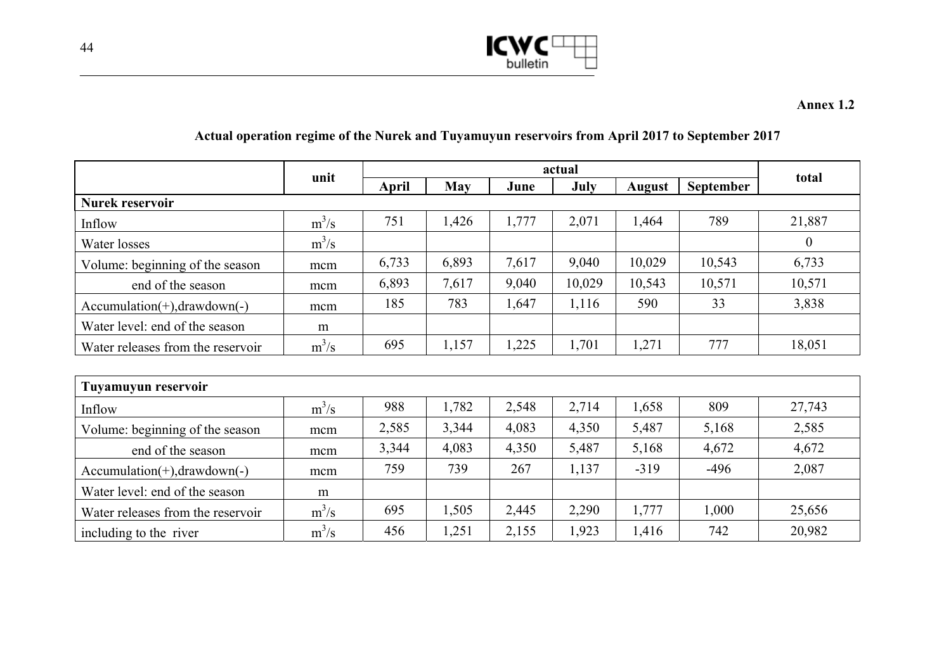

## **Actual operation regime of the Nurek and Tuyamuyun reservoirs from April 2017 to September 2017**

|                                   |         | actual       |            |       |        |               |           |                |
|-----------------------------------|---------|--------------|------------|-------|--------|---------------|-----------|----------------|
|                                   | unit    | <b>April</b> | <b>May</b> | June  | July   | <b>August</b> | September | total          |
| Nurek reservoir                   |         |              |            |       |        |               |           |                |
| Inflow                            | $m^3/s$ | 751          | 1,426      | 1,777 | 2,071  | 1,464         | 789       | 21,887         |
| Water losses                      | $m^3/s$ |              |            |       |        |               |           | $\overline{0}$ |
| Volume: beginning of the season   | mcm     | 6,733        | 6,893      | 7,617 | 9,040  | 10,029        | 10,543    | 6,733          |
| end of the season                 | mcm     | 6,893        | 7,617      | 9,040 | 10,029 | 10,543        | 10,571    | 10,571         |
| $Accumulation(+), drawdown(-)$    | mcm     | 185          | 783        | 1,647 | 1,116  | 590           | 33        | 3,838          |
| Water level: end of the season    | m       |              |            |       |        |               |           |                |
| Water releases from the reservoir | $m^3/s$ | 695          | 1,157      | 1,225 | 1,701  | 1,271         | 777       | 18,051         |
|                                   |         |              |            |       |        |               |           |                |
| Tuyamuyun reservoir               |         |              |            |       |        |               |           |                |
| Inflow                            | $m^3/s$ | 988          | 1,782      | 2,548 | 2,714  | 1,658         | 809       | 27,743         |
| Volume: beginning of the season   | mcm     | 2,585        | 3,344      | 4,083 | 4,350  | 5,487         | 5,168     | 2,585          |
| end of the season                 | mcm     | 3,344        | 4,083      | 4,350 | 5,487  | 5,168         | 4,672     | 4,672          |
| $Accumulation(+), drawdown(-)$    | mcm     | 759          | 739        | 267   | 1,137  | $-319$        | $-496$    | 2,087          |
| Water level: end of the season    | m       |              |            |       |        |               |           |                |
| Water releases from the reservoir | $m^3/s$ | 695          | 1,505      | 2,445 | 2,290  | 1,777         | 1,000     | 25,656         |
| including to the river            | $m^3/s$ | 456          | 1,251      | 2,155 | 1,923  | 1,416         | 742       | 20,982         |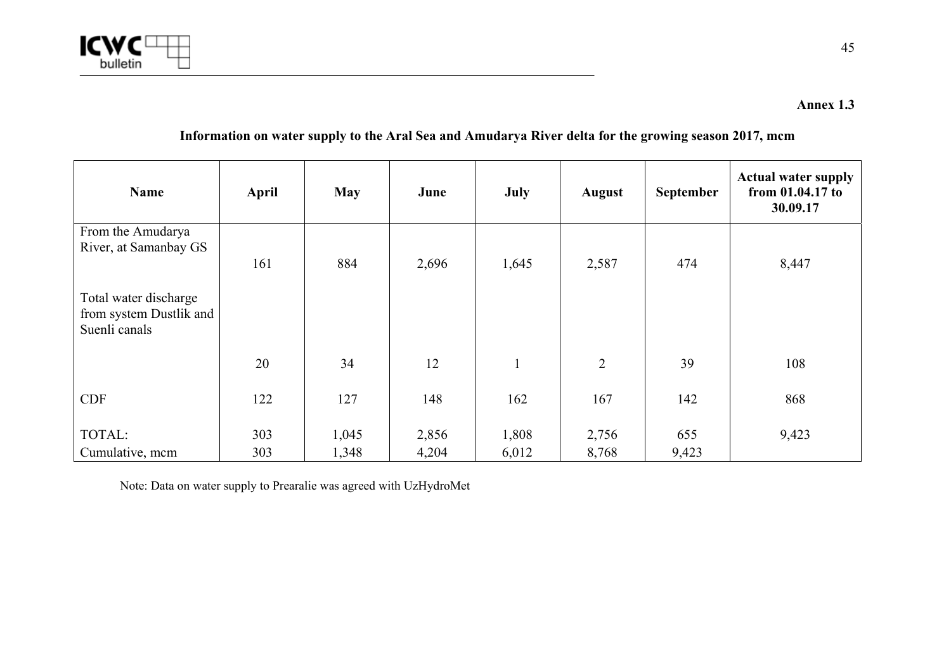

## **Information on water supply to the Aral Sea and Amudarya River delta for the growing season 2017, mcm**

| Name                                                              | April | <b>May</b> | June  | July  | <b>August</b>  | September | <b>Actual water supply</b><br>from 01.04.17 to<br>30.09.17 |
|-------------------------------------------------------------------|-------|------------|-------|-------|----------------|-----------|------------------------------------------------------------|
| From the Amudarya                                                 |       |            |       |       |                |           |                                                            |
| River, at Samanbay GS                                             | 161   | 884        | 2,696 | 1,645 | 2,587          | 474       | 8,447                                                      |
| Total water discharge<br>from system Dustlik and<br>Suenli canals |       |            |       |       |                |           |                                                            |
|                                                                   | 20    | 34         | 12    |       | $\overline{2}$ | 39        | 108                                                        |
| <b>CDF</b>                                                        | 122   | 127        | 148   | 162   | 167            | 142       | 868                                                        |
| TOTAL:                                                            | 303   | 1,045      | 2,856 | 1,808 | 2,756          | 655       | 9,423                                                      |
| Cumulative, mcm                                                   | 303   | 1,348      | 4,204 | 6,012 | 8,768          | 9,423     |                                                            |

Note: Data on water supply to Prearalie was agreed with UzHydroMet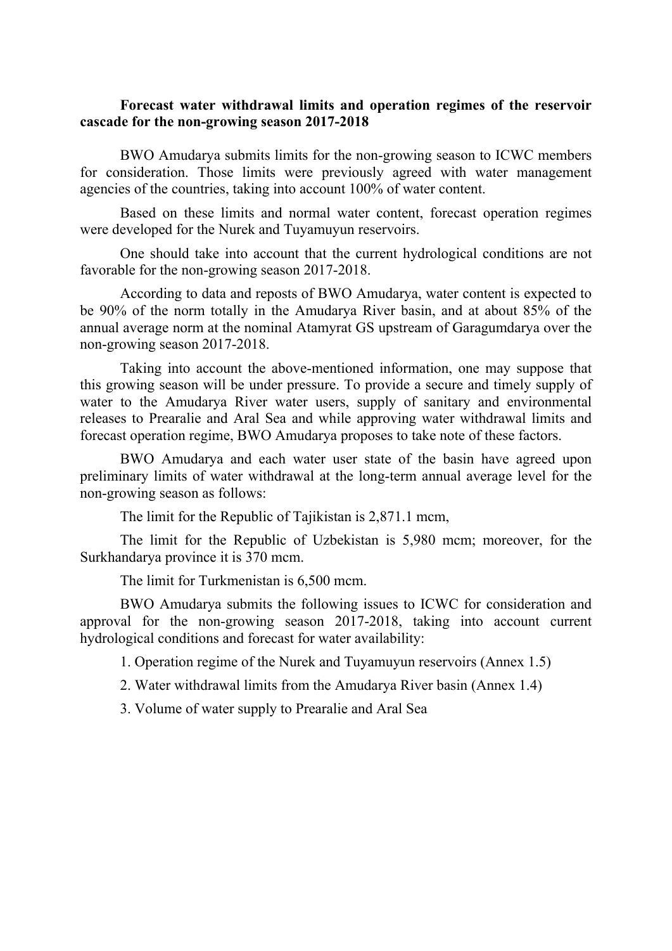#### **Forecast water withdrawal limits and operation regimes of the reservoir cascade for the non-growing season 2017-2018**

BWO Amudarya submits limits for the non-growing season to ICWC members for consideration. Those limits were previously agreed with water management agencies of the countries, taking into account 100% of water content.

Based on these limits and normal water content, forecast operation regimes were developed for the Nurek and Tuyamuyun reservoirs.

One should take into account that the current hydrological conditions are not favorable for the non-growing season 2017-2018.

According to data and reposts of BWO Amudarya, water content is expected to be 90% of the norm totally in the Amudarya River basin, and at about 85% of the annual average norm at the nominal Atamyrat GS upstream of Garagumdarya over the non-growing season 2017-2018.

Taking into account the above-mentioned information, one may suppose that this growing season will be under pressure. To provide a secure and timely supply of water to the Amudarya River water users, supply of sanitary and environmental releases to Prearalie and Aral Sea and while approving water withdrawal limits and forecast operation regime, BWO Amudarya proposes to take note of these factors.

BWO Amudarya and each water user state of the basin have agreed upon preliminary limits of water withdrawal at the long-term annual average level for the non-growing season as follows:

The limit for the Republic of Tajikistan is 2,871.1 mcm,

The limit for the Republic of Uzbekistan is 5,980 mcm; moreover, for the Surkhandarya province it is 370 mcm.

The limit for Turkmenistan is 6,500 mcm.

BWO Amudarya submits the following issues to ICWC for consideration and approval for the non-growing season 2017-2018, taking into account current hydrological conditions and forecast for water availability:

1. Operation regime of the Nurek and Tuyamuyun reservoirs (Annex 1.5)

2. Water withdrawal limits from the Amudarya River basin (Annex 1.4)

3. Volume of water supply to Prearalie and Aral Sea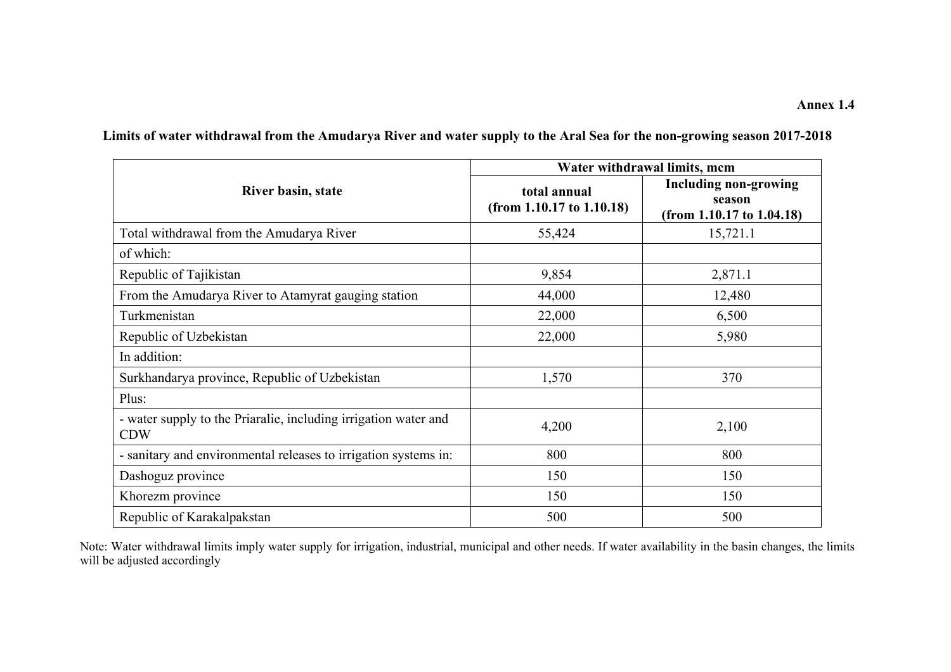|                                                                               | Water withdrawal limits, mcm                   |                                                                          |  |  |  |
|-------------------------------------------------------------------------------|------------------------------------------------|--------------------------------------------------------------------------|--|--|--|
| River basin, state                                                            | total annual<br>(from $1.10.17$ to $1.10.18$ ) | <b>Including non-growing</b><br>season<br>(from $1.10.17$ to $1.04.18$ ) |  |  |  |
| Total withdrawal from the Amudarya River                                      | 55,424                                         | 15,721.1                                                                 |  |  |  |
| of which:                                                                     |                                                |                                                                          |  |  |  |
| Republic of Tajikistan                                                        | 9,854                                          | 2,871.1                                                                  |  |  |  |
| From the Amudarya River to Atamyrat gauging station                           | 44,000                                         | 12,480                                                                   |  |  |  |
| Turkmenistan                                                                  | 22,000                                         | 6,500                                                                    |  |  |  |
| Republic of Uzbekistan                                                        | 22,000                                         | 5,980                                                                    |  |  |  |
| In addition:                                                                  |                                                |                                                                          |  |  |  |
| Surkhandarya province, Republic of Uzbekistan                                 | 1,570                                          | 370                                                                      |  |  |  |
| Plus:                                                                         |                                                |                                                                          |  |  |  |
| - water supply to the Priaralie, including irrigation water and<br><b>CDW</b> | 4,200                                          | 2,100                                                                    |  |  |  |
| - sanitary and environmental releases to irrigation systems in:               | 800                                            | 800                                                                      |  |  |  |
| Dashoguz province                                                             | 150                                            | 150                                                                      |  |  |  |
| Khorezm province                                                              | 150                                            | 150                                                                      |  |  |  |
| Republic of Karakalpakstan                                                    | 500                                            | 500                                                                      |  |  |  |

**Limits of water withdrawal from the Amudarya River and water supply to the Aral Sea for the non-growing season 2017-2018** 

Note: Water withdrawal limits imply water supply for irrigation, industrial, municipal and other needs. If water availability in the basin changes, the limits will be adjusted accordingly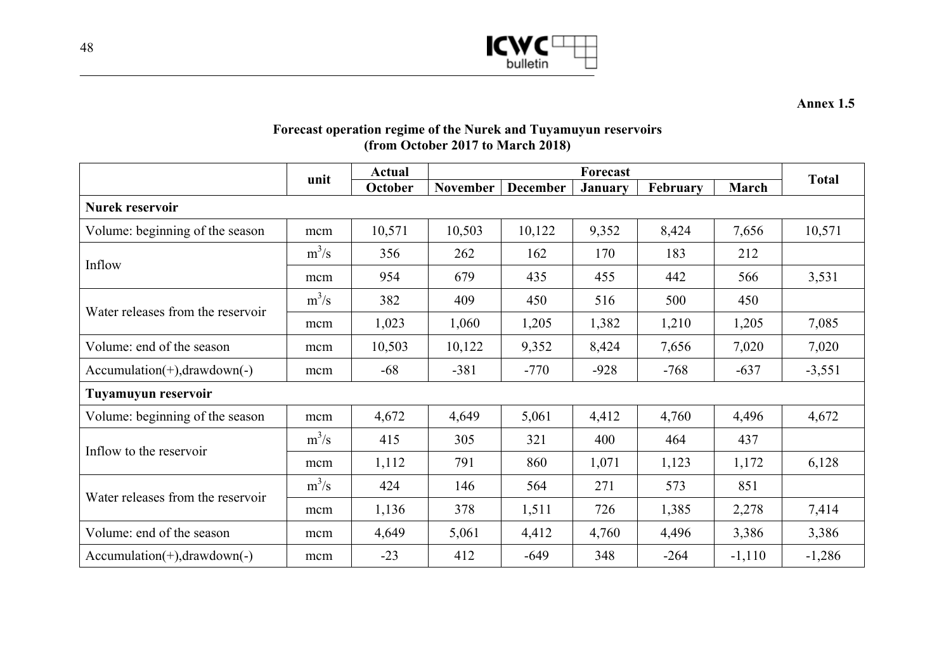

**Annex 1.5** 

## **Forecast operation regime of the Nurek and Tuyamuyun reservoirs (from October 2017 to March 2018)**

|                                   |         | <b>Actual</b> | Forecast        |                            |        |          |          | <b>Total</b> |
|-----------------------------------|---------|---------------|-----------------|----------------------------|--------|----------|----------|--------------|
|                                   | unit    | October       | <b>November</b> | December<br><b>January</b> |        | February | March    |              |
| <b>Nurek reservoir</b>            |         |               |                 |                            |        |          |          |              |
| Volume: beginning of the season   | mcm     | 10,571        | 10,503          | 10,122                     | 9,352  | 8,424    | 7,656    | 10,571       |
| Inflow                            | $m^3/s$ | 356           | 262             | 162                        | 170    | 183      | 212      |              |
|                                   | mcm     | 954           | 679             | 435                        | 455    | 442      | 566      | 3,531        |
|                                   | $m^3/s$ | 382           | 409             | 450                        | 516    | 500      | 450      |              |
| Water releases from the reservoir | mcm     | 1,023         | 1,060           | 1,205                      | 1,382  | 1,210    | 1,205    | 7,085        |
| Volume: end of the season         | mcm     | 10,503        | 10,122          | 9,352                      | 8,424  | 7,656    | 7,020    | 7,020        |
| $Accumulation(+), drawdown(-)$    | mcm     | $-68$         | $-381$          | $-770$                     | $-928$ | $-768$   | $-637$   | $-3,551$     |
| Tuyamuyun reservoir               |         |               |                 |                            |        |          |          |              |
| Volume: beginning of the season   | mcm     | 4,672         | 4,649           | 5,061                      | 4,412  | 4,760    | 4,496    | 4,672        |
| Inflow to the reservoir           | $m^3/s$ | 415           | 305             | 321                        | 400    | 464      | 437      |              |
|                                   | mcm     | 1,112         | 791             | 860                        | 1,071  | 1,123    | 1,172    | 6,128        |
|                                   | $m^3/s$ | 424           | 146             | 564                        | 271    | 573      | 851      |              |
| Water releases from the reservoir | mcm     | 1,136         | 378             | 1,511                      | 726    | 1,385    | 2,278    | 7,414        |
| Volume: end of the season         | mcm     | 4,649         | 5,061           | 4,412                      | 4,760  | 4,496    | 3,386    | 3,386        |
| $Accumulation(+), drawdown(-)$    | mcm     | $-23$         | 412             | $-649$                     | 348    | $-264$   | $-1,110$ | $-1,286$     |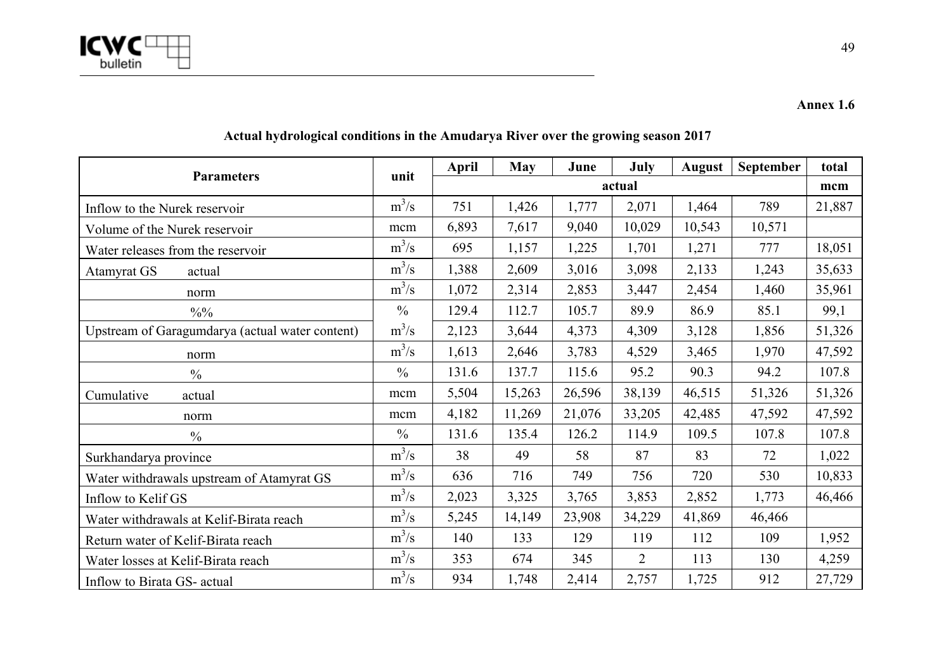

**Annex 1.6** 

| <b>Parameters</b>                               | unit          | April | <b>May</b> | June   | July           | <b>August</b> | September | total  |
|-------------------------------------------------|---------------|-------|------------|--------|----------------|---------------|-----------|--------|
|                                                 |               |       |            |        | actual         |               |           | mcm    |
| Inflow to the Nurek reservoir                   | $m^3/s$       | 751   | 1,426      | 1,777  | 2,071          | 1,464         | 789       | 21,887 |
| Volume of the Nurek reservoir                   | mcm           | 6,893 | 7,617      | 9,040  | 10,029         | 10,543        | 10,571    |        |
| Water releases from the reservoir               | $m^3/s$       | 695   | 1,157      | 1,225  | 1,701          | 1,271         | 777       | 18,051 |
| Atamyrat GS<br>actual                           | $m^3/s$       | 1,388 | 2,609      | 3,016  | 3,098          | 2,133         | 1,243     | 35,633 |
| norm                                            | $m^3/s$       | 1,072 | 2,314      | 2,853  | 3,447          | 2,454         | 1,460     | 35,961 |
| $\frac{0}{0}$ %                                 | $\frac{0}{0}$ | 129.4 | 112.7      | 105.7  | 89.9           | 86.9          | 85.1      | 99,1   |
| Upstream of Garagumdarya (actual water content) | $m^3/s$       | 2,123 | 3,644      | 4,373  | 4,309          | 3,128         | 1,856     | 51,326 |
| norm                                            | $m^3/s$       | 1,613 | 2,646      | 3,783  | 4,529          | 3,465         | 1,970     | 47,592 |
| $\frac{0}{0}$                                   | $\frac{0}{0}$ | 131.6 | 137.7      | 115.6  | 95.2           | 90.3          | 94.2      | 107.8  |
| Cumulative<br>actual                            | mcm           | 5,504 | 15,263     | 26,596 | 38,139         | 46,515        | 51,326    | 51,326 |
| norm                                            | mcm           | 4,182 | 11,269     | 21,076 | 33,205         | 42,485        | 47,592    | 47,592 |
| $\frac{0}{0}$                                   | $\frac{0}{0}$ | 131.6 | 135.4      | 126.2  | 114.9          | 109.5         | 107.8     | 107.8  |
| Surkhandarya province                           | $m^3/s$       | 38    | 49         | 58     | 87             | 83            | 72        | 1,022  |
| Water withdrawals upstream of Atamyrat GS       | $m^3/s$       | 636   | 716        | 749    | 756            | 720           | 530       | 10,833 |
| Inflow to Kelif GS                              | $m^3/s$       | 2,023 | 3,325      | 3,765  | 3,853          | 2,852         | 1,773     | 46,466 |
| Water withdrawals at Kelif-Birata reach         | $m^3/s$       | 5,245 | 14,149     | 23,908 | 34,229         | 41,869        | 46,466    |        |
| Return water of Kelif-Birata reach              | $m^3/s$       | 140   | 133        | 129    | 119            | 112           | 109       | 1,952  |
| Water losses at Kelif-Birata reach              | $m^3/s$       | 353   | 674        | 345    | $\overline{2}$ | 113           | 130       | 4,259  |
| Inflow to Birata GS- actual                     | $m^3/s$       | 934   | 1,748      | 2,414  | 2,757          | 1,725         | 912       | 27,729 |

# **Actual hydrological conditions in the Amudarya River over the growing season 2017**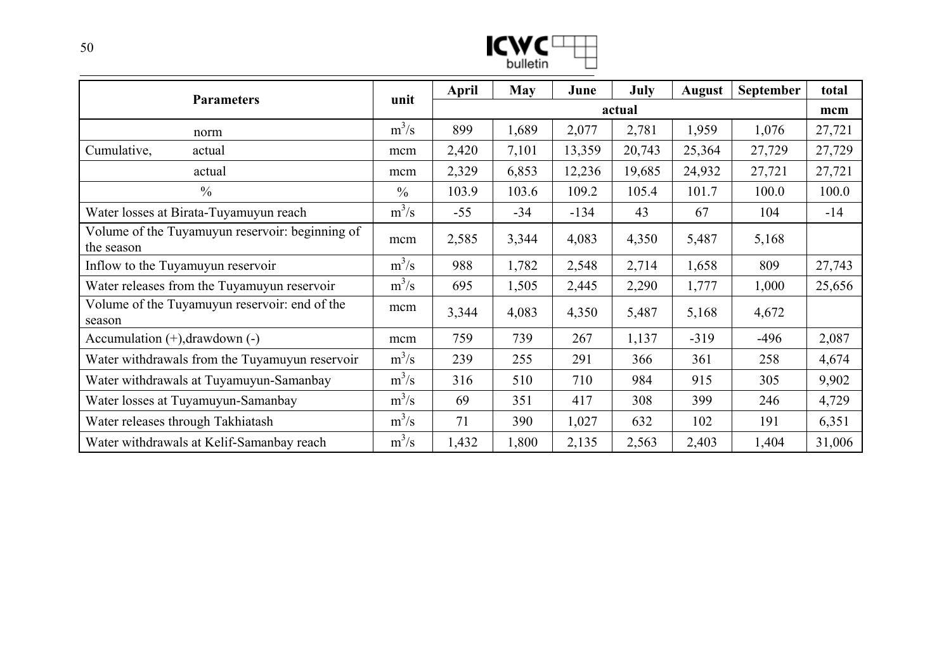| v,       |  |
|----------|--|
| bulletin |  |

| <b>Parameters</b>                                             | unit          | April  | <b>May</b> | June   | July   | <b>August</b> | <b>September</b> | total  |
|---------------------------------------------------------------|---------------|--------|------------|--------|--------|---------------|------------------|--------|
|                                                               |               | actual |            |        |        |               |                  |        |
| norm                                                          | $m^3/s$       | 899    | 1,689      | 2,077  | 2,781  | 1,959         | 1,076            | 27,721 |
| Cumulative,<br>actual                                         | mcm           | 2,420  | 7,101      | 13,359 | 20,743 | 25,364        | 27,729           | 27,729 |
| actual                                                        | mcm           | 2,329  | 6,853      | 12,236 | 19,685 | 24,932        | 27,721           | 27,721 |
| $\frac{0}{0}$                                                 | $\frac{0}{0}$ | 103.9  | 103.6      | 109.2  | 105.4  | 101.7         | 100.0            | 100.0  |
| Water losses at Birata-Tuyamuyun reach                        | $m^3/s$       | $-55$  | $-34$      | $-134$ | 43     | 67            | 104              | $-14$  |
| Volume of the Tuyamuyun reservoir: beginning of<br>the season | mcm           | 2,585  | 3,344      | 4,083  | 4,350  | 5,487         | 5,168            |        |
| Inflow to the Tuyamuyun reservoir                             | $m^3/s$       | 988    | 1,782      | 2,548  | 2,714  | 1,658         | 809              | 27,743 |
| Water releases from the Tuyamuyun reservoir                   | $m^3/s$       | 695    | 1,505      | 2,445  | 2,290  | 1,777         | 1,000            | 25,656 |
| Volume of the Tuyamuyun reservoir: end of the<br>season       | mcm           | 3,344  | 4,083      | 4,350  | 5,487  | 5,168         | 4,672            |        |
| Accumulation $(+)$ , drawdown $(-)$                           | mcm           | 759    | 739        | 267    | 1,137  | $-319$        | $-496$           | 2,087  |
| Water withdrawals from the Tuyamuyun reservoir                | $m^3/s$       | 239    | 255        | 291    | 366    | 361           | 258              | 4,674  |
| Water withdrawals at Tuyamuyun-Samanbay                       | $m^3/s$       | 316    | 510        | 710    | 984    | 915           | 305              | 9,902  |
| Water losses at Tuyamuyun-Samanbay                            | $m^3/s$       | 69     | 351        | 417    | 308    | 399           | 246              | 4,729  |
| Water releases through Takhiatash                             | $m^3/s$       | 71     | 390        | 1,027  | 632    | 102           | 191              | 6,351  |
| Water withdrawals at Kelif-Samanbay reach                     | $m^3/s$       | 1,432  | 1,800      | 2,135  | 2,563  | 2,403         | 1,404            | 31,006 |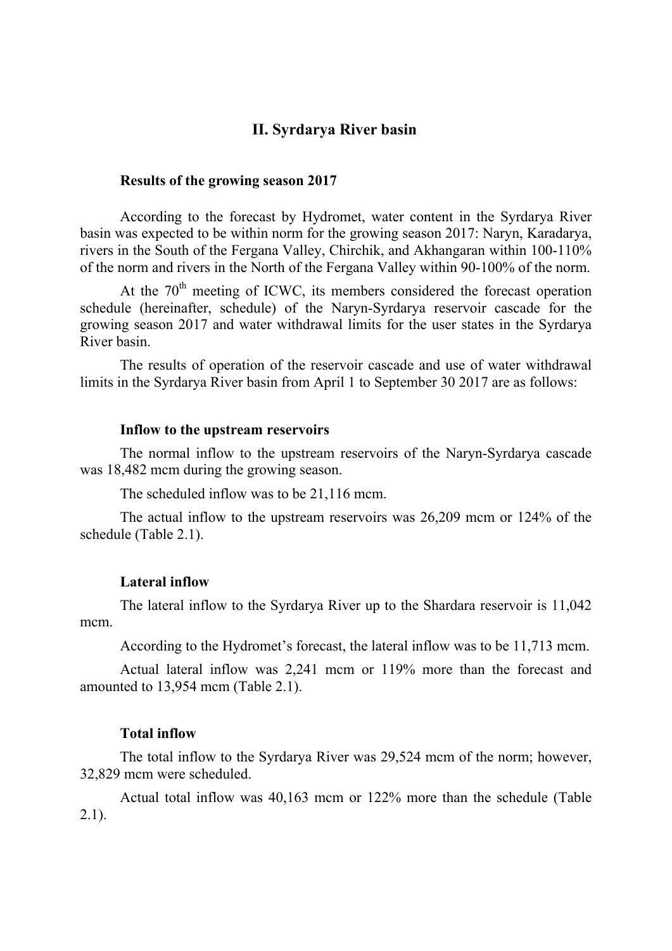## **II. Syrdarya River basin**

#### **Results of the growing season 2017**

According to the forecast by Hydromet, water content in the Syrdarya River basin was expected to be within norm for the growing season 2017: Naryn, Karadarya, rivers in the South of the Fergana Valley, Chirchik, and Akhangaran within 100-110% of the norm and rivers in the North of the Fergana Valley within 90-100% of the norm.

At the  $70<sup>th</sup>$  meeting of ICWC, its members considered the forecast operation schedule (hereinafter, schedule) of the Naryn-Syrdarya reservoir cascade for the growing season 2017 and water withdrawal limits for the user states in the Syrdarya River basin.

The results of operation of the reservoir cascade and use of water withdrawal limits in the Syrdarya River basin from April 1 to September 30 2017 are as follows:

#### **Inflow to the upstream reservoirs**

The normal inflow to the upstream reservoirs of the Naryn-Syrdarya cascade was 18,482 mcm during the growing season.

The scheduled inflow was to be 21,116 mcm.

The actual inflow to the upstream reservoirs was 26,209 mcm or 124% of the schedule (Table 2.1).

#### **Lateral inflow**

The lateral inflow to the Syrdarya River up to the Shardara reservoir is 11,042 mcm.

According to the Hydromet's forecast, the lateral inflow was to be 11,713 mcm.

Actual lateral inflow was 2,241 mcm or 119% more than the forecast and amounted to 13,954 mcm (Table 2.1).

#### **Total inflow**

The total inflow to the Syrdarya River was 29,524 mcm of the norm; however, 32,829 mcm were scheduled.

Actual total inflow was 40,163 mcm or 122% more than the schedule (Table 2.1).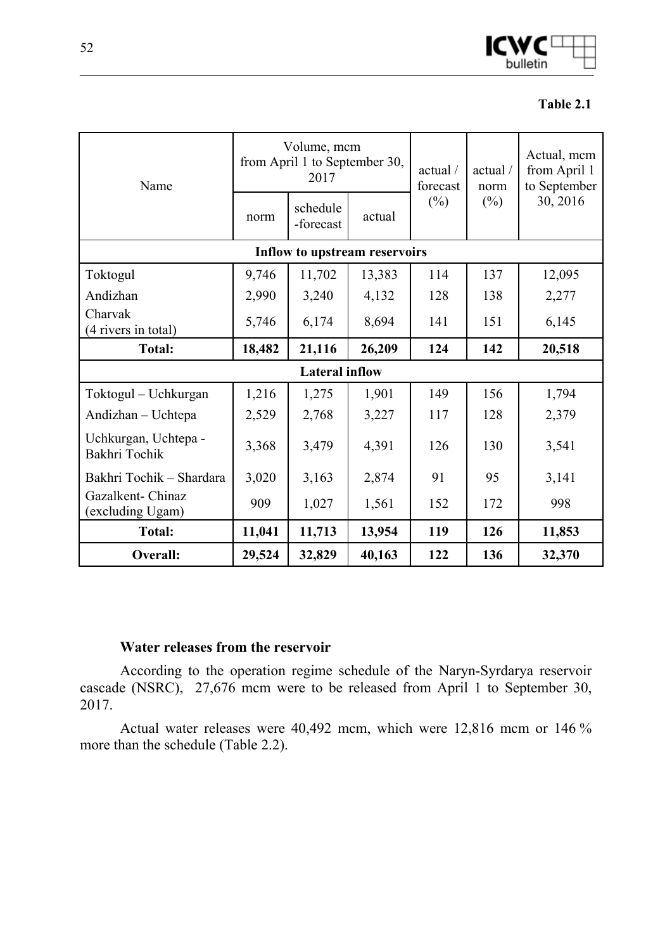

#### **Table 2.1**

| Name                                  |                  | Volume, mcm<br>from April 1 to September 30,<br>2017 |                               | actual /<br>forecast | actual /<br>norm | Actual, mcm<br>from April 1<br>to September<br>30, 2016 |  |
|---------------------------------------|------------------|------------------------------------------------------|-------------------------------|----------------------|------------------|---------------------------------------------------------|--|
|                                       | norm             | schedule<br>-forecast                                | actual                        | $(\%)$               | $(\%)$           |                                                         |  |
|                                       |                  |                                                      | Inflow to upstream reservoirs |                      |                  |                                                         |  |
| Toktogul                              | 9,746            | 11,702                                               | 13,383                        | 114                  | 137              | 12,095                                                  |  |
| Andizhan                              | 2,990            | 3,240                                                | 4,132                         | 128                  | 138              | 2,277                                                   |  |
| Charvak<br>(4 rivers in total)        | 5,746            | 6,174                                                | 8,694                         | 141                  | 151              | 6,145                                                   |  |
| <b>Total:</b>                         | 18,482<br>21,116 |                                                      | 26,209                        | 124                  | 142              | 20,518                                                  |  |
|                                       |                  | <b>Lateral inflow</b>                                |                               |                      |                  |                                                         |  |
| Toktogul – Uchkurgan                  | 1,216            | 1,275                                                | 1,901                         | 149                  | 156              | 1,794                                                   |  |
| Andizhan - Uchtepa                    | 2,529            | 2,768                                                | 3,227                         | 117                  | 128              | 2,379                                                   |  |
| Uchkurgan, Uchtepa -<br>Bakhri Tochik | 3,368            | 3,479                                                | 4,391                         | 126                  | 130              | 3,541                                                   |  |
| Bakhri Tochik - Shardara              | 3,020            | 3,163                                                | 2,874                         | 91                   | 95               | 3,141                                                   |  |
| Gazalkent- Chinaz<br>(excluding Ugam) | 909              | 1,027                                                | 1,561                         | 152                  | 172              | 998                                                     |  |
| <b>Total:</b>                         | 11,041           | 11,713                                               | 13,954                        | 119                  | 126              | 11,853                                                  |  |
| Overall:                              | 29,524           | 32,829                                               | 40,163                        | 122                  | 136              | 32,370                                                  |  |

### **Water releases from the reservoir**

According to the operation regime schedule of the Naryn-Syrdarya reservoir cascade (NSRC), 27,676 mcm were to be released from April 1 to September 30, 2017.

Actual water releases were 40,492 mcm, which were 12,816 mcm or 146 % more than the schedule (Table 2.2).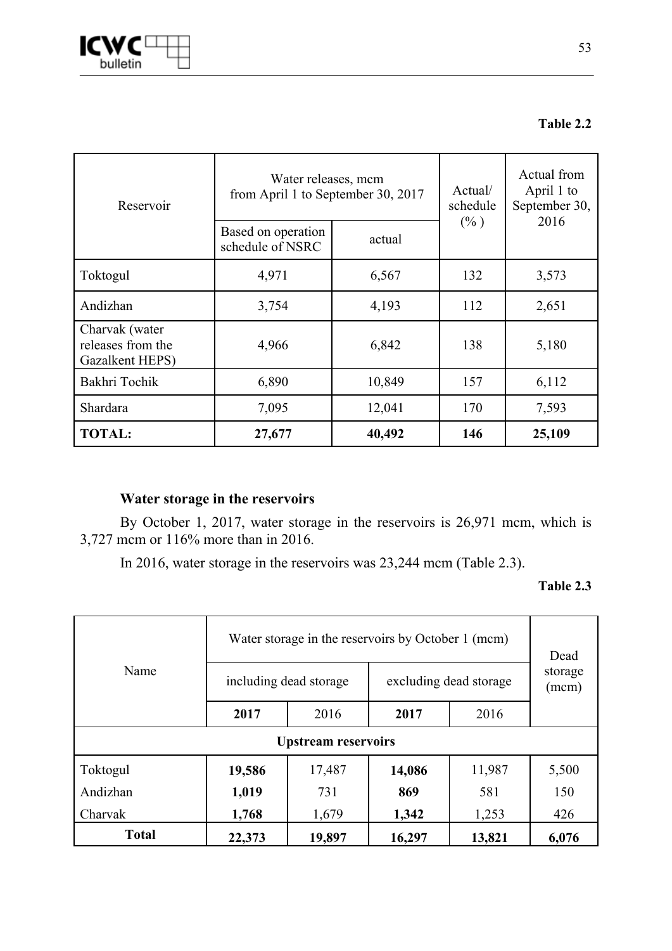

## **Table 2.2**

| Reservoir                                              | Water releases, mcm<br>from April 1 to September 30, 2017 |         | Actual/<br>schedule | Actual from<br>April 1 to<br>September 30, |  |
|--------------------------------------------------------|-----------------------------------------------------------|---------|---------------------|--------------------------------------------|--|
|                                                        | Based on operation<br>schedule of NSRC                    | $(\% )$ | 2016                |                                            |  |
| Toktogul                                               | 4,971                                                     | 6,567   | 132                 | 3,573                                      |  |
| Andizhan                                               | 3,754                                                     | 4,193   | 112                 | 2,651                                      |  |
| Charvak (water<br>releases from the<br>Gazalkent HEPS) | 4,966                                                     | 6,842   | 138                 | 5,180                                      |  |
| Bakhri Tochik                                          | 6,890                                                     | 10,849  | 157                 | 6,112                                      |  |
| Shardara                                               | 7,095                                                     | 12,041  | 170                 | 7,593                                      |  |
| <b>TOTAL:</b>                                          | 27,677                                                    | 40,492  | 146                 | 25,109                                     |  |

## **Water storage in the reservoirs**

By October 1, 2017, water storage in the reservoirs is 26,971 mcm, which is 3,727 mcm or 116% more than in 2016.

In 2016, water storage in the reservoirs was 23,244 mcm (Table 2.3).

#### **Table 2.3**

| Name         |        | Water storage in the reservoirs by October 1 (mcm) | Dead                   |                  |       |
|--------------|--------|----------------------------------------------------|------------------------|------------------|-------|
|              |        | including dead storage                             | excluding dead storage | storage<br>(mcm) |       |
|              | 2017   | 2016                                               | 2017                   |                  |       |
|              |        | <b>Upstream reservoirs</b>                         |                        |                  |       |
| Toktogul     | 19,586 | 17,487                                             | 14,086                 | 11,987           | 5,500 |
| Andizhan     | 1,019  | 731                                                | 869                    | 581              | 150   |
| Charvak      | 1,768  | 1,679                                              | 1,342                  | 1,253            | 426   |
| <b>Total</b> | 22,373 | 19,897                                             | 16,297                 | 13,821           | 6,076 |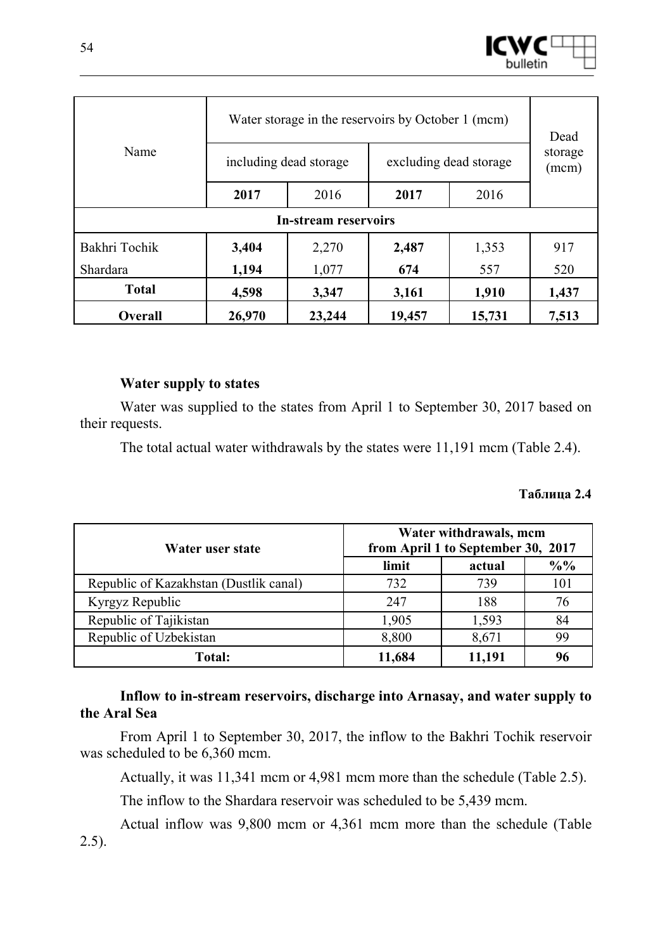

| Name          |        | Water storage in the reservoirs by October 1 (mcm) | Dead                   |                  |       |  |
|---------------|--------|----------------------------------------------------|------------------------|------------------|-------|--|
|               |        | including dead storage                             | excluding dead storage | storage<br>(mcm) |       |  |
|               | 2017   | 2016                                               | 2017                   |                  |       |  |
|               |        | <b>In-stream reservoirs</b>                        |                        |                  |       |  |
| Bakhri Tochik | 3,404  | 2,270                                              | 2,487                  | 1,353            | 917   |  |
| Shardara      | 1,194  | 1,077                                              | 674                    | 557              | 520   |  |
| <b>Total</b>  | 4,598  | 3,347<br>1,910<br>3,161                            |                        |                  |       |  |
| Overall       | 26,970 | 23,244                                             | 19,457                 | 15,731           | 7,513 |  |

## **Water supply to states**

Water was supplied to the states from April 1 to September 30, 2017 based on their requests.

The total actual water withdrawals by the states were 11,191 mcm (Table 2.4).

## **Таблица 2.4**

| Water user state                       | Water withdrawals, mcm<br>from April 1 to September 30, 2017 |        |                 |  |  |  |  |
|----------------------------------------|--------------------------------------------------------------|--------|-----------------|--|--|--|--|
|                                        | limit                                                        | actual | $\frac{0}{0}$ % |  |  |  |  |
| Republic of Kazakhstan (Dustlik canal) | 732                                                          | 739    | 101             |  |  |  |  |
| Kyrgyz Republic                        | 247                                                          | 188    | 76              |  |  |  |  |
| Republic of Tajikistan                 | 1,905                                                        | 1,593  | 84              |  |  |  |  |
| Republic of Uzbekistan                 | 8,800                                                        | 8,671  | 99              |  |  |  |  |
| <b>Total:</b>                          | 11,684                                                       | 11,191 | 96              |  |  |  |  |

## **Inflow to in-stream reservoirs, discharge into Arnasay, and water supply to the Aral Sea**

From April 1 to September 30, 2017, the inflow to the Bakhri Tochik reservoir was scheduled to be 6,360 mcm.

Actually, it was 11,341 mcm or 4,981 mcm more than the schedule (Table 2.5).

The inflow to the Shardara reservoir was scheduled to be 5,439 mcm.

Actual inflow was 9,800 mcm or 4,361 mcm more than the schedule (Table 2.5).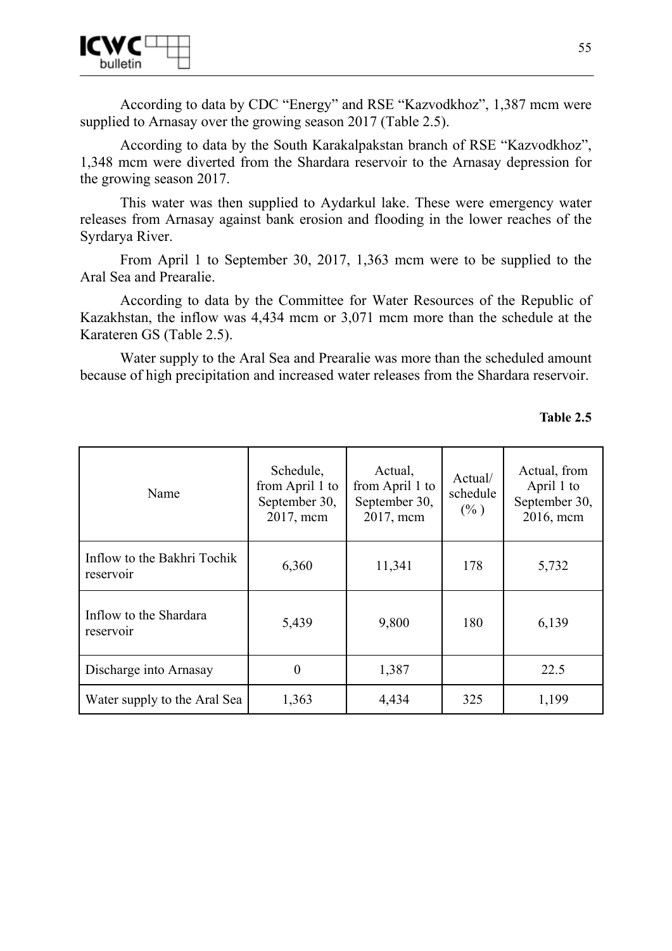

According to data by CDC "Energy" and RSE "Kazvodkhoz", 1,387 mcm were supplied to Arnasay over the growing season 2017 (Table 2.5).

According to data by the South Karakalpakstan branch of RSE "Kazvodkhoz", 1,348 mcm were diverted from the Shardara reservoir to the Arnasay depression for the growing season 2017.

This water was then supplied to Aydarkul lake. These were emergency water releases from Arnasay against bank erosion and flooding in the lower reaches of the Syrdarya River.

From April 1 to September 30, 2017, 1,363 mcm were to be supplied to the Aral Sea and Prearalie.

According to data by the Committee for Water Resources of the Republic of Kazakhstan, the inflow was 4,434 mcm or 3,071 mcm more than the schedule at the Karateren GS (Table 2.5).

Water supply to the Aral Sea and Prearalie was more than the scheduled amount because of high precipitation and increased water releases from the Shardara reservoir.

### **Table 2.5**

| Name                                     | Schedule,<br>from April 1 to<br>September 30,<br>2017, mcm | Actual,<br>from April 1 to<br>September 30,<br>2017, mcm | Actual/<br>schedule<br>$(\% )$ | Actual, from<br>April 1 to<br>September 30,<br>2016, mcm |
|------------------------------------------|------------------------------------------------------------|----------------------------------------------------------|--------------------------------|----------------------------------------------------------|
| Inflow to the Bakhri Tochik<br>reservoir | 6,360                                                      | 11,341                                                   | 178                            | 5,732                                                    |
| Inflow to the Shardara<br>reservoir      | 5,439                                                      | 9,800                                                    | 180                            | 6,139                                                    |
| Discharge into Arnasay                   | $\boldsymbol{0}$                                           | 1,387                                                    |                                | 22.5                                                     |
| 1,363<br>Water supply to the Aral Sea    |                                                            | 4,434                                                    | 325                            | 1,199                                                    |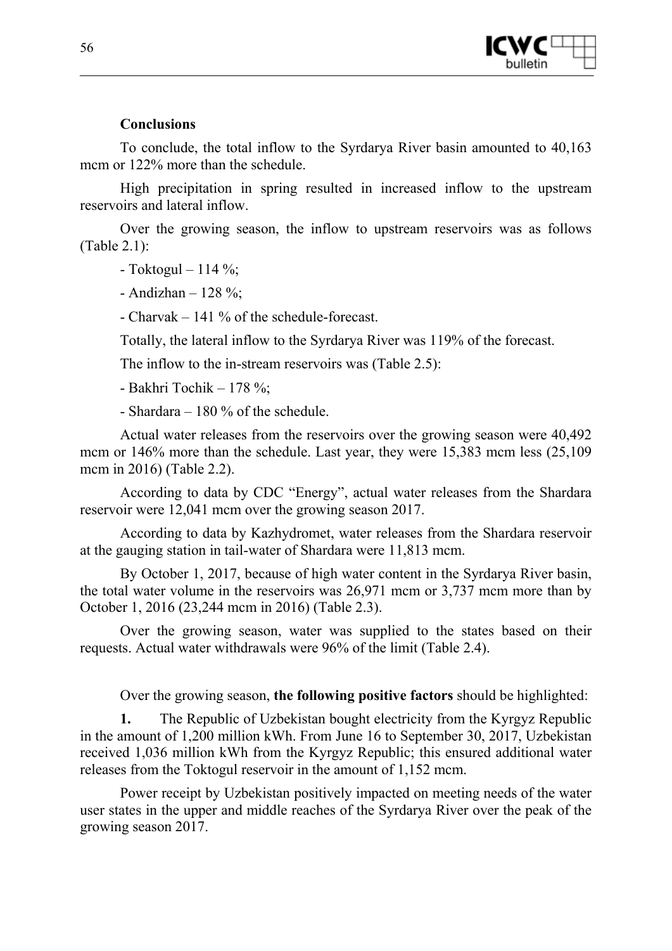

## **Conclusions**

To conclude, the total inflow to the Syrdarya River basin amounted to 40,163 mcm or  $122\%$  more than the schedule.

High precipitation in spring resulted in increased inflow to the upstream reservoirs and lateral inflow.

Over the growing season, the inflow to upstream reservoirs was as follows (Table 2.1):

 $-$  Toktogul – 114 %;

- Andizhan – 128 %;

- Charvak – 141 % of the schedule-forecast.

Totally, the lateral inflow to the Syrdarya River was 119% of the forecast.

The inflow to the in-stream reservoirs was (Table 2.5):

- Bakhri Tochik – 178 %;

- Shardara – 180 % of the schedule.

Actual water releases from the reservoirs over the growing season were 40,492 mcm or 146% more than the schedule. Last year, they were 15,383 mcm less (25,109) mcm in 2016) (Table 2.2).

According to data by CDC "Energy", actual water releases from the Shardara reservoir were 12,041 mcm over the growing season 2017.

According to data by Kazhydromet, water releases from the Shardara reservoir at the gauging station in tail-water of Shardara were 11,813 mcm.

By October 1, 2017, because of high water content in the Syrdarya River basin, the total water volume in the reservoirs was 26,971 mcm or 3,737 mcm more than by October 1, 2016 (23,244 mcm in 2016) (Table 2.3).

Over the growing season, water was supplied to the states based on their requests. Actual water withdrawals were 96% of the limit (Table 2.4).

Over the growing season, **the following positive factors** should be highlighted:

**1.** The Republic of Uzbekistan bought electricity from the Kyrgyz Republic in the amount of 1,200 million kWh. From June 16 to September 30, 2017, Uzbekistan received 1,036 million kWh from the Kyrgyz Republic; this ensured additional water releases from the Toktogul reservoir in the amount of 1,152 mcm.

Power receipt by Uzbekistan positively impacted on meeting needs of the water user states in the upper and middle reaches of the Syrdarya River over the peak of the growing season 2017.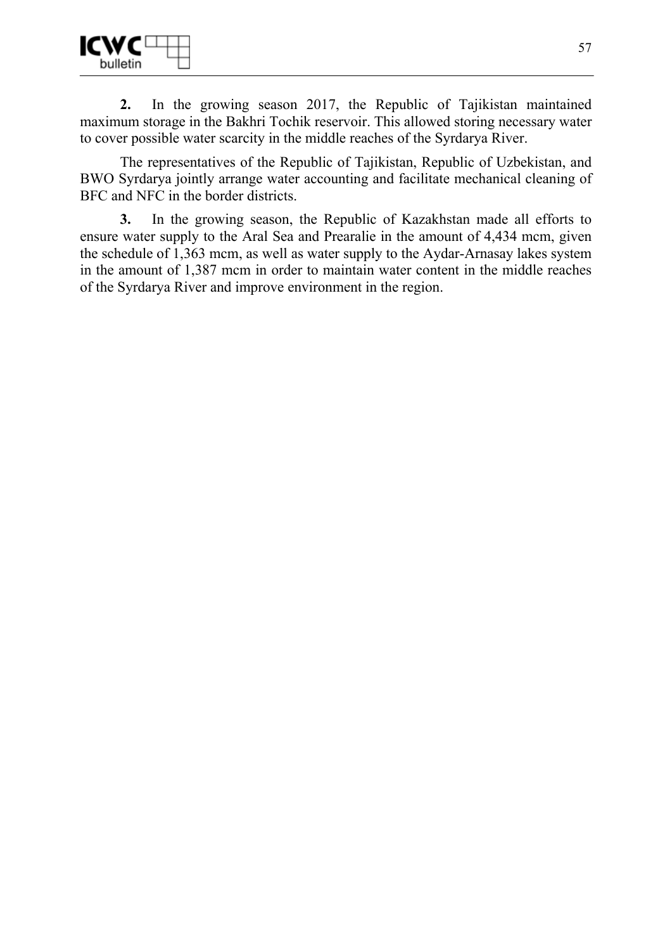

**2.** In the growing season 2017, the Republic of Tajikistan maintained maximum storage in the Bakhri Tochik reservoir. This allowed storing necessary water to cover possible water scarcity in the middle reaches of the Syrdarya River.

The representatives of the Republic of Tajikistan, Republic of Uzbekistan, and BWO Syrdarya jointly arrange water accounting and facilitate mechanical cleaning of BFC and NFC in the border districts.

**3.** In the growing season, the Republic of Kazakhstan made all efforts to ensure water supply to the Aral Sea and Prearalie in the amount of 4,434 mcm, given the schedule of 1,363 mcm, as well as water supply to the Aydar-Arnasay lakes system in the amount of 1,387 mcm in order to maintain water content in the middle reaches of the Syrdarya River and improve environment in the region.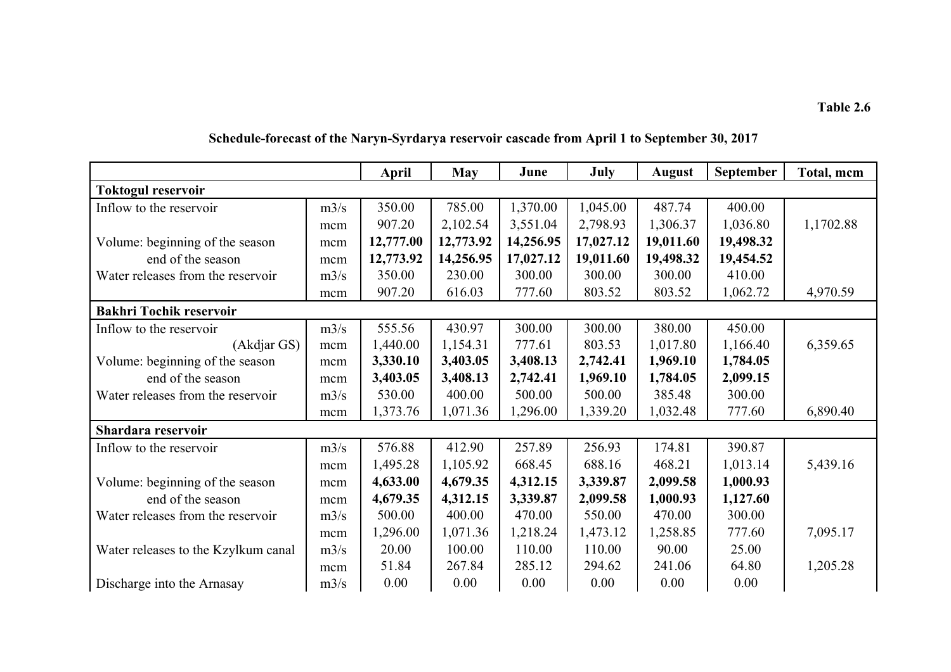|                                     |      | <b>April</b> | <b>May</b> | June      | July      | <b>August</b> | September | Total, mcm |
|-------------------------------------|------|--------------|------------|-----------|-----------|---------------|-----------|------------|
| <b>Toktogul reservoir</b>           |      |              |            |           |           |               |           |            |
| Inflow to the reservoir             | m3/s | 350.00       | 785.00     | 1,370.00  | 1,045.00  | 487.74        | 400.00    |            |
|                                     | mcm  | 907.20       | 2,102.54   | 3,551.04  | 2,798.93  | 1,306.37      | 1,036.80  | 1,1702.88  |
| Volume: beginning of the season     | mcm  | 12,777.00    | 12,773.92  | 14,256.95 | 17,027.12 | 19,011.60     | 19,498.32 |            |
| end of the season                   | mcm  | 12,773.92    | 14,256.95  | 17,027.12 | 19,011.60 | 19,498.32     | 19,454.52 |            |
| Water releases from the reservoir   | m3/s | 350.00       | 230.00     | 300.00    | 300.00    | 300.00        | 410.00    |            |
|                                     | mcm  | 907.20       | 616.03     | 777.60    | 803.52    | 803.52        | 1,062.72  | 4,970.59   |
| <b>Bakhri Tochik reservoir</b>      |      |              |            |           |           |               |           |            |
| Inflow to the reservoir             | m3/s | 555.56       | 430.97     | 300.00    | 300.00    | 380.00        | 450.00    |            |
| (Akdjar GS)                         | mcm  | 1,440.00     | 1,154.31   | 777.61    | 803.53    | 1,017.80      | 1,166.40  | 6,359.65   |
| Volume: beginning of the season     | mcm  | 3,330.10     | 3,403.05   | 3,408.13  | 2,742.41  | 1,969.10      | 1,784.05  |            |
| end of the season                   | mcm  | 3,403.05     | 3,408.13   | 2,742.41  | 1,969.10  | 1,784.05      | 2,099.15  |            |
| Water releases from the reservoir   | m3/s | 530.00       | 400.00     | 500.00    | 500.00    | 385.48        | 300.00    |            |
|                                     | mcm  | 1,373.76     | 1,071.36   | 1,296.00  | 1,339.20  | 1,032.48      | 777.60    | 6,890.40   |
| Shardara reservoir                  |      |              |            |           |           |               |           |            |
| Inflow to the reservoir             | m3/s | 576.88       | 412.90     | 257.89    | 256.93    | 174.81        | 390.87    |            |
|                                     | mcm  | 1,495.28     | 1,105.92   | 668.45    | 688.16    | 468.21        | 1,013.14  | 5,439.16   |
| Volume: beginning of the season     | mcm  | 4,633.00     | 4,679.35   | 4,312.15  | 3,339.87  | 2,099.58      | 1,000.93  |            |
| end of the season                   | mcm  | 4,679.35     | 4,312.15   | 3,339.87  | 2,099.58  | 1,000.93      | 1,127.60  |            |
| Water releases from the reservoir   | m3/s | 500.00       | 400.00     | 470.00    | 550.00    | 470.00        | 300.00    |            |
|                                     | mcm  | 1,296.00     | 1,071.36   | 1,218.24  | 1,473.12  | 1,258.85      | 777.60    | 7,095.17   |
| Water releases to the Kzylkum canal | m3/s | 20.00        | 100.00     | 110.00    | 110.00    | 90.00         | 25.00     |            |
|                                     | mcm  | 51.84        | 267.84     | 285.12    | 294.62    | 241.06        | 64.80     | 1,205.28   |
| Discharge into the Arnasay          | m3/s | 0.00         | 0.00       | 0.00      | 0.00      | 0.00          | 0.00      |            |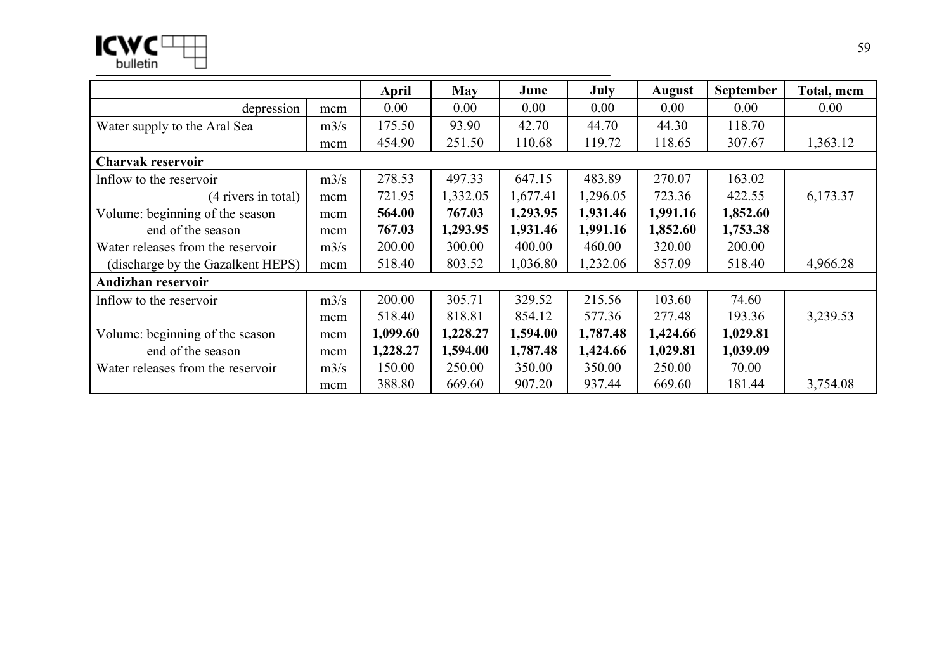|                                   |      | April    | <b>May</b> | June     | July     | August   | <b>September</b> | Total, mcm |
|-----------------------------------|------|----------|------------|----------|----------|----------|------------------|------------|
| depression                        | mcm  | 0.00     | 0.00       | 0.00     | 0.00     | 0.00     | 0.00             | 0.00       |
| Water supply to the Aral Sea      | m3/s | 175.50   | 93.90      | 42.70    | 44.70    | 44.30    | 118.70           |            |
|                                   | mcm  | 454.90   | 251.50     | 110.68   | 119.72   | 118.65   | 307.67           | 1,363.12   |
| Charvak reservoir                 |      |          |            |          |          |          |                  |            |
| Inflow to the reservoir           | m3/s | 278.53   | 497.33     | 647.15   | 483.89   | 270.07   | 163.02           |            |
| (4 rivers in total)               | mcm  | 721.95   | 1,332.05   | 1,677.41 | 1,296.05 | 723.36   | 422.55           | 6,173.37   |
| Volume: beginning of the season   | mcm  | 564.00   | 767.03     | 1,293.95 | 1,931.46 | 1,991.16 | 1,852.60         |            |
| end of the season                 | mcm  | 767.03   | 1,293.95   | 1,931.46 | 1,991.16 | 1,852.60 | 1,753.38         |            |
| Water releases from the reservoir | m3/s | 200.00   | 300.00     | 400.00   | 460.00   | 320.00   | 200.00           |            |
| (discharge by the Gazalkent HEPS) | mcm  | 518.40   | 803.52     | 1,036.80 | 1,232.06 | 857.09   | 518.40           | 4,966.28   |
| Andizhan reservoir                |      |          |            |          |          |          |                  |            |
| Inflow to the reservoir           | m3/s | 200.00   | 305.71     | 329.52   | 215.56   | 103.60   | 74.60            |            |
|                                   | mcm  | 518.40   | 818.81     | 854.12   | 577.36   | 277.48   | 193.36           | 3,239.53   |
| Volume: beginning of the season   | mcm  | 1,099.60 | 1,228.27   | 1,594.00 | 1,787.48 | 1,424.66 | 1,029.81         |            |
| end of the season                 | mcm  | 1,228.27 | 1,594.00   | 1,787.48 | 1,424.66 | 1,029.81 | 1,039.09         |            |
| Water releases from the reservoir | m3/s | 150.00   | 250.00     | 350.00   | 350.00   | 250.00   | 70.00            |            |
|                                   | mcm  | 388.80   | 669.60     | 907.20   | 937.44   | 669.60   | 181.44           | 3,754.08   |

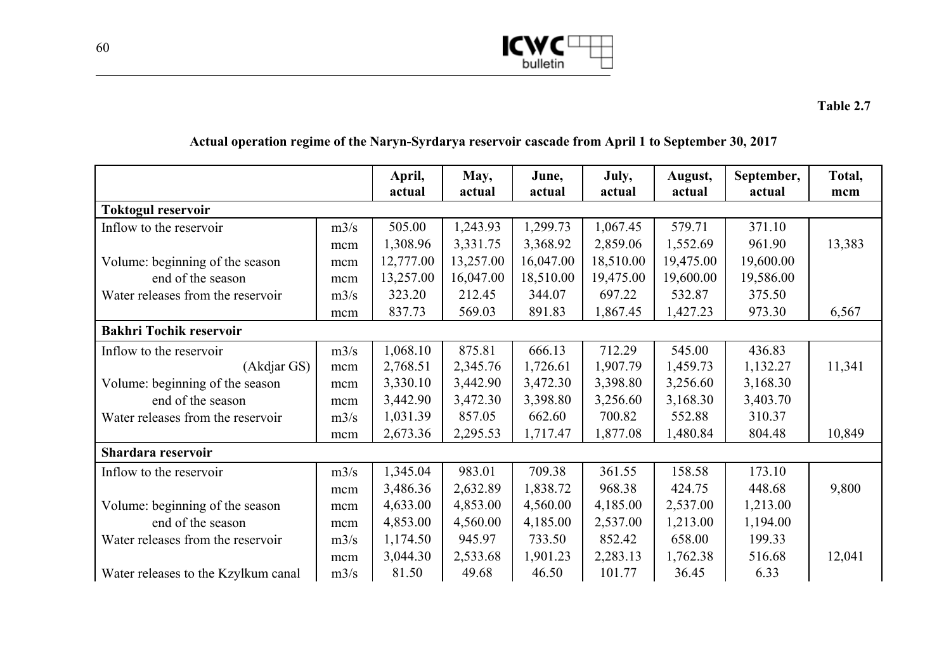

## **Actual operation regime of the Naryn-Syrdarya reservoir cascade from April 1 to September 30, 2017**

|                                     |      | April,<br>actual | May,<br>actual | June,<br>actual | July,<br>actual | August,<br>actual | September,<br>actual | Total,<br>mcm |
|-------------------------------------|------|------------------|----------------|-----------------|-----------------|-------------------|----------------------|---------------|
| <b>Toktogul reservoir</b>           |      |                  |                |                 |                 |                   |                      |               |
| Inflow to the reservoir             | m3/s | 505.00           | 1,243.93       | 1,299.73        | 1,067.45        | 579.71            | 371.10               |               |
|                                     | mcm  | 1,308.96         | 3,331.75       | 3,368.92        | 2,859.06        | 1,552.69          | 961.90               | 13,383        |
| Volume: beginning of the season     | mcm  | 12,777.00        | 13,257.00      | 16,047.00       | 18,510.00       | 19,475.00         | 19,600.00            |               |
| end of the season                   | mcm  | 13,257.00        | 16,047.00      | 18,510.00       | 19,475.00       | 19,600.00         | 19,586.00            |               |
| Water releases from the reservoir   | m3/s | 323.20           | 212.45         | 344.07          | 697.22          | 532.87            | 375.50               |               |
|                                     | mcm  | 837.73           | 569.03         | 891.83          | 1,867.45        | 1,427.23          | 973.30               | 6,567         |
| <b>Bakhri Tochik reservoir</b>      |      |                  |                |                 |                 |                   |                      |               |
| Inflow to the reservoir             | m3/s | 1,068.10         | 875.81         | 666.13          | 712.29          | 545.00            | 436.83               |               |
| (Akdjar GS)                         | mcm  | 2,768.51         | 2,345.76       | 1,726.61        | 1,907.79        | 1,459.73          | 1,132.27             | 11,341        |
| Volume: beginning of the season     | mcm  | 3,330.10         | 3,442.90       | 3,472.30        | 3,398.80        | 3,256.60          | 3,168.30             |               |
| end of the season                   | mcm  | 3,442.90         | 3,472.30       | 3,398.80        | 3,256.60        | 3,168.30          | 3,403.70             |               |
| Water releases from the reservoir   | m3/s | 1,031.39         | 857.05         | 662.60          | 700.82          | 552.88            | 310.37               |               |
|                                     | mcm  | 2,673.36         | 2,295.53       | 1,717.47        | 1,877.08        | 1,480.84          | 804.48               | 10,849        |
| Shardara reservoir                  |      |                  |                |                 |                 |                   |                      |               |
| Inflow to the reservoir             | m3/s | 1,345.04         | 983.01         | 709.38          | 361.55          | 158.58            | 173.10               |               |
|                                     | mcm  | 3,486.36         | 2,632.89       | 1,838.72        | 968.38          | 424.75            | 448.68               | 9,800         |
| Volume: beginning of the season     | mcm  | 4,633.00         | 4,853.00       | 4,560.00        | 4,185.00        | 2,537.00          | 1,213.00             |               |
| end of the season                   | mcm  | 4,853.00         | 4,560.00       | 4,185.00        | 2,537.00        | 1,213.00          | 1,194.00             |               |
| Water releases from the reservoir   | m3/s | 1,174.50         | 945.97         | 733.50          | 852.42          | 658.00            | 199.33               |               |
|                                     | mcm  | 3,044.30         | 2,533.68       | 1,901.23        | 2,283.13        | 1,762.38          | 516.68               | 12,041        |
| Water releases to the Kzylkum canal | m3/s | 81.50            | 49.68          | 46.50           | 101.77          | 36.45             | 6.33                 |               |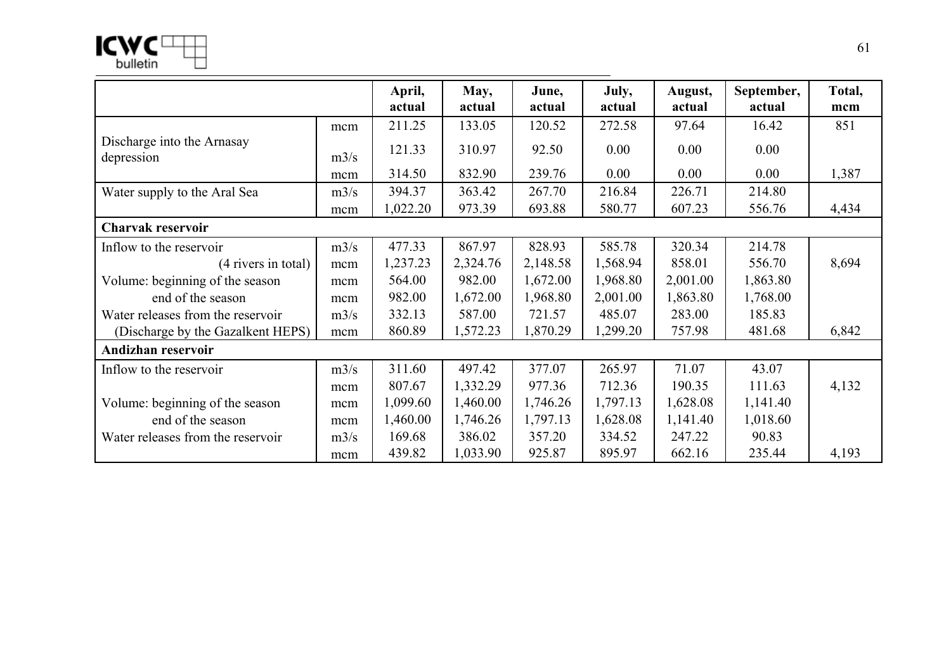$ICMC^{\square}$ 

|                                          |      | April,<br>actual | May,<br>actual | June,<br>actual | July,<br>actual | August,<br>actual | September,<br>actual | Total,<br>mcm |
|------------------------------------------|------|------------------|----------------|-----------------|-----------------|-------------------|----------------------|---------------|
|                                          | mcm  | 211.25           | 133.05         | 120.52          | 272.58          | 97.64             | 16.42                | 851           |
| Discharge into the Arnasay<br>depression | m3/s | 121.33           | 310.97         | 92.50           | 0.00            | 0.00              | 0.00                 |               |
|                                          | mcm  | 314.50           | 832.90         | 239.76          | 0.00            | 0.00              | 0.00                 | 1,387         |
| Water supply to the Aral Sea             | m3/s | 394.37           | 363.42         | 267.70          | 216.84          | 226.71            | 214.80               |               |
|                                          | mcm  | 1,022.20         | 973.39         | 693.88          | 580.77          | 607.23            | 556.76               | 4,434         |
| Charvak reservoir                        |      |                  |                |                 |                 |                   |                      |               |
| Inflow to the reservoir                  | m3/s | 477.33           | 867.97         | 828.93          | 585.78          | 320.34            | 214.78               |               |
| (4 rivers in total)                      | mcm  | 1,237.23         | 2,324.76       | 2,148.58        | 1,568.94        | 858.01            | 556.70               | 8,694         |
| Volume: beginning of the season          | mcm  | 564.00           | 982.00         | 1,672.00        | 1,968.80        | 2,001.00          | 1,863.80             |               |
| end of the season                        | mcm  | 982.00           | 1,672.00       | 1,968.80        | 2,001.00        | 1,863.80          | 1,768.00             |               |
| Water releases from the reservoir        | m3/s | 332.13           | 587.00         | 721.57          | 485.07          | 283.00            | 185.83               |               |
| (Discharge by the Gazalkent HEPS)        | mcm  | 860.89           | 1,572.23       | 1,870.29        | 1,299.20        | 757.98            | 481.68               | 6,842         |
| Andizhan reservoir                       |      |                  |                |                 |                 |                   |                      |               |
| Inflow to the reservoir                  | m3/s | 311.60           | 497.42         | 377.07          | 265.97          | 71.07             | 43.07                |               |
|                                          | mcm  | 807.67           | 1,332.29       | 977.36          | 712.36          | 190.35            | 111.63               | 4,132         |
| Volume: beginning of the season          | mcm  | 1,099.60         | 1,460.00       | 1,746.26        | 1,797.13        | 1,628.08          | 1,141.40             |               |
| end of the season                        | mcm  | 1,460.00         | 1,746.26       | 1,797.13        | 1,628.08        | 1,141.40          | 1,018.60             |               |
| Water releases from the reservoir        | m3/s | 169.68           | 386.02         | 357.20          | 334.52          | 247.22            | 90.83                |               |
|                                          | mcm  | 439.82           | 1,033.90       | 925.87          | 895.97          | 662.16            | 235.44               | 4,193         |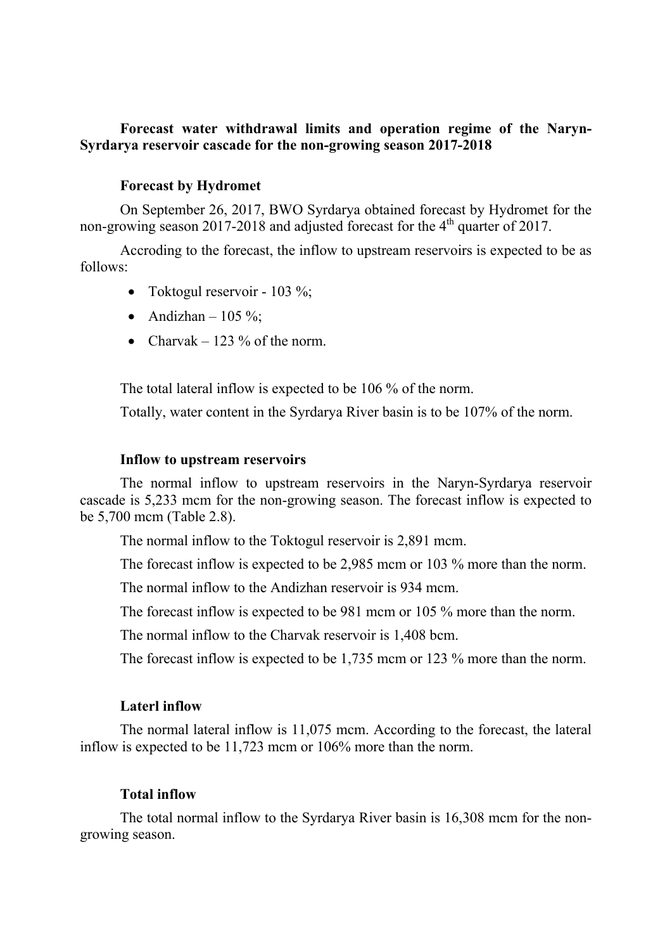## **Forecast water withdrawal limits and operation regime of the Naryn-Syrdarya reservoir cascade for the non-growing season 2017-2018**

### **Forecast by Hydromet**

On September 26, 2017, BWO Syrdarya obtained forecast by Hydromet for the non-growing season 2017-2018 and adjusted forecast for the 4<sup>th</sup> quarter of 2017.

Accroding to the forecast, the inflow to upstream reservoirs is expected to be as follows:

- Toktogul reservoir 103 %;
- Andizhan  $105\%$ :
- Charvak 123  $\%$  of the norm.

The total lateral inflow is expected to be 106 % of the norm.

Totally, water content in the Syrdarya River basin is to be 107% of the norm.

#### **Inflow to upstream reservoirs**

The normal inflow to upstream reservoirs in the Naryn-Syrdarya reservoir cascade is 5,233 mcm for the non-growing season. The forecast inflow is expected to be 5,700 mcm (Table 2.8).

The normal inflow to the Toktogul reservoir is 2,891 mcm.

The forecast inflow is expected to be 2,985 mcm or 103 % more than the norm.

The normal inflow to the Andizhan reservoir is 934 mcm.

The forecast inflow is expected to be 981 mcm or 105 % more than the norm.

The normal inflow to the Charvak reservoir is 1,408 bcm.

The forecast inflow is expected to be 1,735 mcm or 123 % more than the norm.

### **Laterl inflow**

The normal lateral inflow is 11,075 mcm. According to the forecast, the lateral inflow is expected to be 11,723 mcm or 106% more than the norm.

### **Total inflow**

The total normal inflow to the Syrdarya River basin is 16,308 mcm for the nongrowing season.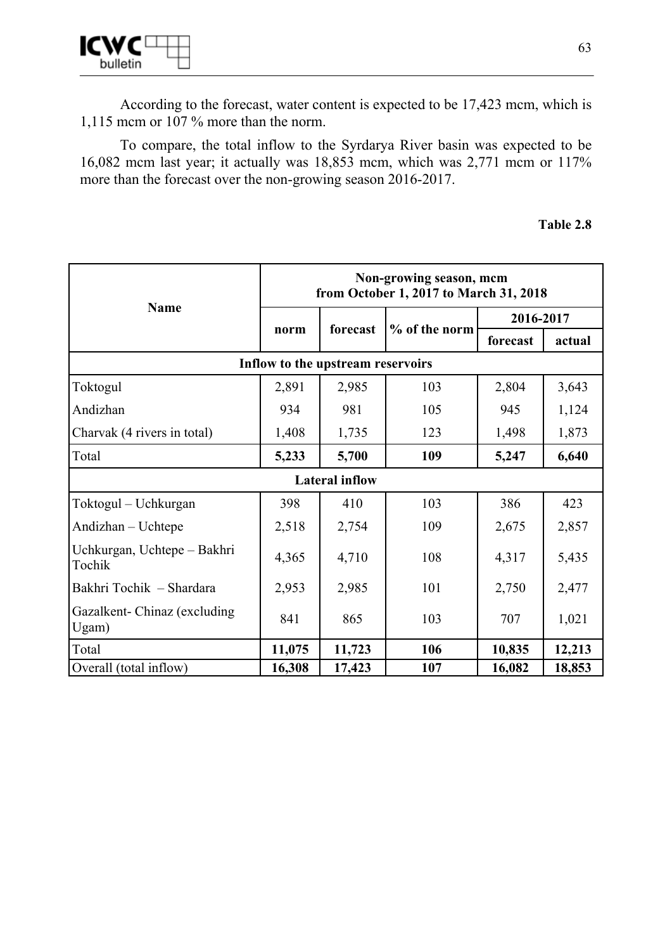

According to the forecast, water content is expected to be 17,423 mcm, which is 1,115 mcm or 107 % more than the norm.

To compare, the total inflow to the Syrdarya River basin was expected to be 16,082 mcm last year; it actually was 18,853 mcm, which was 2,771 mcm or 117% more than the forecast over the non-growing season 2016-2017.

| Table 2.8 |  |
|-----------|--|
|-----------|--|

|                                       | Non-growing season, mcm<br>from October 1, 2017 to March 31, 2018 |                                   |               |           |        |  |  |  |
|---------------------------------------|-------------------------------------------------------------------|-----------------------------------|---------------|-----------|--------|--|--|--|
| <b>Name</b>                           |                                                                   | forecast                          | % of the norm | 2016-2017 |        |  |  |  |
|                                       | norm                                                              |                                   |               | forecast  | actual |  |  |  |
|                                       |                                                                   | Inflow to the upstream reservoirs |               |           |        |  |  |  |
| Toktogul                              | 2,891                                                             | 2,985                             | 103           | 2,804     | 3,643  |  |  |  |
| Andizhan                              | 934                                                               | 981                               | 105           | 945       | 1,124  |  |  |  |
| Charvak (4 rivers in total)           | 1,408                                                             | 1,735                             | 123           | 1,498     | 1,873  |  |  |  |
| Total                                 | 5,233                                                             | 5,700                             | 109           | 5,247     | 6,640  |  |  |  |
| <b>Lateral inflow</b>                 |                                                                   |                                   |               |           |        |  |  |  |
| Toktogul - Uchkurgan                  | 398                                                               | 410                               | 103           | 386       | 423    |  |  |  |
| Andizhan - Uchtepe                    | 2,518                                                             | 2,754                             | 109           | 2,675     | 2,857  |  |  |  |
| Uchkurgan, Uchtepe - Bakhri<br>Tochik | 4,365                                                             | 4,710                             | 108           | 4,317     | 5,435  |  |  |  |
| Bakhri Tochik - Shardara              | 2,953                                                             | 2,985                             | 101           | 2,750     | 2,477  |  |  |  |
| Gazalkent-Chinaz (excluding)<br>Ugam) | 841                                                               | 865                               | 103           | 707       | 1,021  |  |  |  |
| Total                                 | 11,075                                                            | 11,723                            | 106           | 10,835    | 12,213 |  |  |  |
| Overall (total inflow)                | 16,308                                                            | 17,423                            | 107           | 16,082    | 18,853 |  |  |  |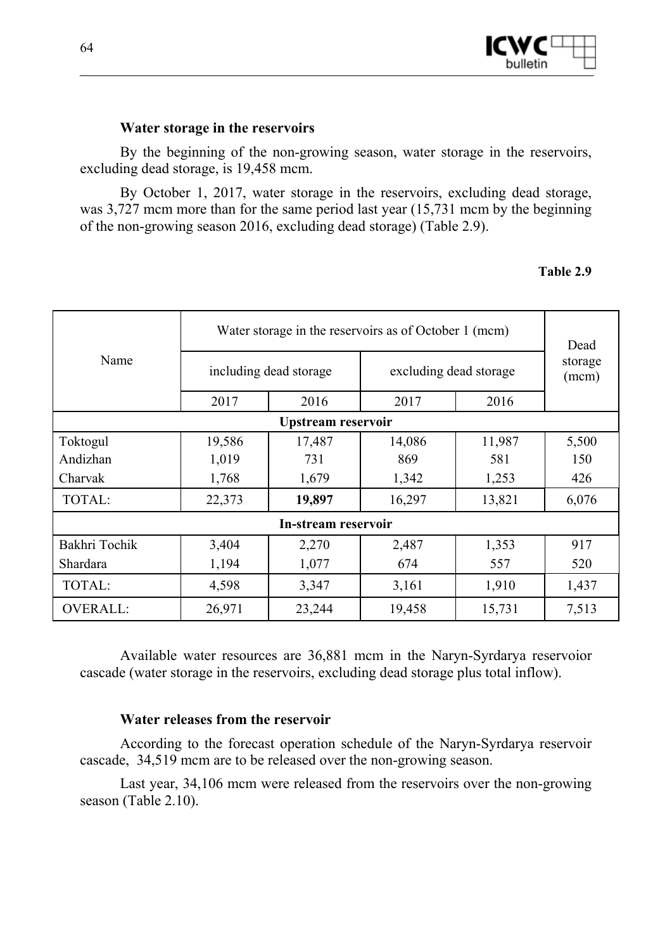

## **Water storage in the reservoirs**

By the beginning of the non-growing season, water storage in the reservoirs, excluding dead storage, is 19,458 mcm.

By October 1, 2017, water storage in the reservoirs, excluding dead storage, was 3,727 mcm more than for the same period last year (15,731 mcm by the beginning of the non-growing season 2016, excluding dead storage) (Table 2.9).

### **Table 2.9**

|                     | Water storage in the reservoirs as of October 1 (mcm) | Dead                   |                        |                  |       |  |  |  |  |  |
|---------------------|-------------------------------------------------------|------------------------|------------------------|------------------|-------|--|--|--|--|--|
| Name                |                                                       | including dead storage | excluding dead storage | storage<br>(mcm) |       |  |  |  |  |  |
|                     | 2017                                                  | 2016                   | 2017                   | 2016             |       |  |  |  |  |  |
|                     | Upstream reservoir                                    |                        |                        |                  |       |  |  |  |  |  |
| Toktogul            | 19,586                                                | 17,487                 | 14,086                 | 11,987           | 5,500 |  |  |  |  |  |
| Andizhan            | 1,019                                                 | 731                    | 869                    | 581              | 150   |  |  |  |  |  |
| Charvak             | 1,768                                                 | 1,679                  | 1,342                  | 1,253            | 426   |  |  |  |  |  |
| TOTAL:              | 22,373                                                | 19,897                 | 16,297                 | 13,821           | 6,076 |  |  |  |  |  |
| In-stream reservoir |                                                       |                        |                        |                  |       |  |  |  |  |  |
| Bakhri Tochik       | 3,404                                                 | 2,270                  | 2,487                  | 1,353            | 917   |  |  |  |  |  |
| Shardara            | 1,194                                                 | 1,077                  | 674                    | 557              | 520   |  |  |  |  |  |
| TOTAL:              | 4,598                                                 | 3,347                  | 3,161                  | 1,910            | 1,437 |  |  |  |  |  |
| <b>OVERALL:</b>     | 26,971                                                | 23,244                 | 19,458                 | 15,731           | 7,513 |  |  |  |  |  |

Available water resources are 36,881 mcm in the Naryn-Syrdarya reservoior cascade (water storage in the reservoirs, excluding dead storage plus total inflow).

### **Water releases from the reservoir**

According to the forecast operation schedule of the Naryn-Syrdarya reservoir cascade, 34,519 mcm are to be released over the non-growing season.

Last year, 34,106 mcm were released from the reservoirs over the non-growing season (Table 2.10).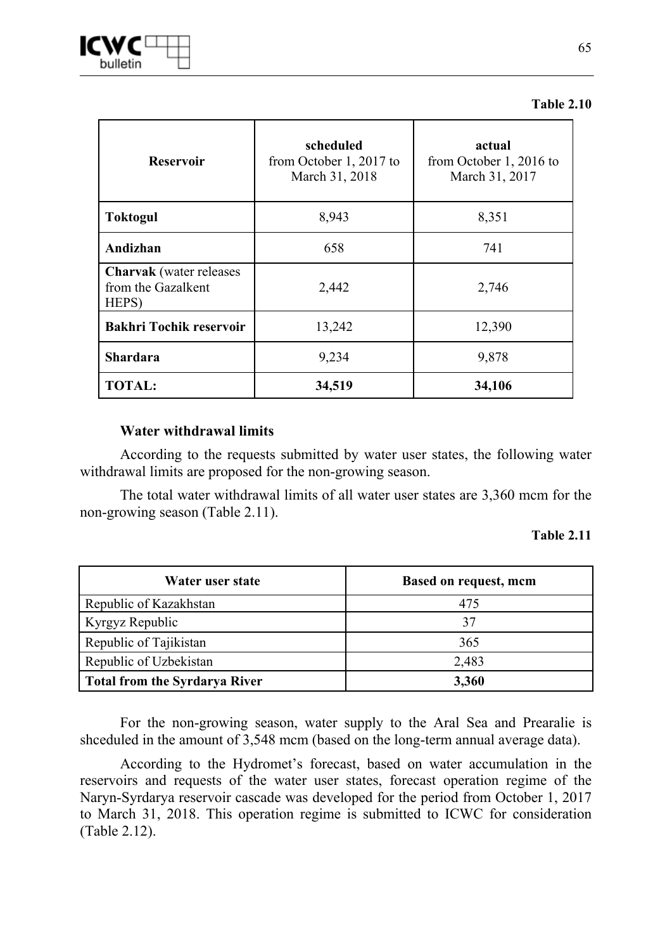| <b>Reservoir</b>                                              | scheduled<br>from October 1, 2017 to<br>March 31, 2018 | actual<br>from October 1, 2016 to<br>March 31, 2017 |  |  |  |
|---------------------------------------------------------------|--------------------------------------------------------|-----------------------------------------------------|--|--|--|
| <b>Toktogul</b>                                               | 8,943                                                  | 8,351                                               |  |  |  |
| Andizhan                                                      | 658                                                    | 741                                                 |  |  |  |
| <b>Charvak</b> (water releases<br>from the Gazalkent<br>HEPS) | 2,442                                                  | 2,746                                               |  |  |  |
| <b>Bakhri Tochik reservoir</b>                                | 13,242                                                 | 12,390                                              |  |  |  |
| <b>Shardara</b>                                               | 9,234                                                  | 9,878                                               |  |  |  |
| <b>TOTAL:</b>                                                 | 34,519                                                 | 34,106                                              |  |  |  |

#### **Table 2.10**

## **Water withdrawal limits**

According to the requests submitted by water user states, the following water withdrawal limits are proposed for the non-growing season.

The total water withdrawal limits of all water user states are 3,360 mcm for the non-growing season (Table 2.11).

#### **Table 2.11**

| Water user state                     | <b>Based on request, mcm</b> |
|--------------------------------------|------------------------------|
| Republic of Kazakhstan               | 475                          |
| Kyrgyz Republic                      | 37                           |
| Republic of Tajikistan               | 365                          |
| Republic of Uzbekistan               | 2,483                        |
| <b>Total from the Syrdarya River</b> | 3,360                        |

For the non-growing season, water supply to the Aral Sea and Prearalie is shceduled in the amount of 3,548 mcm (based on the long-term annual average data).

According to the Hydromet's forecast, based on water accumulation in the reservoirs and requests of the water user states, forecast operation regime of the Naryn-Syrdarya reservoir cascade was developed for the period from October 1, 2017 to March 31, 2018. This operation regime is submitted to ICWC for consideration (Table 2.12).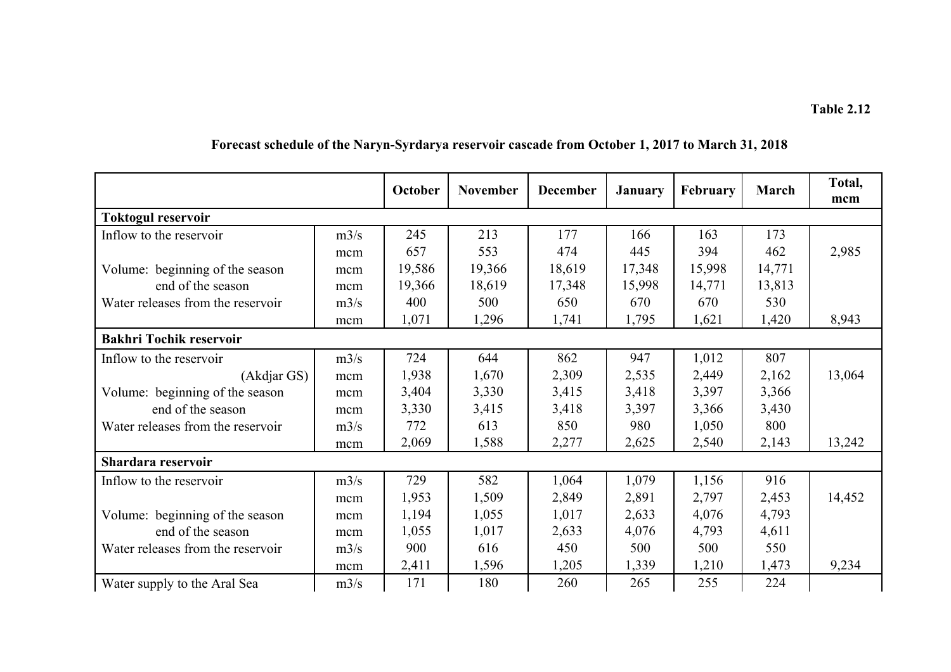|                                   |      | October | <b>November</b> | <b>December</b> | <b>January</b> | February | March  | Total,<br>mcm |
|-----------------------------------|------|---------|-----------------|-----------------|----------------|----------|--------|---------------|
| <b>Toktogul reservoir</b>         |      |         |                 |                 |                |          |        |               |
| Inflow to the reservoir           | m3/s | 245     | 213             | 177             | 166            | 163      | 173    |               |
|                                   | mcm  | 657     | 553             | 474             | 445            | 394      | 462    | 2,985         |
| Volume: beginning of the season   | mcm  | 19,586  | 19,366          | 18,619          | 17,348         | 15,998   | 14,771 |               |
| end of the season                 | mcm  | 19,366  | 18,619          | 17,348          | 15,998         | 14,771   | 13,813 |               |
| Water releases from the reservoir | m3/s | 400     | 500             | 650             | 670            | 670      | 530    |               |
|                                   | mcm  | 1,071   | 1,296           | 1,741           | 1,795          | 1,621    | 1,420  | 8,943         |
| <b>Bakhri Tochik reservoir</b>    |      |         |                 |                 |                |          |        |               |
| Inflow to the reservoir           | m3/s | 724     | 644             | 862             | 947            | 1,012    | 807    |               |
| (Akdjar GS)                       | mcm  | 1,938   | 1,670           | 2,309           | 2,535          | 2,449    | 2,162  | 13,064        |
| Volume: beginning of the season   | mcm  | 3,404   | 3,330           | 3,415           | 3,418          | 3,397    | 3,366  |               |
| end of the season                 | mcm  | 3,330   | 3,415           | 3,418           | 3,397          | 3,366    | 3,430  |               |
| Water releases from the reservoir | m3/s | 772     | 613             | 850             | 980            | 1,050    | 800    |               |
|                                   | mcm  | 2,069   | 1,588           | 2,277           | 2,625          | 2,540    | 2,143  | 13,242        |
| Shardara reservoir                |      |         |                 |                 |                |          |        |               |
| Inflow to the reservoir           | m3/s | 729     | 582             | 1,064           | 1,079          | 1,156    | 916    |               |
|                                   | mcm  | 1,953   | 1,509           | 2,849           | 2,891          | 2,797    | 2,453  | 14,452        |
| Volume: beginning of the season   | mcm  | 1,194   | 1,055           | 1,017           | 2,633          | 4,076    | 4,793  |               |
| end of the season                 | mcm  | 1,055   | 1,017           | 2,633           | 4,076          | 4,793    | 4,611  |               |
| Water releases from the reservoir | m3/s | 900     | 616             | 450             | 500            | 500      | 550    |               |
|                                   | mcm  | 2,411   | 1,596           | 1,205           | 1,339          | 1,210    | 1,473  | 9,234         |
| Water supply to the Aral Sea      | m3/s | 171     | 180             | 260             | 265            | 255      | 224    |               |

# **Forecast schedule of the Naryn-Syrdarya reservoir cascade from October 1, 2017 to March 31, 2018**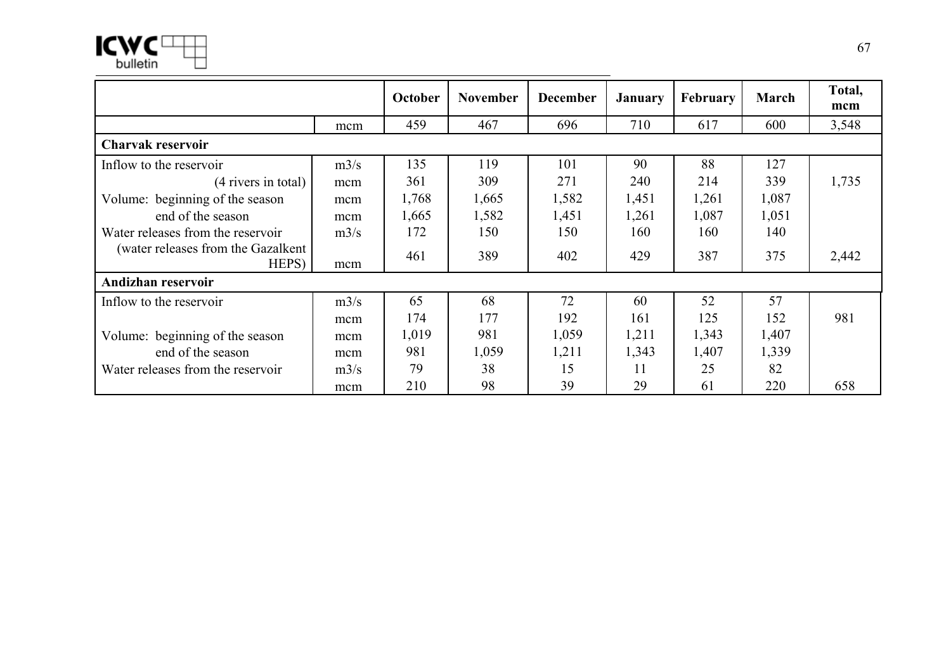

|                                              |      | October | <b>November</b> | <b>December</b> | <b>January</b> | <b>February</b> | <b>March</b> | Total,<br>mcm |
|----------------------------------------------|------|---------|-----------------|-----------------|----------------|-----------------|--------------|---------------|
|                                              | mcm  | 459     | 467             | 696             | 710            | 617             | 600          | 3,548         |
| <b>Charvak reservoir</b>                     |      |         |                 |                 |                |                 |              |               |
| Inflow to the reservoir                      | m3/s | 135     | 119             | 101             | 90             | 88              | 127          |               |
| (4 rivers in total)                          | mcm  | 361     | 309             | 271             | 240            | 214             | 339          | 1,735         |
| Volume: beginning of the season              | mcm  | 1,768   | 1,665           | 1,582           | 1,451          | 1,261           | 1,087        |               |
| end of the season                            | mcm  | 1,665   | 1,582           | 1,451           | 1,261          | 1,087           | 1,051        |               |
| Water releases from the reservoir            | m3/s | 172     | 150             | 150             | 160            | 160             | 140          |               |
| (water releases from the Gazalkent)<br>HEPS) | mcm  | 461     | 389             | 402             | 429            | 387             | 375          | 2,442         |
| Andizhan reservoir                           |      |         |                 |                 |                |                 |              |               |
| Inflow to the reservoir                      | m3/s | 65      | 68              | 72              | 60             | 52              | 57           |               |
|                                              | mcm  | 174     | 177             | 192             | 161            | 125             | 152          | 981           |
| Volume: beginning of the season              | mcm  | 1,019   | 981             | 1,059           | 1,211          | 1,343           | 1,407        |               |
| end of the season                            | mcm  | 981     | 1,059           | 1,211           | 1,343          | 1,407           | 1,339        |               |
| Water releases from the reservoir            | m3/s | 79      | 38              | 15              | 11             | 25              | 82           |               |
|                                              | mcm  | 210     | 98              | 39              | 29             | 61              | 220          | 658           |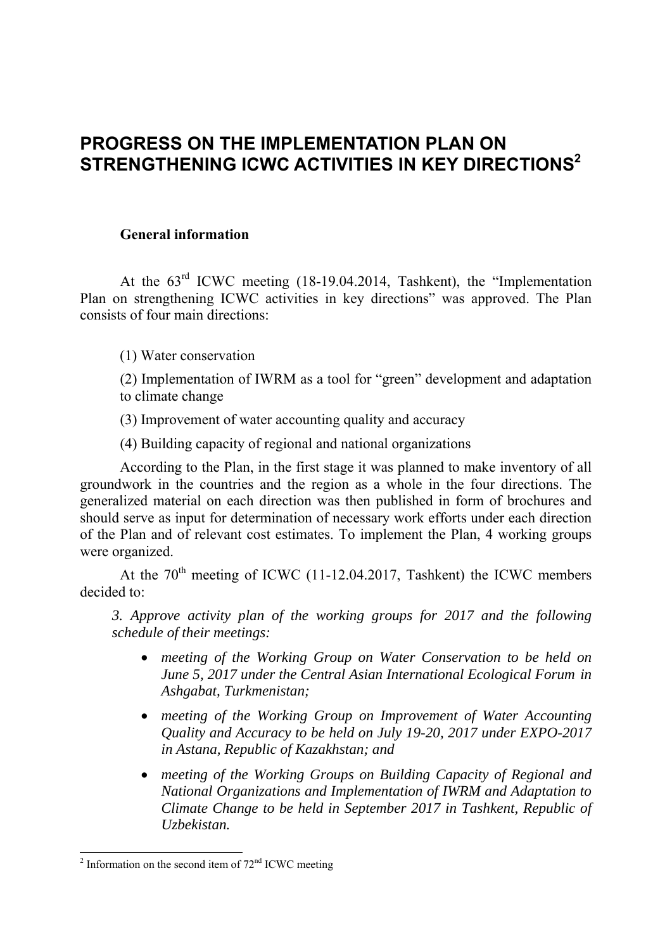# **PROGRESS ON THE IMPLEMENTATION PLAN ON STRENGTHENING ICWC ACTIVITIES IN KEY DIRECTIONS2**

## **General information**

At the  $63<sup>rd</sup>$  ICWC meeting (18-19.04.2014, Tashkent), the "Implementation Plan on strengthening ICWC activities in key directions" was approved. The Plan consists of four main directions:

(1) Water conservation

(2) Implementation of IWRM as a tool for "green" development and adaptation to climate change

(3) Improvement of water accounting quality and accuracy

(4) Building capacity of regional and national organizations

According to the Plan, in the first stage it was planned to make inventory of all groundwork in the countries and the region as a whole in the four directions. The generalized material on each direction was then published in form of brochures and should serve as input for determination of necessary work efforts under each direction of the Plan and of relevant cost estimates. To implement the Plan, 4 working groups were organized.

At the  $70<sup>th</sup>$  meeting of ICWC (11-12.04.2017, Tashkent) the ICWC members decided to:

*3. Approve activity plan of the working groups for 2017 and the following schedule of their meetings:* 

- *meeting of the Working Group on Water Conservation to be held on June 5, 2017 under the Central Asian International Ecological Forum in Ashgabat, Turkmenistan;*
- *meeting of the Working Group on Improvement of Water Accounting Quality and Accuracy to be held on July 19-20, 2017 under EXPO-2017 in Astana, Republic of Kazakhstan; and*
- *meeting of the Working Groups on Building Capacity of Regional and National Organizations and Implementation of IWRM and Adaptation to Climate Change to be held in September 2017 in Tashkent, Republic of Uzbekistan.*

 $\overline{a}$  Information on the second item of  $72<sup>nd</sup>$  ICWC meeting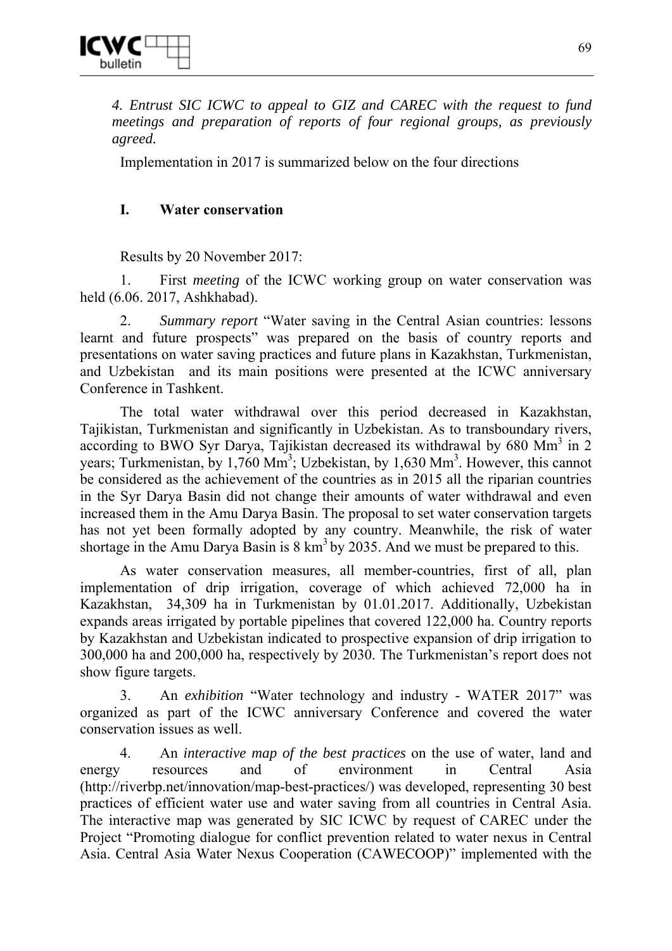*4. Entrust SIC ICWC to appeal to GIZ and CAREC with the request to fund meetings and preparation of reports of four regional groups, as previously agreed.* 

Implementation in 2017 is summarized below on the four directions

## **I. Water conservation**

Results by 20 November 2017:

1. First *meeting* of the ICWC working group on water conservation was held (6.06. 2017, Ashkhabad).

2. *Summary report* "Water saving in the Central Asian countries: lessons learnt and future prospects" was prepared on the basis of country reports and presentations on water saving practices and future plans in Kazakhstan, Turkmenistan, and Uzbekistan and its main positions were presented at the ICWC anniversary Conference in Tashkent.

The total water withdrawal over this period decreased in Kazakhstan, Tajikistan, Turkmenistan and significantly in Uzbekistan. As to transboundary rivers, according to BWO Syr Darya, Tajikistan decreased its withdrawal by  $680 \text{ Mm}^3$  in 2 years; Turkmenistan, by 1,760  $\text{Mm}^3$ ; Uzbekistan, by 1,630  $\text{Mm}^3$ . However, this cannot be considered as the achievement of the countries as in 2015 all the riparian countries in the Syr Darya Basin did not change their amounts of water withdrawal and even increased them in the Amu Darya Basin. The proposal to set water conservation targets has not yet been formally adopted by any country. Meanwhile, the risk of water shortage in the Amu Darya Basin is  $8 \text{ km}^3$  by 2035. And we must be prepared to this.

As water conservation measures, all member-countries, first of all, plan implementation of drip irrigation, coverage of which achieved 72,000 ha in Kazakhstan, 34,309 ha in Turkmenistan by 01.01.2017. Additionally, Uzbekistan expands areas irrigated by portable pipelines that covered 122,000 ha. Country reports by Kazakhstan and Uzbekistan indicated to prospective expansion of drip irrigation to 300,000 ha and 200,000 ha, respectively by 2030. The Turkmenistan's report does not show figure targets.

3. An *exhibition* "Water technology and industry - WATER 2017" was organized as part of the ICWC anniversary Conference and covered the water conservation issues as well.

4. An *interactive map of the best practices* on the use of water, land and energy resources and of environment in Central Asia (http://riverbp.net/innovation/map-best-practices/) was developed, representing 30 best practices of efficient water use and water saving from all countries in Central Asia. The interactive map was generated by SIC ICWC by request of CAREC under the Project "Promoting dialogue for conflict prevention related to water nexus in Central Asia. Central Asia Water Nexus Cooperation (CAWECOOP)" implemented with the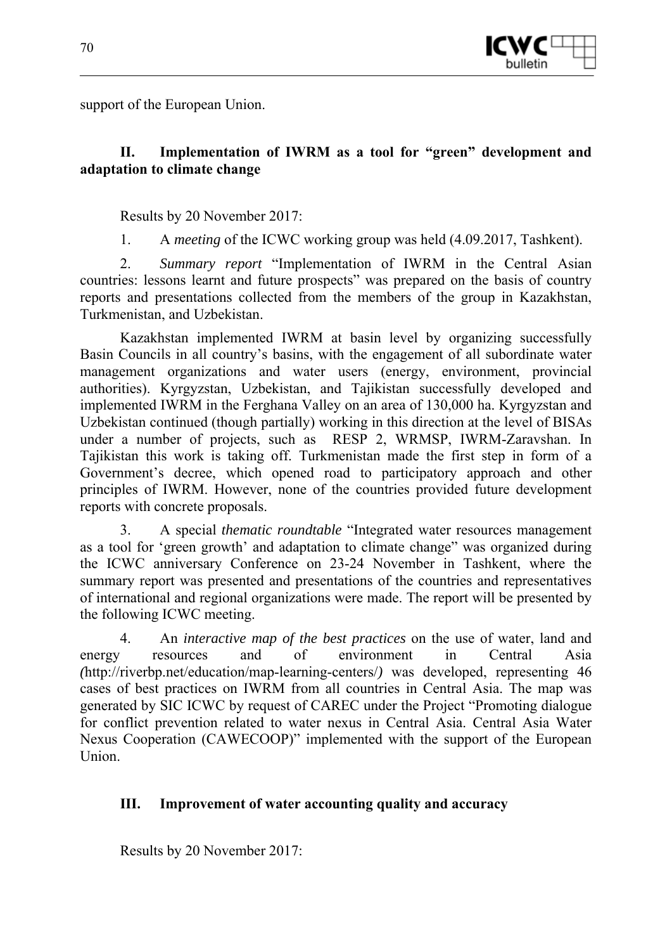

support of the European Union.

## **II. Implementation of IWRM as a tool for "green" development and adaptation to climate change**

Results by 20 November 2017:

1. A *meeting* of the ICWC working group was held (4.09.2017, Tashkent).

2. *Summary report* "Implementation of IWRM in the Central Asian countries: lessons learnt and future prospects" was prepared on the basis of country reports and presentations collected from the members of the group in Kazakhstan, Turkmenistan, and Uzbekistan.

Kazakhstan implemented IWRM at basin level by organizing successfully Basin Councils in all country's basins, with the engagement of all subordinate water management organizations and water users (energy, environment, provincial authorities). Kyrgyzstan, Uzbekistan, and Tajikistan successfully developed and implemented IWRM in the Ferghana Valley on an area of 130,000 ha. Kyrgyzstan and Uzbekistan continued (though partially) working in this direction at the level of BISAs under a number of projects, such as RESP 2, WRMSP, IWRM-Zaravshan. In Tajikistan this work is taking off. Turkmenistan made the first step in form of a Government's decree, which opened road to participatory approach and other principles of IWRM. However, none of the countries provided future development reports with concrete proposals.

3. A special *thematic roundtable* "Integrated water resources management as a tool for 'green growth' and adaptation to climate change" was organized during the ICWC anniversary Conference on 23-24 November in Tashkent, where the summary report was presented and presentations of the countries and representatives of international and regional organizations were made. The report will be presented by the following ICWC meeting.

4. An *interactive map of the best practices* on the use of water, land and energy resources and of environment in Central Asia *(*http://riverbp.net/education/map-learning-centers/*)* was developed, representing 46 cases of best practices on IWRM from all countries in Central Asia. The map was generated by SIC ICWC by request of CAREC under the Project "Promoting dialogue for conflict prevention related to water nexus in Central Asia. Central Asia Water Nexus Cooperation (CAWECOOP)" implemented with the support of the European Union.

## **III. Improvement of water accounting quality and accuracy**

Results by 20 November 2017: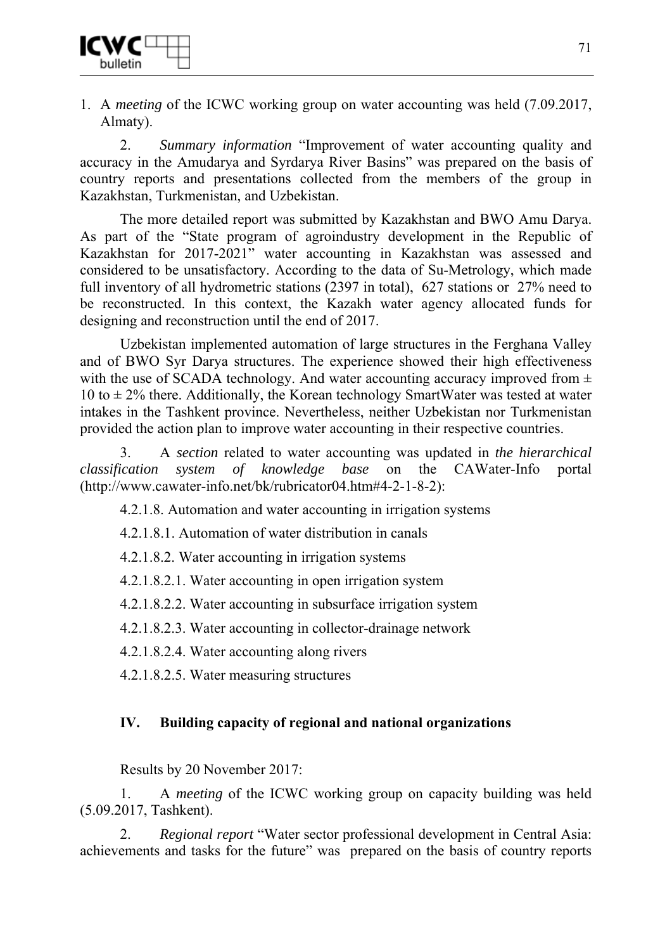

1. A *meeting* of the ICWC working group on water accounting was held (7.09.2017, Almaty).

2. *Summary information* "Improvement of water accounting quality and accuracy in the Amudarya and Syrdarya River Basins" was prepared on the basis of country reports and presentations collected from the members of the group in Kazakhstan, Turkmenistan, and Uzbekistan.

The more detailed report was submitted by Kazakhstan and BWO Amu Darya. As part of the "State program of agroindustry development in the Republic of Kazakhstan for 2017-2021" water accounting in Kazakhstan was assessed and considered to be unsatisfactory. According to the data of Su-Metrology, which made full inventory of all hydrometric stations (2397 in total), 627 stations or 27% need to be reconstructed. In this context, the Kazakh water agency allocated funds for designing and reconstruction until the end of 2017.

Uzbekistan implemented automation of large structures in the Ferghana Valley and of BWO Syr Darya structures. The experience showed their high effectiveness with the use of SCADA technology. And water accounting accuracy improved from  $\pm$ 10 to  $\pm$  2% there. Additionally, the Korean technology SmartWater was tested at water intakes in the Tashkent province. Nevertheless, neither Uzbekistan nor Turkmenistan provided the action plan to improve water accounting in their respective countries.

3. A *section* related to water accounting was updated in *the hierarchical classification system of knowledge base* on the CAWater-Info portal (http://www.cawater-info.net/bk/rubricator04.htm#4-2-1-8-2):

4.2.1.8. Automation and water accounting in irrigation systems

4.2.1.8.1. Automation of water distribution in canals

4.2.1.8.2. Water accounting in irrigation systems

4.2.1.8.2.1. Water accounting in open irrigation system

4.2.1.8.2.2. Water accounting in subsurface irrigation system

4.2.1.8.2.3. Water accounting in collector-drainage network

4.2.1.8.2.4. Water accounting along rivers

4.2.1.8.2.5. Water measuring structures

## **IV. Building capacity of regional and national organizations**

Results by 20 November 2017:

1. A *meeting* of the ICWC working group on capacity building was held (5.09.2017, Tashkent).

2. *Regional report* "Water sector professional development in Central Asia: achievements and tasks for the future" was prepared on the basis of country reports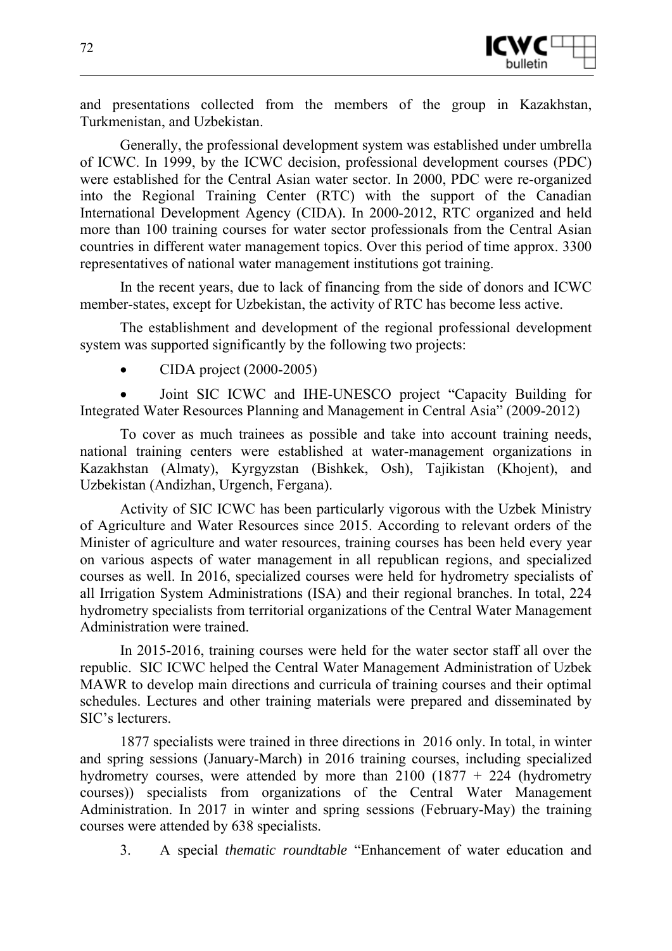

and presentations collected from the members of the group in Kazakhstan, Turkmenistan, and Uzbekistan.

Generally, the professional development system was established under umbrella of ICWC. In 1999, by the ICWC decision, professional development courses (PDC) were established for the Central Asian water sector. In 2000, PDC were re-organized into the Regional Training Center (RTC) with the support of the Canadian International Development Agency (CIDA). In 2000-2012, RTC organized and held more than 100 training courses for water sector professionals from the Central Asian countries in different water management topics. Over this period of time approx. 3300 representatives of national water management institutions got training.

In the recent years, due to lack of financing from the side of donors and ICWC member-states, except for Uzbekistan, the activity of RTC has become less active.

The establishment and development of the regional professional development system was supported significantly by the following two projects:

• CIDA project (2000-2005)

• Joint SIC ICWC and IHE-UNESCO project "Capacity Building for Integrated Water Resources Planning and Management in Central Asia" (2009-2012)

To cover as much trainees as possible and take into account training needs, national training centers were established at water-management organizations in Kazakhstan (Almaty), Kyrgyzstan (Bishkek, Osh), Tajikistan (Khojent), and Uzbekistan (Andizhan, Urgench, Fergana).

Activity of SIC ICWC has been particularly vigorous with the Uzbek Ministry of Agriculture and Water Resources since 2015. According to relevant orders of the Minister of agriculture and water resources, training courses has been held every year on various aspects of water management in all republican regions, and specialized courses as well. In 2016, specialized courses were held for hydrometry specialists of all Irrigation System Administrations (ISA) and their regional branches. In total, 224 hydrometry specialists from territorial organizations of the Central Water Management Administration were trained.

In 2015-2016, training courses were held for the water sector staff all over the republic. SIC ICWC helped the Central Water Management Administration of Uzbek MAWR to develop main directions and curricula of training courses and their optimal schedules. Lectures and other training materials were prepared and disseminated by SIC's lecturers.

1877 specialists were trained in three directions in 2016 only. In total, in winter and spring sessions (January-March) in 2016 training courses, including specialized hydrometry courses, were attended by more than  $2100$  (1877 + 224 (hydrometry courses)) specialists from organizations of the Central Water Management Administration. In 2017 in winter and spring sessions (February-May) the training courses were attended by 638 specialists.

3. A special *thematic roundtable* "Enhancement of water education and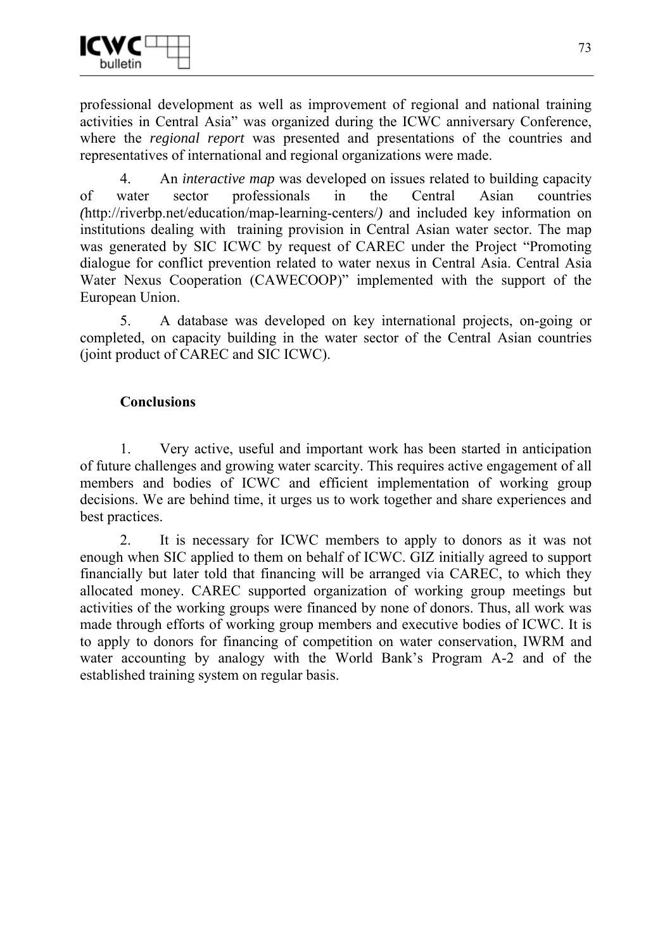

professional development as well as improvement of regional and national training activities in Central Asia" was organized during the ICWC anniversary Conference, where the *regional report* was presented and presentations of the countries and representatives of international and regional organizations were made.

4. An *interactive map* was developed on issues related to building capacity of water sector professionals in the Central Asian countries *(*http://riverbp.net/education/map-learning-centers/*)* and included key information on institutions dealing with training provision in Central Asian water sector. The map was generated by SIC ICWC by request of CAREC under the Project "Promoting dialogue for conflict prevention related to water nexus in Central Asia. Central Asia Water Nexus Cooperation (CAWECOOP)" implemented with the support of the European Union.

5. A database was developed on key international projects, on-going or completed, on capacity building in the water sector of the Central Asian countries (joint product of CAREC and SIC ICWC).

#### **Conclusions**

1. Very active, useful and important work has been started in anticipation of future challenges and growing water scarcity. This requires active engagement of all members and bodies of ICWC and efficient implementation of working group decisions. We are behind time, it urges us to work together and share experiences and best practices.

2. It is necessary for ICWC members to apply to donors as it was not enough when SIC applied to them on behalf of ICWC. GIZ initially agreed to support financially but later told that financing will be arranged via CAREC, to which they allocated money. CAREC supported organization of working group meetings but activities of the working groups were financed by none of donors. Thus, all work was made through efforts of working group members and executive bodies of ICWC. It is to apply to donors for financing of competition on water conservation, IWRM and water accounting by analogy with the World Bank's Program A-2 and of the established training system on regular basis.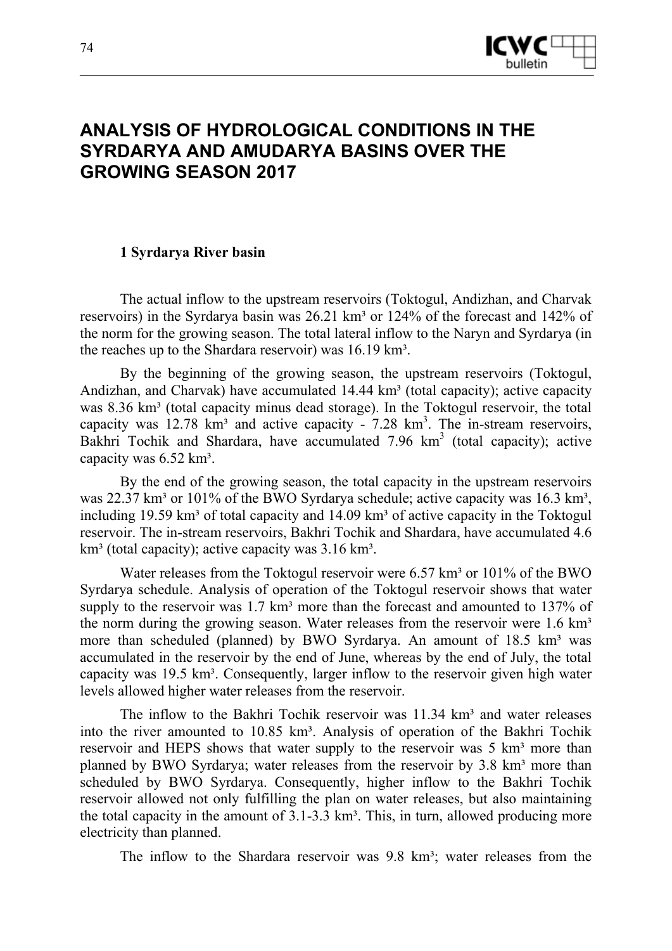

## **ANALYSIS OF HYDROLOGICAL CONDITIONS IN THE SYRDARYA AND AMUDARYA BASINS OVER THE GROWING SEASON 2017**

#### **1 Syrdarya River basin**

The actual inflow to the upstream reservoirs (Toktogul, Andizhan, and Charvak reservoirs) in the Syrdarya basin was 26.21 km<sup>3</sup> or 124% of the forecast and 142% of the norm for the growing season. The total lateral inflow to the Naryn and Syrdarya (in the reaches up to the Shardara reservoir) was 16.19 km<sup>3</sup>.

By the beginning of the growing season, the upstream reservoirs (Toktogul, Andizhan, and Charvak) have accumulated  $14.44 \text{ km}^3$  (total capacity); active capacity was 8.36 km<sup>3</sup> (total capacity minus dead storage). In the Toktogul reservoir, the total capacity was  $12.78$  km<sup>3</sup> and active capacity -  $7.28$  km<sup>3</sup>. The in-stream reservoirs, Bakhri Tochik and Shardara, have accumulated 7.96 km<sup>3</sup> (total capacity); active capacity was 6.52 km<sup>3</sup>.

By the end of the growing season, the total capacity in the upstream reservoirs was  $22.37 \text{ km}^3$  or  $101\%$  of the BWO Syrdarya schedule; active capacity was  $16.3 \text{ km}^3$ , including 19.59 km<sup>3</sup> of total capacity and  $14.09$  km<sup>3</sup> of active capacity in the Toktogul reservoir. The in-stream reservoirs, Bakhri Tochik and Shardara, have accumulated 4.6  $km<sup>3</sup>$  (total capacity); active capacity was  $3.16 \text{ km}^3$ .

Water releases from the Toktogul reservoir were  $6.57 \text{ km}^3$  or  $101\%$  of the BWO Syrdarya schedule. Analysis of operation of the Toktogul reservoir shows that water supply to the reservoir was  $1.7 \text{ km}^3$  more than the forecast and amounted to  $137\%$  of the norm during the growing season. Water releases from the reservoir were  $1.6 \text{ km}^3$ more than scheduled (planned) by BWO Syrdarya. An amount of 18.5 km<sup>3</sup> was accumulated in the reservoir by the end of June, whereas by the end of July, the total capacity was  $19.5 \text{ km}^3$ . Consequently, larger inflow to the reservoir given high water levels allowed higher water releases from the reservoir.

The inflow to the Bakhri Tochik reservoir was  $11.34 \text{ km}^3$  and water releases into the river amounted to 10.85 km<sup>3</sup>. Analysis of operation of the Bakhri Tochik reservoir and HEPS shows that water supply to the reservoir was 5 km<sup>3</sup> more than planned by BWO Syrdarya; water releases from the reservoir by 3.8 km<sup>3</sup> more than scheduled by BWO Syrdarya. Consequently, higher inflow to the Bakhri Tochik reservoir allowed not only fulfilling the plan on water releases, but also maintaining the total capacity in the amount of  $3.1-3.3 \text{ km}^3$ . This, in turn, allowed producing more electricity than planned.

The inflow to the Shardara reservoir was 9.8 km<sup>3</sup>; water releases from the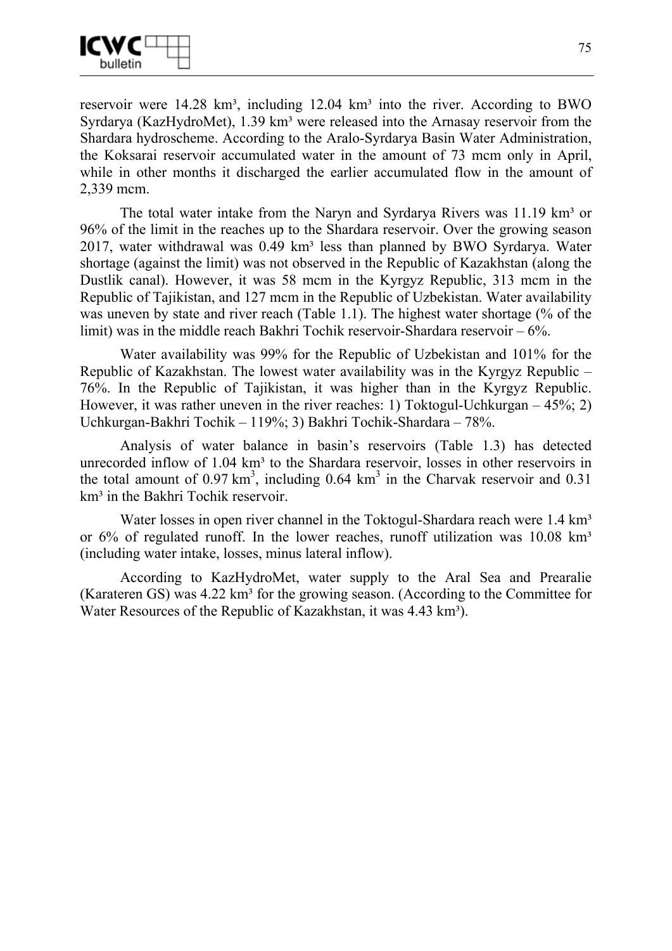

reservoir were  $14.28 \text{ km}^3$ , including  $12.04 \text{ km}^3$  into the river. According to BWO Syrdarya (KazHydroMet), 1.39 km<sup>3</sup> were released into the Arnasay reservoir from the Shardara hydroscheme. According to the Aralo-Syrdarya Basin Water Administration, the Koksarai reservoir accumulated water in the amount of 73 mcm only in April, while in other months it discharged the earlier accumulated flow in the amount of 2,339 mcm.

The total water intake from the Naryn and Syrdarya Rivers was  $11.19 \text{ km}^3$  or 96% of the limit in the reaches up to the Shardara reservoir. Over the growing season 2017, water withdrawal was  $0.49 \text{ km}^3$  less than planned by BWO Syrdarya. Water shortage (against the limit) was not observed in the Republic of Kazakhstan (along the Dustlik canal). However, it was 58 mcm in the Kyrgyz Republic, 313 mcm in the Republic of Tajikistan, and 127 mcm in the Republic of Uzbekistan. Water availability was uneven by state and river reach (Table 1.1). The highest water shortage (% of the limit) was in the middle reach Bakhri Tochik reservoir-Shardara reservoir  $-6\%$ .

Water availability was 99% for the Republic of Uzbekistan and 101% for the Republic of Kazakhstan. The lowest water availability was in the Kyrgyz Republic – 76%. In the Republic of Tajikistan, it was higher than in the Kyrgyz Republic. However, it was rather uneven in the river reaches: 1) Toktogul-Uchkurgan – 45%; 2) Uchkurgan-Bakhri Tochik – 119%; 3) Bakhri Tochik-Shardara – 78%.

Analysis of water balance in basin's reservoirs (Table 1.3) has detected unrecorded inflow of 1.04 km<sup>3</sup> to the Shardara reservoir, losses in other reservoirs in the total amount of  $0.97 \text{ km}^3$ , including  $0.64 \text{ km}^3$  in the Charvak reservoir and  $0.31$ km<sup>3</sup> in the Bakhri Tochik reservoir.

Water losses in open river channel in the Toktogul-Shardara reach were 1.4 km<sup>3</sup> or  $6\%$  of regulated runoff. In the lower reaches, runoff utilization was 10.08 km<sup>3</sup> (including water intake, losses, minus lateral inflow).

According to KazHydroMet, water supply to the Aral Sea and Prearalie (Karateren GS) was  $4.22 \text{ km}^3$  for the growing season. (According to the Committee for Water Resources of the Republic of Kazakhstan, it was 4.43 km<sup>3</sup>).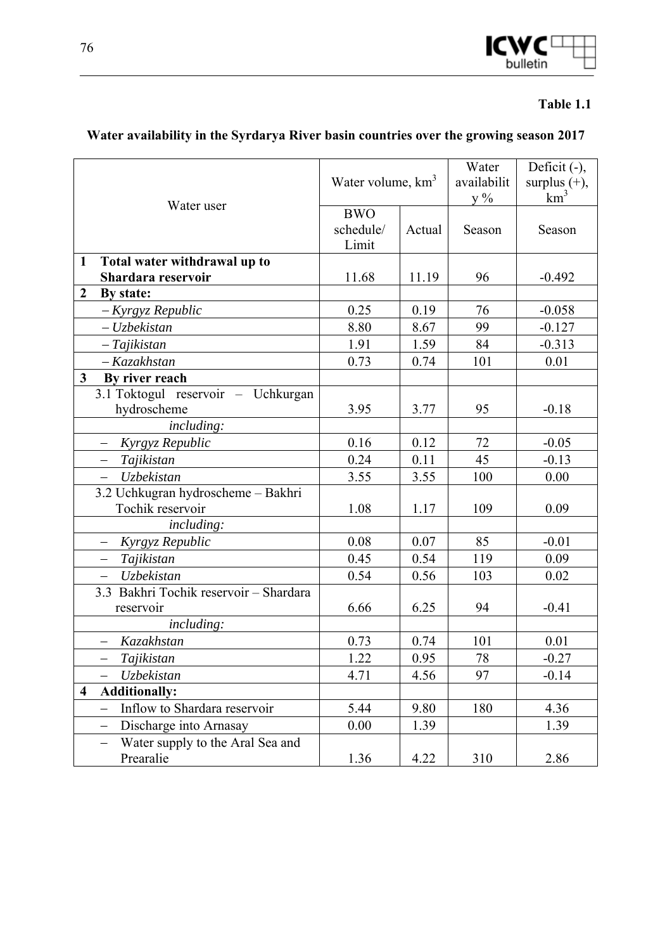

#### **Table 1.1**

# **Water availability in the Syrdarya River basin countries over the growing season 2017**

|                                                                    | Water volume, km <sup>3</sup>    |        | Water<br>availabilit<br>$y\%$ | Deficit (-),<br>surplus $(+)$ ,<br>$km^3$ |
|--------------------------------------------------------------------|----------------------------------|--------|-------------------------------|-------------------------------------------|
| Water user                                                         | <b>BWO</b><br>schedule/<br>Limit | Actual | Season                        | Season                                    |
| Total water withdrawal up to<br>$\mathbf{1}$<br>Shardara reservoir | 11.68                            | 11.19  | 96                            | $-0.492$                                  |
| $\boldsymbol{2}$<br>By state:                                      |                                  |        |                               |                                           |
| - Kyrgyz Republic                                                  | 0.25                             | 0.19   | 76                            | $-0.058$                                  |
| $-Uz$ bekistan                                                     | 8.80                             | 8.67   | 99                            | $-0.127$                                  |
| $-Tajikistan$                                                      | 1.91                             | 1.59   | 84                            | $-0.313$                                  |
| - Kazakhstan                                                       | 0.73                             | 0.74   | 101                           | 0.01                                      |
| 3 <sup>1</sup><br>By river reach                                   |                                  |        |                               |                                           |
| 3.1 Toktogul reservoir - Uchkurgan                                 |                                  |        |                               |                                           |
| hydroscheme                                                        | 3.95                             | 3.77   | 95                            | $-0.18$                                   |
| including:                                                         |                                  |        |                               |                                           |
| Kyrgyz Republic                                                    | 0.16                             | 0.12   | 72                            | $-0.05$                                   |
| Tajikistan                                                         | 0.24                             | 0.11   | 45                            | $-0.13$                                   |
| <b>Uzbekistan</b><br>$\overline{\phantom{0}}$                      | 3.55                             | 3.55   | 100                           | 0.00                                      |
| 3.2 Uchkugran hydroscheme - Bakhri                                 |                                  |        |                               |                                           |
| Tochik reservoir                                                   | 1.08                             | 1.17   | 109                           | 0.09                                      |
| <i>including:</i>                                                  |                                  |        |                               |                                           |
| Kyrgyz Republic                                                    | 0.08                             | 0.07   | 85                            | $-0.01$                                   |
| Tajikistan<br>—                                                    | 0.45                             | 0.54   | 119                           | 0.09                                      |
| <b>Uzbekistan</b>                                                  | 0.54                             | 0.56   | 103                           | 0.02                                      |
| 3.3 Bakhri Tochik reservoir - Shardara<br>reservoir                | 6.66                             | 6.25   | 94                            | $-0.41$                                   |
| <i>including:</i>                                                  |                                  |        |                               |                                           |
| Kazakhstan<br>$\overline{\phantom{0}}$                             | 0.73                             | 0.74   | 101                           | 0.01                                      |
| Tajikistan<br>$\equiv$                                             | 1.22                             | 0.95   | 78                            | $-0.27$                                   |
| Uzbekistan                                                         | 4.71                             | 4.56   | 97                            | $-0.14$                                   |
| <b>Additionally:</b><br>$\overline{\mathbf{4}}$                    |                                  |        |                               |                                           |
| Inflow to Shardara reservoir<br>$\qquad \qquad -$                  | 5.44                             | 9.80   | 180                           | 4.36                                      |
| Discharge into Arnasay                                             | 0.00                             | 1.39   |                               | 1.39                                      |
| Water supply to the Aral Sea and<br>$\overline{\phantom{0}}$       |                                  |        |                               |                                           |
| Prearalie                                                          | 1.36                             | 4.22   | 310                           | 2.86                                      |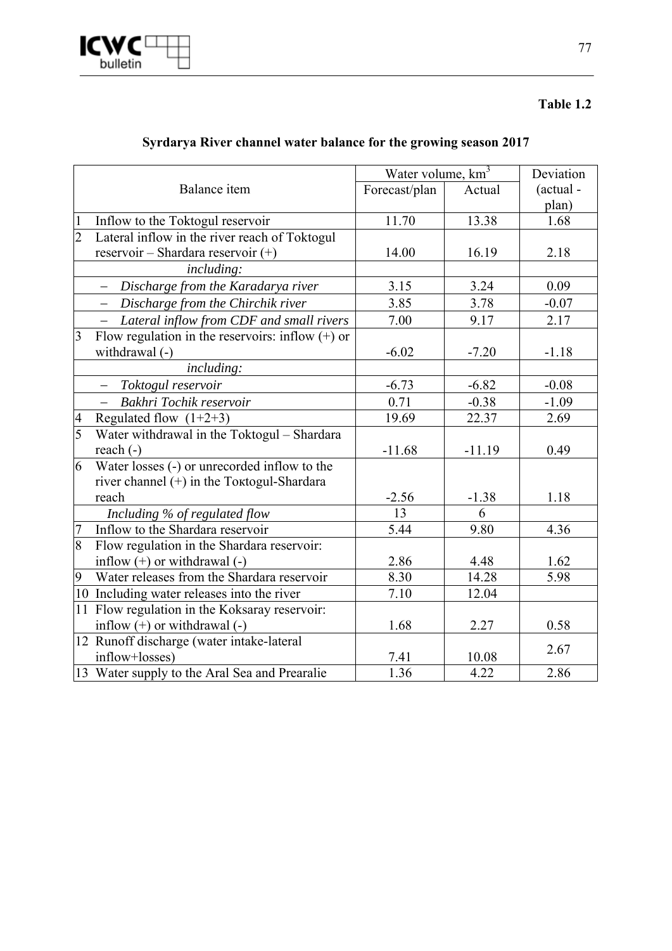

#### **Table 1.2**

|                |                                                        | Water volume, km <sup>3</sup> |          | Deviation |
|----------------|--------------------------------------------------------|-------------------------------|----------|-----------|
|                | Balance item                                           | Forecast/plan                 | Actual   | (actual - |
|                |                                                        |                               |          | plan)     |
| $\mathbf{1}$   | Inflow to the Toktogul reservoir                       | 11.70                         | 13.38    | 1.68      |
| $\overline{2}$ | Lateral inflow in the river reach of Toktogul          |                               |          |           |
|                | reservoir - Shardara reservoir $(+)$                   | 14.00                         | 16.19    | 2.18      |
|                | <i>including:</i>                                      |                               |          |           |
|                | Discharge from the Karadarya river                     | 3.15                          | 3.24     | 0.09      |
|                | Discharge from the Chirchik river<br>$\qquad \qquad -$ | 3.85                          | 3.78     | $-0.07$   |
|                | Lateral inflow from CDF and small rivers               | 7.00                          | 9.17     | 2.17      |
| $\overline{3}$ | Flow regulation in the reservoirs: inflow $(+)$ or     |                               |          |           |
|                | withdrawal (-)                                         | $-6.02$                       | $-7.20$  | $-1.18$   |
|                | including:                                             |                               |          |           |
|                | Toktogul reservoir<br>$-$                              | $-6.73$                       | $-6.82$  | $-0.08$   |
|                | Bakhri Tochik reservoir                                | 0.71                          | $-0.38$  | $-1.09$   |
| $\overline{4}$ | Regulated flow $(1+2+3)$                               | 19.69                         | 22.37    | 2.69      |
| $\overline{5}$ | Water withdrawal in the Toktogul - Shardara            |                               |          |           |
|                | reach $(-)$                                            | $-11.68$                      | $-11.19$ | 0.49      |
| 6              | Water losses (-) or unrecorded inflow to the           |                               |          |           |
|                | river channel $(+)$ in the Toktogul-Shardara           |                               |          |           |
|                | reach                                                  | $-2.56$                       | $-1.38$  | 1.18      |
|                | Including % of regulated flow                          | 13                            | 6        |           |
| $\overline{7}$ | Inflow to the Shardara reservoir                       | 5.44                          | 9.80     | 4.36      |
| $\infty$       | Flow regulation in the Shardara reservoir:             |                               |          |           |
|                | inflow $(+)$ or withdrawal $(-)$                       | 2.86                          | 4.48     | 1.62      |
| 9              | Water releases from the Shardara reservoir             | 8.30                          | 14.28    | 5.98      |
|                | 10 Including water releases into the river             | 7.10                          | 12.04    |           |
|                | 11 Flow regulation in the Koksaray reservoir:          |                               |          |           |
|                | inflow $(+)$ or withdrawal $(-)$                       | 1.68                          | 2.27     | 0.58      |
|                | 12 Runoff discharge (water intake-lateral              |                               |          | 2.67      |
|                | inflow+losses)                                         | 7.41                          | 10.08    |           |
|                | 13 Water supply to the Aral Sea and Prearalie          | 1.36                          | 4.22     | 2.86      |

## **Syrdarya River channel water balance for the growing season 2017**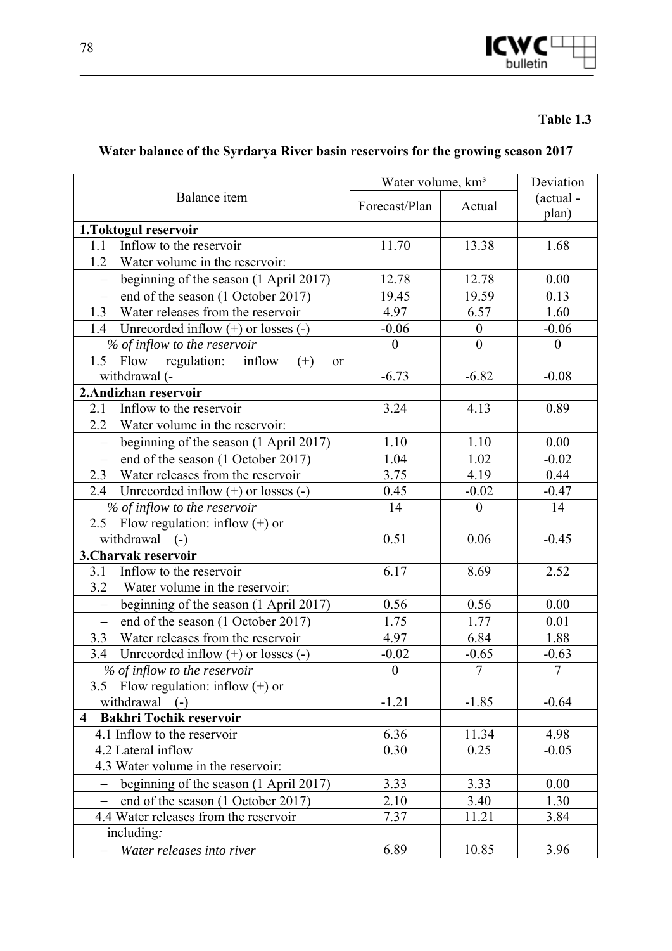

### **Table 1.3**

# **Water balance of the Syrdarya River basin reservoirs for the growing season 2017**

|                                                                    | Water volume, km <sup>3</sup> | Deviation        |                    |
|--------------------------------------------------------------------|-------------------------------|------------------|--------------------|
| Balance item                                                       | Forecast/Plan                 | Actual           | (actual -<br>plan) |
| 1.Toktogul reservoir                                               |                               |                  |                    |
| Inflow to the reservoir<br>1.1                                     | 11.70                         | 13.38            | 1.68               |
| 1.2<br>Water volume in the reservoir:                              |                               |                  |                    |
| beginning of the season (1 April 2017)<br>$\qquad \qquad -$        | 12.78                         | 12.78            | 0.00               |
| end of the season (1 October 2017)<br>$\overline{\phantom{0}}$     | 19.45                         | 19.59            | 0.13               |
| 1.3<br>Water releases from the reservoir                           | 4.97                          | 6.57             | 1.60               |
| Unrecorded inflow $(+)$ or losses $(-)$<br>1.4                     | $-0.06$                       | $\boldsymbol{0}$ | $-0.06$            |
| % of inflow to the reservoir                                       | $\overline{0}$                | $\boldsymbol{0}$ | $\overline{0}$     |
| 1.5 Flow regulation: inflow<br>$(+)$<br>or                         |                               |                  |                    |
| withdrawal (-                                                      | $-6.73$                       | $-6.82$          | $-0.08$            |
| 2. Andizhan reservoir                                              |                               |                  |                    |
| Inflow to the reservoir<br>2.1                                     | 3.24                          | 4.13             | 0.89               |
| 2.2 Water volume in the reservoir:                                 |                               |                  |                    |
| beginning of the season (1 April 2017)<br>$\overline{\phantom{0}}$ | 1.10                          | 1.10             | 0.00               |
| end of the season (1 October 2017)<br>$\equiv$                     | 1.04                          | 1.02             | $-0.02$            |
| 2.3<br>Water releases from the reservoir                           | 3.75                          | 4.19             | 0.44               |
| Unrecorded inflow $(+)$ or losses $(-)$<br>2.4                     | 0.45                          | $-0.02$          | $-0.47$            |
| % of inflow to the reservoir                                       | 14                            | $\boldsymbol{0}$ | 14                 |
| Flow regulation: inflow $(+)$ or<br>2.5                            |                               |                  |                    |
| withdrawal<br>$(-)$                                                | 0.51                          | 0.06             | $-0.45$            |
| 3. Charvak reservoir                                               |                               |                  |                    |
| Inflow to the reservoir<br>3.1                                     | 6.17                          | 8.69             | 2.52               |
| 3.2<br>Water volume in the reservoir:                              |                               |                  |                    |
| beginning of the season (1 April 2017)<br>$\overline{\phantom{0}}$ | 0.56                          | 0.56             | 0.00               |
| end of the season (1 October 2017)<br>$\overline{\phantom{0}}$     | 1.75                          | 1.77             | 0.01               |
| Water releases from the reservoir<br>3.3                           | 4.97                          | 6.84             | 1.88               |
| Unrecorded inflow $(+)$ or losses $(-)$<br>3.4                     | $-0.02$                       | $-0.65$          | $-0.63$            |
| % of inflow to the reservoir                                       | $\boldsymbol{0}$              | $\overline{7}$   | $\overline{7}$     |
| 3.5 Flow regulation: inflow $(+)$ or                               |                               |                  |                    |
| withdrawal (-)                                                     | $-1.21$                       | $-1.85$          | $-0.64$            |
| <b>Bakhri Tochik reservoir</b><br>$\overline{\mathbf{4}}$          |                               |                  |                    |
| 4.1 Inflow to the reservoir                                        | 6.36                          | 11.34            | 4.98               |
| 4.2 Lateral inflow                                                 | 0.30                          | 0.25             | $-0.05$            |
| 4.3 Water volume in the reservoir:                                 |                               |                  |                    |
| beginning of the season (1 April 2017)                             | 3.33                          | 3.33             | 0.00               |
| end of the season (1 October 2017)                                 | 2.10                          | 3.40             | 1.30               |
| 4.4 Water releases from the reservoir                              | 7.37                          | 11.21            | 3.84               |
| including:                                                         |                               |                  |                    |
| Water releases into river                                          | 6.89                          | 10.85            | 3.96               |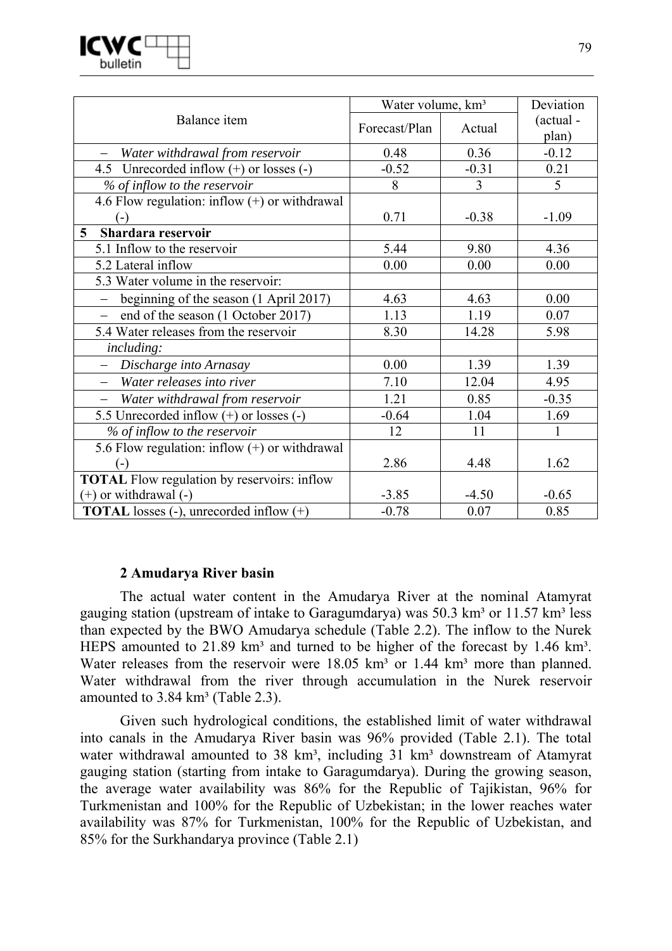

|                                                    | Water volume, km <sup>3</sup> | Deviation      |                    |
|----------------------------------------------------|-------------------------------|----------------|--------------------|
| Balance item                                       | Forecast/Plan                 | Actual         | (actual -<br>plan) |
| Water withdrawal from reservoir                    | 0.48                          | 0.36           | $-0.12$            |
| 4.5 Unrecorded inflow $(+)$ or losses $(-)$        | $-0.52$                       | $-0.31$        | 0.21               |
| % of inflow to the reservoir                       | 8                             | $\overline{3}$ | 5 <sup>5</sup>     |
| 4.6 Flow regulation: inflow $(+)$ or withdrawal    |                               |                |                    |
| ( – )                                              | 0.71                          | $-0.38$        | $-1.09$            |
| Shardara reservoir<br>$\overline{5}$               |                               |                |                    |
| 5.1 Inflow to the reservoir                        | 5.44                          | 9.80           | 4.36               |
| 5.2 Lateral inflow                                 | 0.00                          | 0.00           | 0.00               |
| 5.3 Water volume in the reservoir:                 |                               |                |                    |
| beginning of the season (1 April 2017)<br>$\equiv$ | 4.63                          | 4.63           | 0.00               |
| end of the season (1 October 2017)                 | 1.13                          | 1.19           | 0.07               |
| 5.4 Water releases from the reservoir              | 8.30                          | 14.28          | 5.98               |
| including:                                         |                               |                |                    |
| Discharge into Arnasay                             | 0.00                          | 1.39           | 1.39               |
| Water releases into river                          | 7.10                          | 12.04          | 4.95               |
| Water withdrawal from reservoir                    | 1.21                          | 0.85           | $-0.35$            |
| 5.5 Unrecorded inflow (+) or losses (-)            | $-0.64$                       | 1.04           | 1.69               |
| % of inflow to the reservoir                       | 12                            | 11             | 1                  |
| 5.6 Flow regulation: inflow $(+)$ or withdrawal    |                               |                |                    |
| $(-)$                                              | 2.86                          | 4.48           | 1.62               |
| <b>TOTAL</b> Flow regulation by reservoirs: inflow |                               |                |                    |
| $(+)$ or withdrawal $(-)$                          | $-3.85$                       | $-4.50$        | $-0.65$            |
| <b>TOTAL</b> losses (-), unrecorded inflow $(+)$   | $-0.78$                       | 0.07           | 0.85               |

#### **2 Amudarya River basin**

The actual water content in the Amudarya River at the nominal Atamyrat gauging station (upstream of intake to Garagumdarya) was  $50.3 \text{ km}^3$  or  $11.57 \text{ km}^3$  less than expected by the BWO Amudarya schedule (Table 2.2). The inflow to the Nurek HEPS amounted to  $21.89 \text{ km}^3$  and turned to be higher of the forecast by 1.46 km<sup>3</sup>. Water releases from the reservoir were  $18.05 \text{ km}^3$  or  $1.44 \text{ km}^3$  more than planned. Water withdrawal from the river through accumulation in the Nurek reservoir amounted to  $3.84 \text{ km}^3$  (Table 2.3).

Given such hydrological conditions, the established limit of water withdrawal into canals in the Amudarya River basin was 96% provided (Table 2.1). The total water withdrawal amounted to 38 km<sup>3</sup>, including 31 km<sup>3</sup> downstream of Atamyrat gauging station (starting from intake to Garagumdarya). During the growing season, the average water availability was 86% for the Republic of Tajikistan, 96% for Turkmenistan and 100% for the Republic of Uzbekistan; in the lower reaches water availability was 87% for Turkmenistan, 100% for the Republic of Uzbekistan, and 85% for the Surkhandarya province (Table 2.1)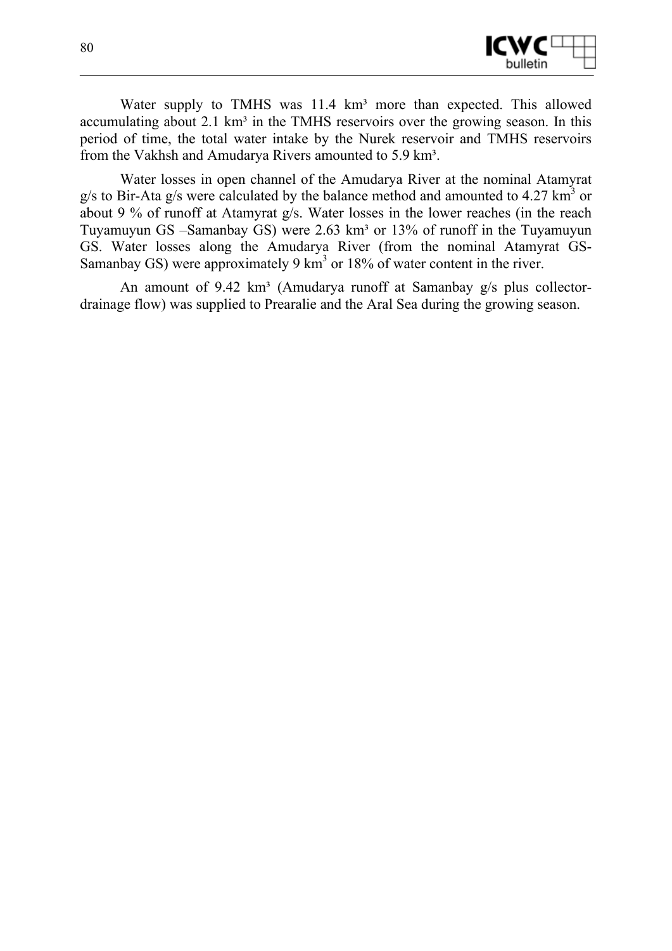

Water supply to TMHS was 11.4 km<sup>3</sup> more than expected. This allowed accumulating about  $2.1 \text{ km}^3$  in the TMHS reservoirs over the growing season. In this period of time, the total water intake by the Nurek reservoir and TMHS reservoirs from the Vakhsh and Amudarya Rivers amounted to 5.9 km<sup>3</sup>.

Water losses in open channel of the Amudarya River at the nominal Atamyrat  $g/s$  to Bir-Ata  $g/s$  were calculated by the balance method and amounted to 4.27 km<sup>3</sup> or about 9 % of runoff at Atamyrat g/s. Water losses in the lower reaches (in the reach Tuyamuyun GS –Samanbay GS) were 2.63 km<sup>3</sup> or 13% of runoff in the Tuyamuyun GS. Water losses along the Amudarya River (from the nominal Atamyrat GS-Samanbay GS) were approximately 9 km<sup>3</sup> or 18% of water content in the river.

An amount of  $9.42 \text{ km}^3$  (Amudarya runoff at Samanbay g/s plus collectordrainage flow) was supplied to Prearalie and the Aral Sea during the growing season.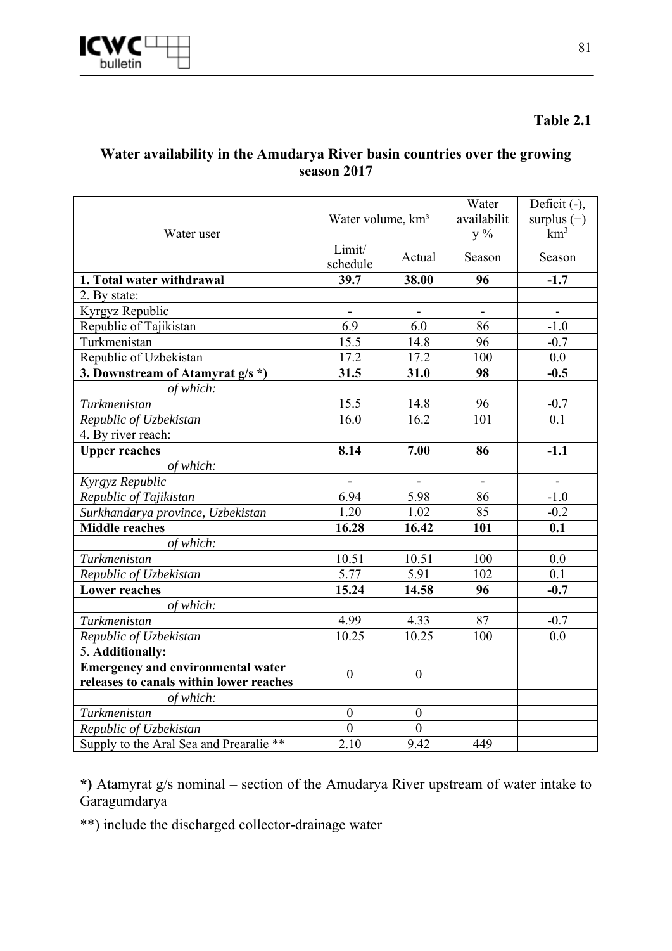

#### **Table 2.1**

### **Water availability in the Amudarya River basin countries over the growing season 2017**

| Water user                               | Water volume, km <sup>3</sup><br>Limit/<br>Actual<br>schedule |                  | Water<br>availabilit<br>$y\%$ | Deficit (-),<br>surplus $(+)$<br>$km^3$ |
|------------------------------------------|---------------------------------------------------------------|------------------|-------------------------------|-----------------------------------------|
|                                          |                                                               |                  | Season                        | Season                                  |
| 1. Total water withdrawal                | 39.7                                                          | 38.00            | 96                            | $-1.7$                                  |
| 2. By state:                             |                                                               |                  |                               |                                         |
| Kyrgyz Republic                          | $\blacksquare$                                                |                  | $\blacksquare$                |                                         |
| Republic of Tajikistan                   | 6.9                                                           | 6.0              | 86                            | $-1.0$                                  |
| Turkmenistan                             | 15.5                                                          | 14.8             | 96                            | $-0.7$                                  |
| Republic of Uzbekistan                   | 17.2                                                          | 17.2             | 100                           | 0.0                                     |
| 3. Downstream of Atamyrat g/s *)         | 31.5                                                          | 31.0             | 98                            | $-0.5$                                  |
| of which:                                |                                                               |                  |                               |                                         |
| Turkmenistan                             | 15.5                                                          | 14.8             | 96                            | $-0.7$                                  |
| Republic of Uzbekistan                   | 16.0                                                          | 16.2             | 101                           | 0.1                                     |
| 4. By river reach:                       |                                                               |                  |                               |                                         |
| <b>Upper reaches</b>                     | 8.14                                                          | 7.00             | 86                            | $-1.1$                                  |
| of which:                                |                                                               |                  |                               |                                         |
| Kyrgyz Republic                          | $\overline{\phantom{a}}$                                      | $\blacksquare$   | $\overline{\phantom{a}}$      | $\overline{\phantom{a}}$                |
| Republic of Tajikistan                   | 6.94                                                          | 5.98             | 86                            | $-1.0$                                  |
| Surkhandarya province, Uzbekistan        | 1.20                                                          | 1.02             | 85                            | $-0.2$                                  |
| <b>Middle reaches</b>                    | 16.28                                                         | 16.42            | 101                           | 0.1                                     |
| of which:                                |                                                               |                  |                               |                                         |
| Turkmenistan                             | 10.51                                                         | 10.51            | 100                           | 0.0                                     |
| Republic of Uzbekistan                   | 5.77                                                          | 5.91             | 102                           | 0.1                                     |
| <b>Lower reaches</b>                     | 15.24                                                         | 14.58            | 96                            | $-0.7$                                  |
| of which:                                |                                                               |                  |                               |                                         |
| Turkmenistan                             | 4.99                                                          | 4.33             | 87                            | $-0.7$                                  |
| Republic of Uzbekistan                   | 10.25                                                         | 10.25            | 100                           | 0.0                                     |
| 5. Additionally:                         |                                                               |                  |                               |                                         |
| <b>Emergency and environmental water</b> | $\boldsymbol{0}$                                              |                  |                               |                                         |
| releases to canals within lower reaches  |                                                               | $\boldsymbol{0}$ |                               |                                         |
| of which:                                |                                                               |                  |                               |                                         |
| Turkmenistan                             | $\boldsymbol{0}$                                              | $\boldsymbol{0}$ |                               |                                         |
| Republic of Uzbekistan                   | $\overline{0}$                                                | $\overline{0}$   |                               |                                         |
| Supply to the Aral Sea and Prearalie **  | 2.10                                                          | 9.42             | 449                           |                                         |

**\*)** Atamyrat g/s nominal – section of the Amudarya River upstream of water intake to Garagumdarya

\*\*) include the discharged collector-drainage water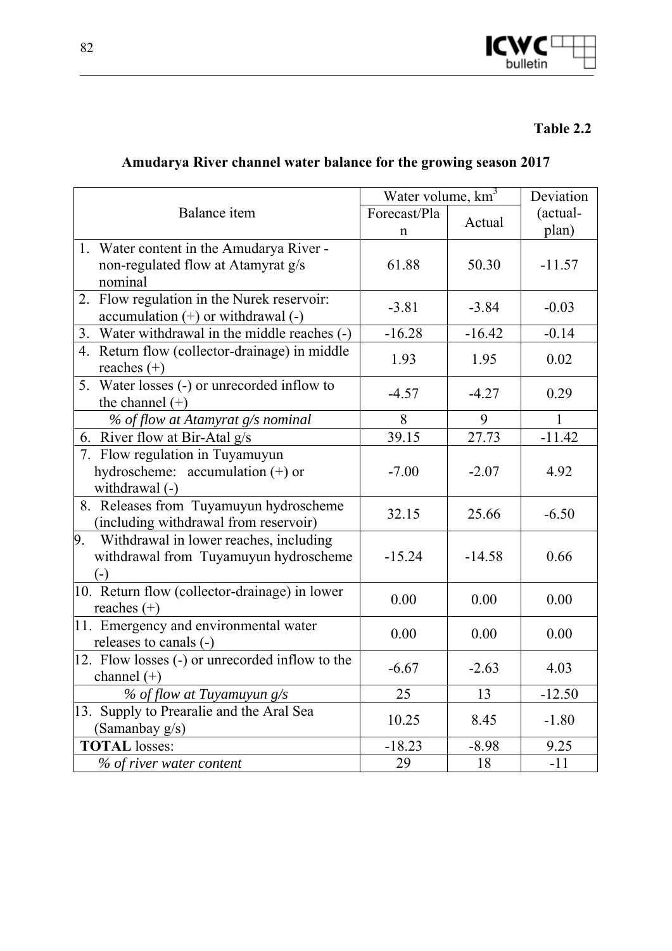

## **Table 2.2**

# **Amudarya River channel water balance for the growing season 2017**

|                                                  | Water volume, km <sup>3</sup> |          | Deviation |
|--------------------------------------------------|-------------------------------|----------|-----------|
| <b>Balance</b> item                              | Forecast/Pla                  | Actual   | (actual-  |
|                                                  | n                             |          | plan)     |
| 1. Water content in the Amudarya River -         |                               |          |           |
| non-regulated flow at Atamyrat g/s               | 61.88                         | 50.30    | $-11.57$  |
| nominal                                          |                               |          |           |
| 2. Flow regulation in the Nurek reservoir:       | $-3.81$                       | $-3.84$  | $-0.03$   |
| $accumulation (+)$ or withdrawal $(-)$           |                               |          |           |
| Water withdrawal in the middle reaches (-)<br>3. | $-16.28$                      | $-16.42$ | $-0.14$   |
| Return flow (collector-drainage) in middle<br>4. | 1.93                          | 1.95     | 0.02      |
| reaches $(+)$                                    |                               |          |           |
| 5. Water losses (-) or unrecorded inflow to      | $-4.57$                       | $-4.27$  | 0.29      |
| the channel $(+)$                                |                               |          |           |
| % of flow at Atamyrat g/s nominal                | 8                             | 9        | 1         |
| 6. River flow at Bir-Atal g/s                    | 39.15                         | 27.73    | $-11.42$  |
| 7. Flow regulation in Tuyamuyun                  |                               |          |           |
| hydroscheme: accumulation $(+)$ or               | $-7.00$                       | $-2.07$  | 4.92      |
| withdrawal (-)                                   |                               |          |           |
| 8. Releases from Tuyamuyun hydroscheme           | 32.15                         | 25.66    | $-6.50$   |
| (including withdrawal from reservoir)            |                               |          |           |
| Withdrawal in lower reaches, including<br>9.     |                               |          |           |
| withdrawal from Tuyamuyun hydroscheme            | $-15.24$                      | $-14.58$ | 0.66      |
| $(-)$                                            |                               |          |           |
| 10. Return flow (collector-drainage) in lower    | 0.00                          | 0.00     | 0.00      |
| reaches $(+)$                                    |                               |          |           |
| 11. Emergency and environmental water            | 0.00                          | 0.00     | 0.00      |
| releases to canals (-)                           |                               |          |           |
| 12. Flow losses (-) or unrecorded inflow to the  | $-6.67$                       | $-2.63$  | 4.03      |
| channel $(+)$                                    |                               |          |           |
| % of flow at Tuyamuyun g/s                       | 25                            | 13       | $-12.50$  |
| 13. Supply to Prearalie and the Aral Sea         | 10.25                         | 8.45     | $-1.80$   |
| (Samanbay g/s)                                   |                               |          |           |
| <b>TOTAL</b> losses:                             | $-18.23$                      | $-8.98$  | 9.25      |
| % of river water content                         | 29                            | 18       | $-11$     |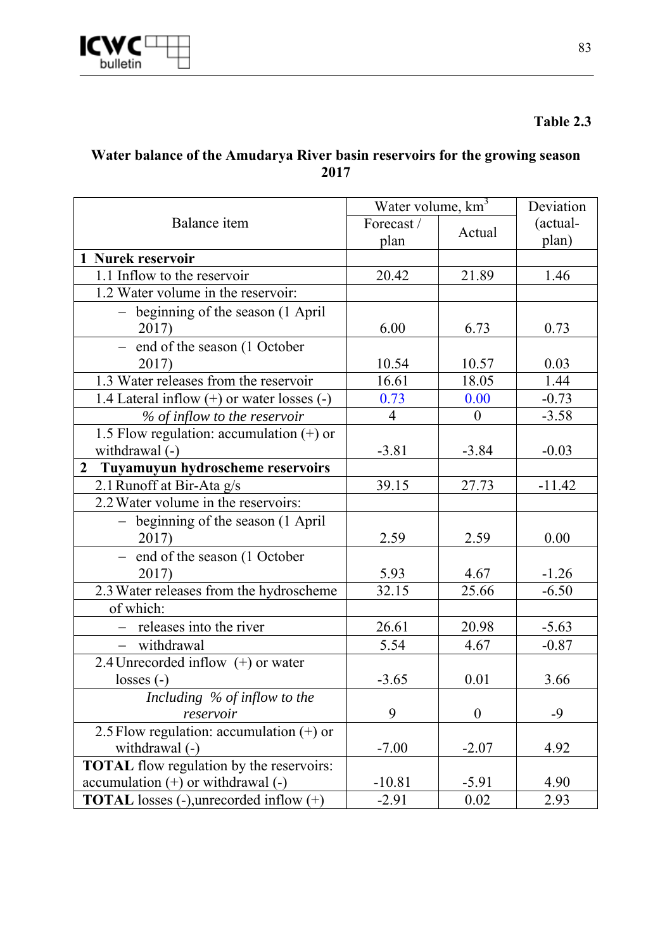

## **Table 2.3**

### **Water balance of the Amudarya River basin reservoirs for the growing season 2017**

|                                                     | Water volume, km <sup>3</sup> |                  | Deviation |
|-----------------------------------------------------|-------------------------------|------------------|-----------|
| Balance item                                        | Forecast/                     | Actual           | (actual-  |
|                                                     | plan                          |                  | plan)     |
| 1 Nurek reservoir                                   |                               |                  |           |
| 1.1 Inflow to the reservoir                         | 20.42                         | 21.89            | 1.46      |
| 1.2 Water volume in the reservoir:                  |                               |                  |           |
| - beginning of the season (1 April                  |                               |                  |           |
| 2017)                                               | 6.00                          | 6.73             | 0.73      |
| - end of the season (1 October                      |                               |                  |           |
| 2017)                                               | 10.54                         | 10.57            | 0.03      |
| 1.3 Water releases from the reservoir               | 16.61                         | 18.05            | 1.44      |
| 1.4 Lateral inflow $(+)$ or water losses $(-)$      | 0.73                          | 0.00             | $-0.73$   |
| % of inflow to the reservoir                        | $\overline{4}$                | $\boldsymbol{0}$ | $-3.58$   |
| 1.5 Flow regulation: accumulation $(+)$ or          |                               |                  |           |
| withdrawal (-)                                      | $-3.81$                       | $-3.84$          | $-0.03$   |
| Tuyamuyun hydroscheme reservoirs<br>$\mathbf{2}$    |                               |                  |           |
| 2.1 Runoff at Bir-Ata g/s                           | 39.15                         | 27.73            | $-11.42$  |
| 2.2 Water volume in the reservoirs:                 |                               |                  |           |
| $\overline{-}$ beginning of the season (1 April     |                               |                  |           |
| 2017)                                               | 2.59                          | 2.59             | 0.00      |
| end of the season (1 October                        |                               |                  |           |
| 2017)                                               | 5.93                          | 4.67             | $-1.26$   |
| 2.3 Water releases from the hydroscheme             | 32.15                         | 25.66            | $-6.50$   |
| of which:                                           |                               |                  |           |
| $-$ releases into the river                         | 26.61                         | 20.98            | $-5.63$   |
| - withdrawal                                        | 5.54                          | 4.67             | $-0.87$   |
| 2.4 Unrecorded inflow (+) or water                  |                               |                  |           |
| $losses(-)$                                         | $-3.65$                       | 0.01             | 3.66      |
| Including % of inflow to the                        |                               |                  |           |
| reservoir                                           | 9                             | $\boldsymbol{0}$ | $-9$      |
| 2.5 Flow regulation: accumulation $(+)$ or          |                               |                  |           |
| withdrawal (-)                                      | $-7.00$                       | $-2.07$          | 4.92      |
| <b>TOTAL</b> flow regulation by the reservoirs:     |                               |                  |           |
| $accumulation (+)$ or withdrawal $(-)$              | $-10.81$                      | $-5.91$          | 4.90      |
| <b>TOTAL</b> losses $(-)$ , unrecorded inflow $(+)$ | $-2.91$                       | 0.02             | 2.93      |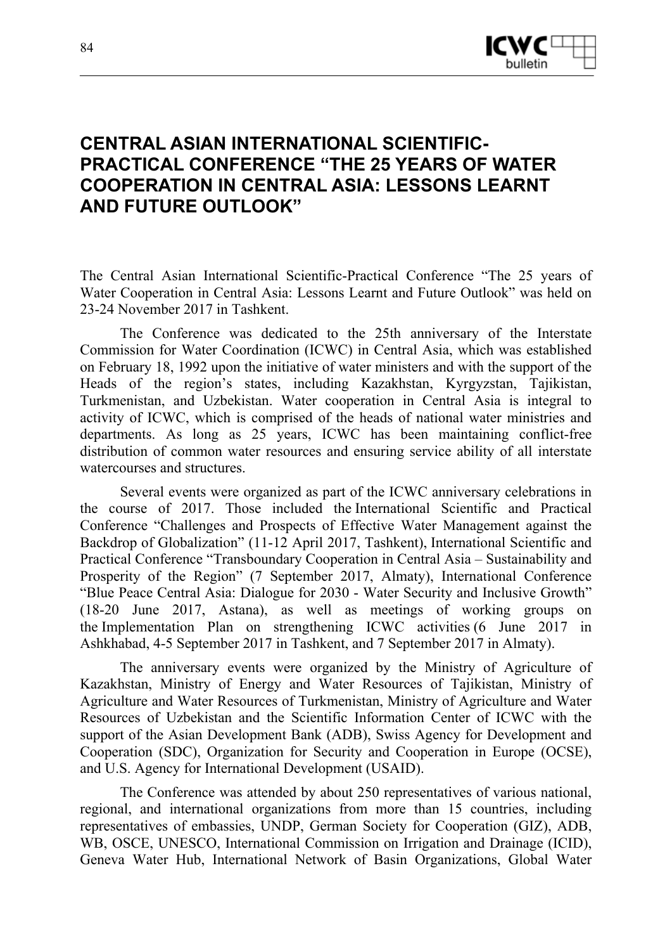

## **CENTRAL ASIAN INTERNATIONAL SCIENTIFIC-PRACTICAL CONFERENCE "THE 25 YEARS OF WATER COOPERATION IN CENTRAL ASIA: LESSONS LEARNT AND FUTURE OUTLOOK"**

The Central Asian International Scientific-Practical Conference "The 25 years of Water Cooperation in Central Asia: Lessons Learnt and Future Outlook" was held on 23-24 November 2017 in Tashkent.

The Conference was dedicated to the 25th anniversary of the Interstate Commission for Water Coordination (ICWC) in Central Asia, which was established on February 18, 1992 upon the initiative of water ministers and with the support of the Heads of the region's states, including Kazakhstan, Kyrgyzstan, Tajikistan, Turkmenistan, and Uzbekistan. Water cooperation in Central Asia is integral to activity of ICWC, which is comprised of the heads of national water ministries and departments. As long as 25 years, ICWC has been maintaining conflict-free distribution of common water resources and ensuring service ability of all interstate watercourses and structures.

Several events were organized as part of the ICWC anniversary celebrations in the course of 2017. Those included the International Scientific and Practical Conference "Challenges and Prospects of Effective Water Management against the Backdrop of Globalization" (11-12 April 2017, Tashkent), International Scientific and Practical Conference "Transboundary Cooperation in Central Asia – Sustainability and Prosperity of the Region" (7 September 2017, Almaty), International Conference "Blue Peace Central Asia: Dialogue for 2030 - Water Security and Inclusive Growth" (18-20 June 2017, Astana), as well as meetings of working groups on the Implementation Plan on strengthening ICWC activities (6 June 2017 in Ashkhabad, 4-5 September 2017 in Tashkent, and 7 September 2017 in Almaty).

The anniversary events were organized by the Ministry of Agriculture of Kazakhstan, Ministry of Energy and Water Resources of Tajikistan, Ministry of Agriculture and Water Resources of Turkmenistan, Ministry of Agriculture and Water Resources of Uzbekistan and the Scientific Information Center of ICWC with the support of the Asian Development Bank (ADB), Swiss Agency for Development and Cooperation (SDC), Organization for Security and Cooperation in Europe (OCSE), and U.S. Agency for International Development (USAID).

The Conference was attended by about 250 representatives of various national, regional, and international organizations from more than 15 countries, including representatives of embassies, UNDP, German Society for Cooperation (GIZ), ADB, WB, OSCE, UNESCO, International Commission on Irrigation and Drainage (ICID), Geneva Water Hub, International Network of Basin Organizations, Global Water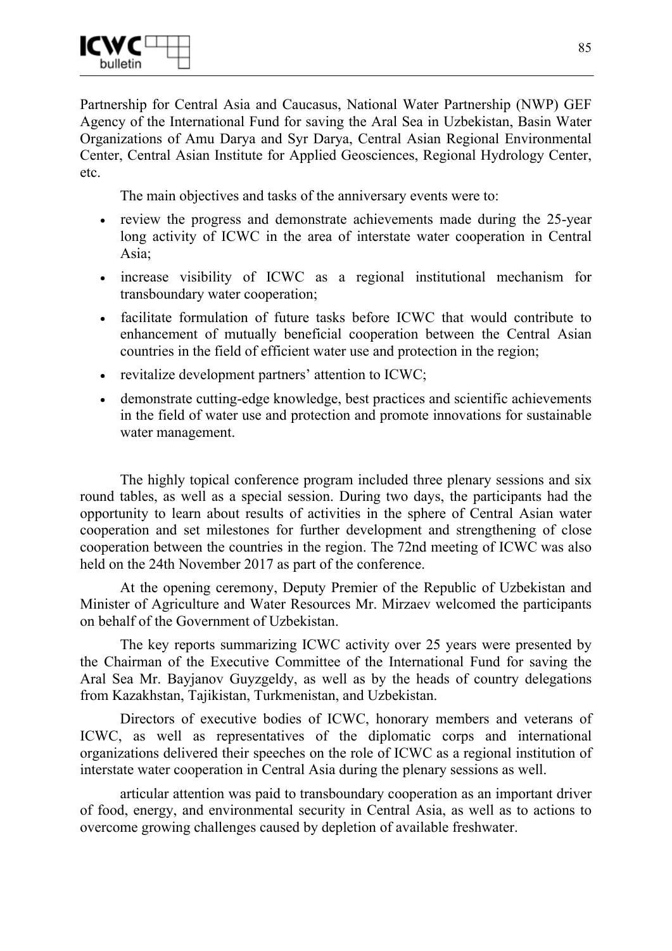Partnership for Central Asia and Caucasus, National Water Partnership (NWP) GEF Agency of the International Fund for saving the Aral Sea in Uzbekistan, Basin Water Organizations of Amu Darya and Syr Darya, Central Asian Regional Environmental Center, Central Asian Institute for Applied Geosciences, Regional Hydrology Center, etc.

The main objectives and tasks of the anniversary events were to:

- review the progress and demonstrate achievements made during the 25-year long activity of ICWC in the area of interstate water cooperation in Central Asia;
- increase visibility of ICWC as a regional institutional mechanism for transboundary water cooperation;
- facilitate formulation of future tasks before ICWC that would contribute to enhancement of mutually beneficial cooperation between the Central Asian countries in the field of efficient water use and protection in the region;
- revitalize development partners' attention to ICWC;
- demonstrate cutting-edge knowledge, best practices and scientific achievements in the field of water use and protection and promote innovations for sustainable water management.

The highly topical conference program included three plenary sessions and six round tables, as well as a special session. During two days, the participants had the opportunity to learn about results of activities in the sphere of Central Asian water cooperation and set milestones for further development and strengthening of close cooperation between the countries in the region. The 72nd meeting of ICWC was also held on the 24th November 2017 as part of the conference.

At the opening ceremony, Deputy Premier of the Republic of Uzbekistan and Minister of Agriculture and Water Resources Mr. Mirzaev welcomed the participants on behalf of the Government of Uzbekistan.

The key reports summarizing ICWC activity over 25 years were presented by the Chairman of the Executive Committee of the International Fund for saving the Aral Sea Mr. Bayjanov Guyzgeldy, as well as by the heads of country delegations from Kazakhstan, Tajikistan, Turkmenistan, and Uzbekistan.

Directors of executive bodies of ICWC, honorary members and veterans of ICWC, as well as representatives of the diplomatic corps and international organizations delivered their speeches on the role of ICWC as a regional institution of interstate water cooperation in Central Asia during the plenary sessions as well.

articular attention was paid to transboundary cooperation as an important driver of food, energy, and environmental security in Central Asia, as well as to actions to overcome growing challenges caused by depletion of available freshwater.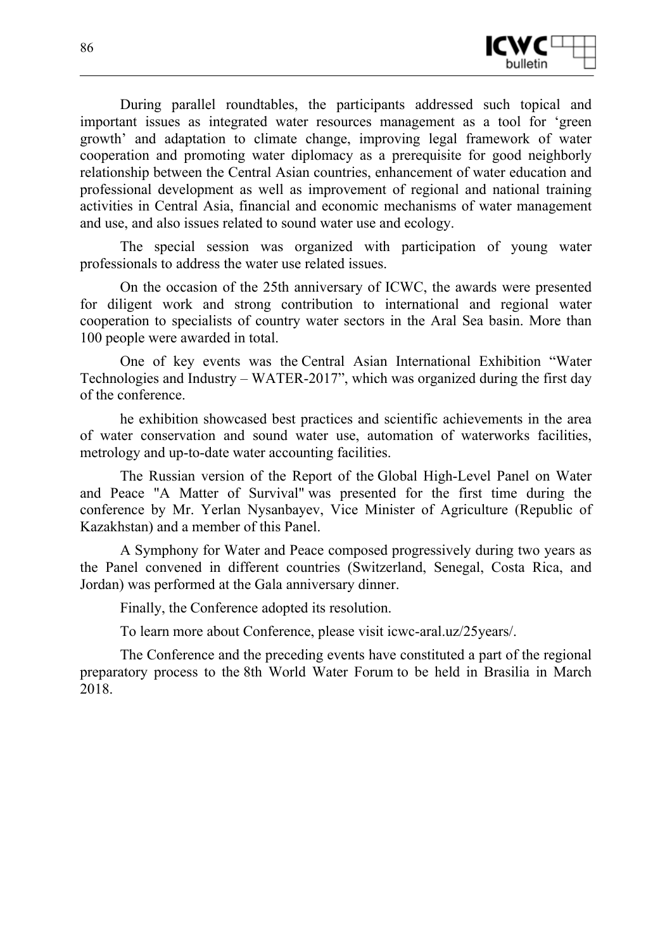

During parallel roundtables, the participants addressed such topical and important issues as integrated water resources management as a tool for 'green growth' and adaptation to climate change, improving legal framework of water cooperation and promoting water diplomacy as a prerequisite for good neighborly relationship between the Central Asian countries, enhancement of water education and professional development as well as improvement of regional and national training activities in Central Asia, financial and economic mechanisms of water management and use, and also issues related to sound water use and ecology.

The special session was organized with participation of young water professionals to address the water use related issues.

On the occasion of the 25th anniversary of ICWC, the awards were presented for diligent work and strong contribution to international and regional water cooperation to specialists of country water sectors in the Aral Sea basin. More than 100 people were awarded in total.

One of key events was the Central Asian International Exhibition "Water Technologies and Industry – WATER-2017", which was organized during the first day of the conference.

he exhibition showcased best practices and scientific achievements in the area of water conservation and sound water use, automation of waterworks facilities, metrology and up-to-date water accounting facilities.

The Russian version of the Report of the Global High-Level Panel on Water and Peace "A Matter of Survival" was presented for the first time during the conference by Mr. Yerlan Nysanbayev, Vice Minister of Agriculture (Republic of Kazakhstan) and a member of this Panel.

A Symphony for Water and Peace composed progressively during two years as the Panel convened in different countries (Switzerland, Senegal, Costa Rica, and Jordan) was performed at the Gala anniversary dinner.

Finally, the Conference adopted its resolution.

To learn more about Conference, please visit icwc-aral.uz/25years/.

The Conference and the preceding events have constituted a part of the regional preparatory process to the 8th World Water Forum to be held in Brasilia in March 2018.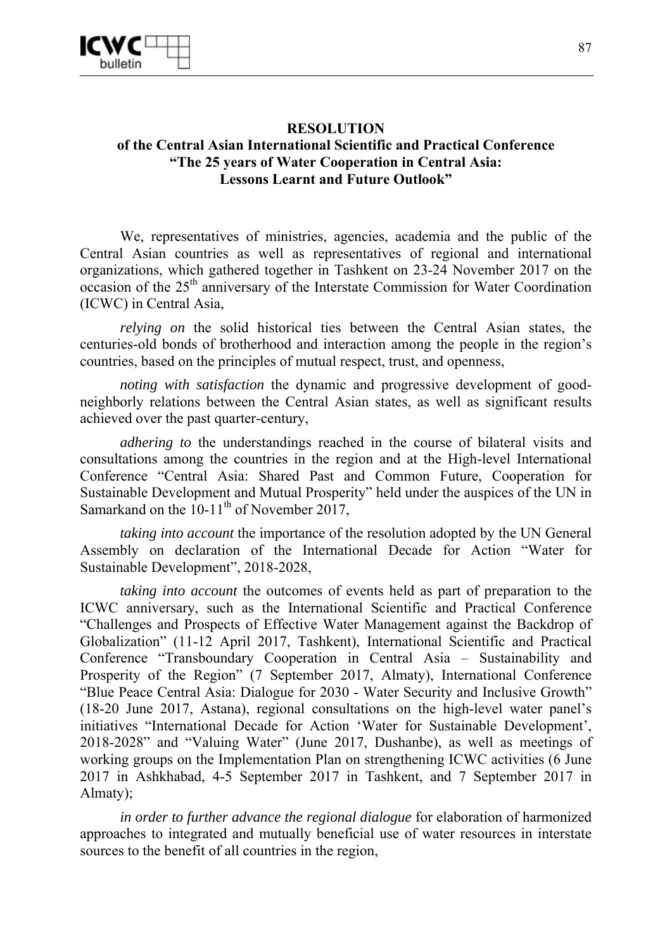

#### **RESOLUTION of the Central Asian International Scientific and Practical Conference "The 25 years of Water Cooperation in Central Asia: Lessons Learnt and Future Outlook"**

We, representatives of ministries, agencies, academia and the public of the Central Asian countries as well as representatives of regional and international organizations, which gathered together in Tashkent on 23-24 November 2017 on the occasion of the 25th anniversary of the Interstate Commission for Water Coordination (ICWC) in Central Asia,

*relying on* the solid historical ties between the Central Asian states, the centuries-old bonds of brotherhood and interaction among the people in the region's countries, based on the principles of mutual respect, trust, and openness,

*noting with satisfaction* the dynamic and progressive development of goodneighborly relations between the Central Asian states, as well as significant results achieved over the past quarter-century,

*adhering to* the understandings reached in the course of bilateral visits and consultations among the countries in the region and at the High-level International Conference "Central Asia: Shared Past and Common Future, Cooperation for Sustainable Development and Mutual Prosperity" held under the auspices of the UN in Samarkand on the  $10-11^{\text{th}}$  of November 2017,

*taking into account* the importance of the resolution adopted by the UN General Assembly on declaration of the International Decade for Action "Water for Sustainable Development", 2018-2028,

*taking into account* the outcomes of events held as part of preparation to the ICWC anniversary, such as the International Scientific and Practical Conference "Challenges and Prospects of Effective Water Management against the Backdrop of Globalization" (11-12 April 2017, Tashkent), International Scientific and Practical Conference "Transboundary Cooperation in Central Asia – Sustainability and Prosperity of the Region" (7 September 2017, Almaty), International Conference "Blue Peace Central Asia: Dialogue for 2030 - Water Security and Inclusive Growth" (18-20 June 2017, Astana), regional consultations on the high-level water panel's initiatives "International Decade for Action 'Water for Sustainable Development', 2018-2028" and "Valuing Water" (June 2017, Dushanbe), as well as meetings of working groups on the Implementation Plan on strengthening ICWC activities (6 June 2017 in Ashkhabad, 4-5 September 2017 in Tashkent, and 7 September 2017 in Almaty);

*in order to further advance the regional dialogue* for elaboration of harmonized approaches to integrated and mutually beneficial use of water resources in interstate sources to the benefit of all countries in the region,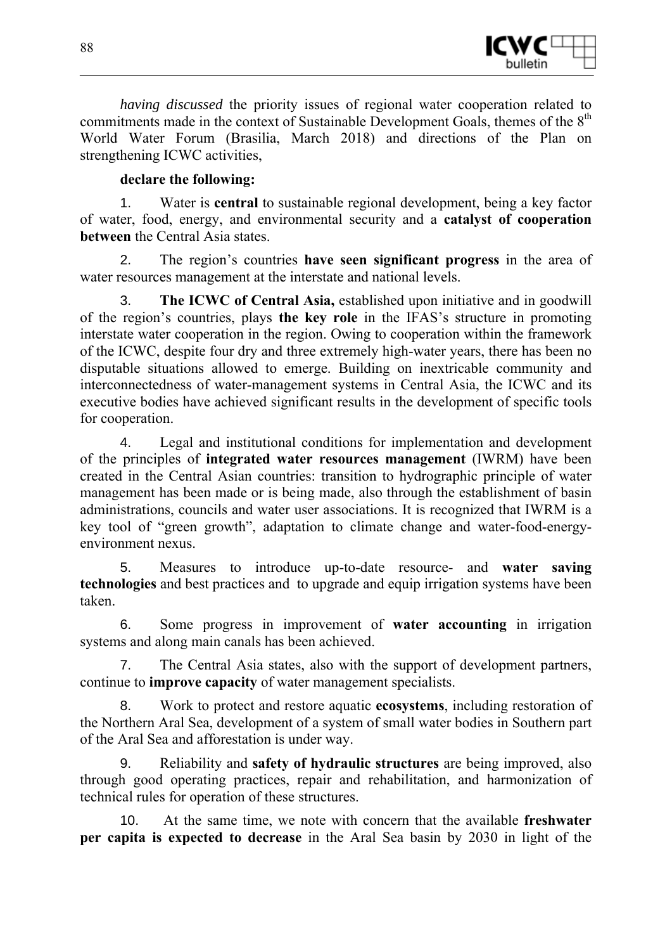

*having discussed* the priority issues of regional water cooperation related to commitments made in the context of Sustainable Development Goals, themes of the 8<sup>th</sup> World Water Forum (Brasilia, March 2018) and directions of the Plan on strengthening ICWC activities,

#### **declare the following:**

1. Water is **central** to sustainable regional development, being a key factor of water, food, energy, and environmental security and a **catalyst of cooperation between** the Central Asia states.

2. The region's countries **have seen significant progress** in the area of water resources management at the interstate and national levels.

3. **The ICWC of Central Asia,** established upon initiative and in goodwill of the region's countries, plays **the key role** in the IFAS's structure in promoting interstate water cooperation in the region. Owing to cooperation within the framework of the ICWC, despite four dry and three extremely high-water years, there has been no disputable situations allowed to emerge. Building on inextricable community and interconnectedness of water-management systems in Central Asia, the ICWC and its executive bodies have achieved significant results in the development of specific tools for cooperation.

4. Legal and institutional conditions for implementation and development of the principles of **integrated water resources management** (IWRM) have been created in the Central Asian countries: transition to hydrographic principle of water management has been made or is being made, also through the establishment of basin administrations, councils and water user associations. It is recognized that IWRM is a key tool of "green growth", adaptation to climate change and water-food-energyenvironment nexus.

5. Measures to introduce up-to-date resource- and **water saving technologies** and best practices and to upgrade and equip irrigation systems have been taken.

6. Some progress in improvement of **water accounting** in irrigation systems and along main canals has been achieved.

7. The Central Asia states, also with the support of development partners, continue to **improve capacity** of water management specialists.

8. Work to protect and restore aquatic **ecosystems**, including restoration of the Northern Aral Sea, development of a system of small water bodies in Southern part of the Aral Sea and afforestation is under way.

9. Reliability and **safety of hydraulic structures** are being improved, also through good operating practices, repair and rehabilitation, and harmonization of technical rules for operation of these structures.

10. At the same time, we note with concern that the available **freshwater per capita is expected to decrease** in the Aral Sea basin by 2030 in light of the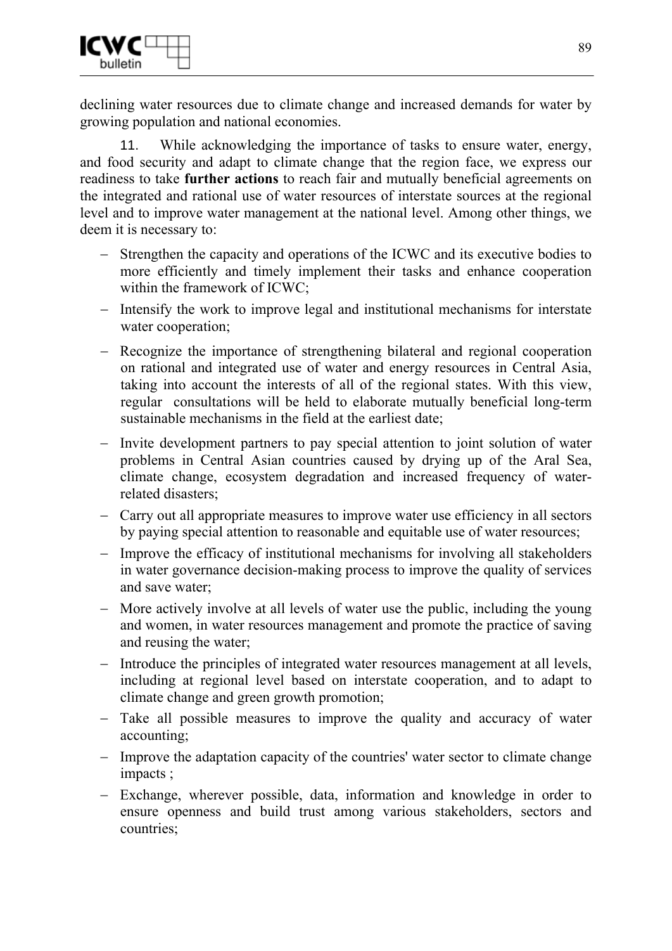declining water resources due to climate change and increased demands for water by growing population and national economies.

11. While acknowledging the importance of tasks to ensure water, energy, and food security and adapt to climate change that the region face, we express our readiness to take **further actions** to reach fair and mutually beneficial agreements on the integrated and rational use of water resources of interstate sources at the regional level and to improve water management at the national level. Among other things, we deem it is necessary to:

- − Strengthen the capacity and operations of the ICWC and its executive bodies to more efficiently and timely implement their tasks and enhance cooperation within the framework of ICWC;
- − Intensify the work to improve legal and institutional mechanisms for interstate water cooperation;
- − Recognize the importance of strengthening bilateral and regional cooperation on rational and integrated use of water and energy resources in Central Asia, taking into account the interests of all of the regional states. With this view, regular consultations will be held to elaborate mutually beneficial long-term sustainable mechanisms in the field at the earliest date;
- − Invite development partners to pay special attention to joint solution of water problems in Central Asian countries caused by drying up of the Aral Sea, climate change, ecosystem degradation and increased frequency of waterrelated disasters;
- − Carry out all appropriate measures to improve water use efficiency in all sectors by paying special attention to reasonable and equitable use of water resources;
- − Improve the efficacy of institutional mechanisms for involving all stakeholders in water governance decision-making process to improve the quality of services and save water;
- − More actively involve at all levels of water use the public, including the young and women, in water resources management and promote the practice of saving and reusing the water;
- − Introduce the principles of integrated water resources management at all levels, including at regional level based on interstate cooperation, and to adapt to climate change and green growth promotion;
- − Take all possible measures to improve the quality and accuracy of water accounting;
- − Improve the adaptation capacity of the countries' water sector to climate change impacts ;
- − Exchange, wherever possible, data, information and knowledge in order to ensure openness and build trust among various stakeholders, sectors and countries;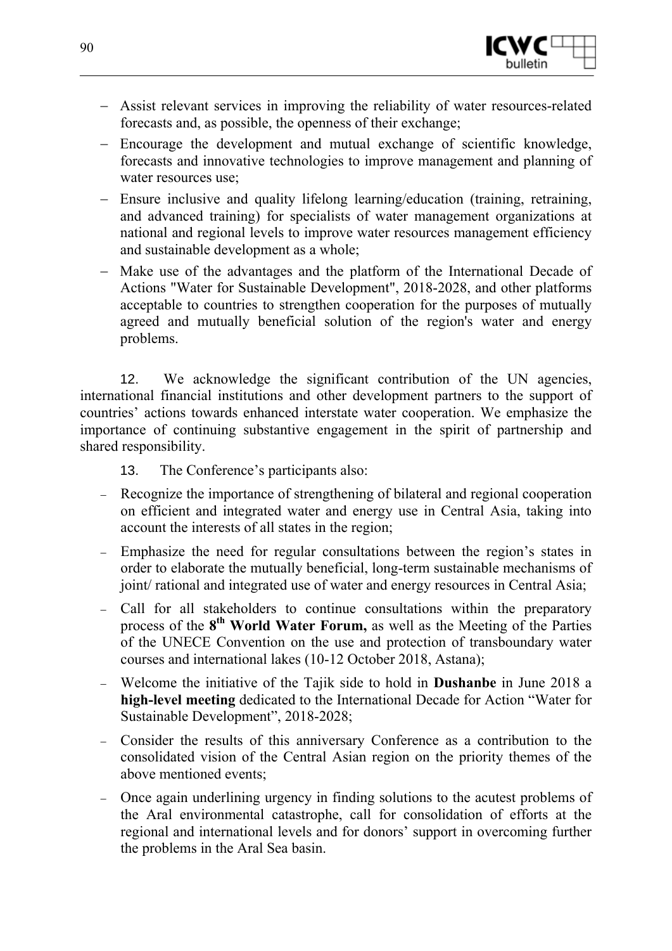

- − Assist relevant services in improving the reliability of water resources-related forecasts and, as possible, the openness of their exchange;
- − Encourage the development and mutual exchange of scientific knowledge, forecasts and innovative technologies to improve management and planning of water resources use;
- − Ensure inclusive and quality lifelong learning/education (training, retraining, and advanced training) for specialists of water management organizations at national and regional levels to improve water resources management efficiency and sustainable development as a whole;
- − Make use of the advantages and the platform of the International Decade of Actions "Water for Sustainable Development", 2018-2028, and other platforms acceptable to countries to strengthen cooperation for the purposes of mutually agreed and mutually beneficial solution of the region's water and energy problems.

12. We acknowledge the significant contribution of the UN agencies, international financial institutions and other development partners to the support of countries' actions towards enhanced interstate water cooperation. We emphasize the importance of continuing substantive engagement in the spirit of partnership and shared responsibility.

13. The Conference's participants also:

- − Recognize the importance of strengthening of bilateral and regional cooperation on efficient and integrated water and energy use in Central Asia, taking into account the interests of all states in the region;
- − Emphasize the need for regular consultations between the region's states in order to elaborate the mutually beneficial, long-term sustainable mechanisms of joint/ rational and integrated use of water and energy resources in Central Asia;
- − Call for all stakeholders to continue consultations within the preparatory process of the **8th World Water Forum,** as well as the Meeting of the Parties of the UNECE Convention on the use and protection of transboundary water courses and international lakes (10-12 October 2018, Astana);
- − Welcome the initiative of the Tajik side to hold in **Dushanbe** in June 2018 a **high-level meeting** dedicated to the International Decade for Action "Water for Sustainable Development", 2018-2028;
- − Consider the results of this anniversary Conference as a contribution to the consolidated vision of the Central Asian region on the priority themes of the above mentioned events;
- Once again underlining urgency in finding solutions to the acutest problems of the Aral environmental catastrophe, call for consolidation of efforts at the regional and international levels and for donors' support in overcoming further the problems in the Aral Sea basin.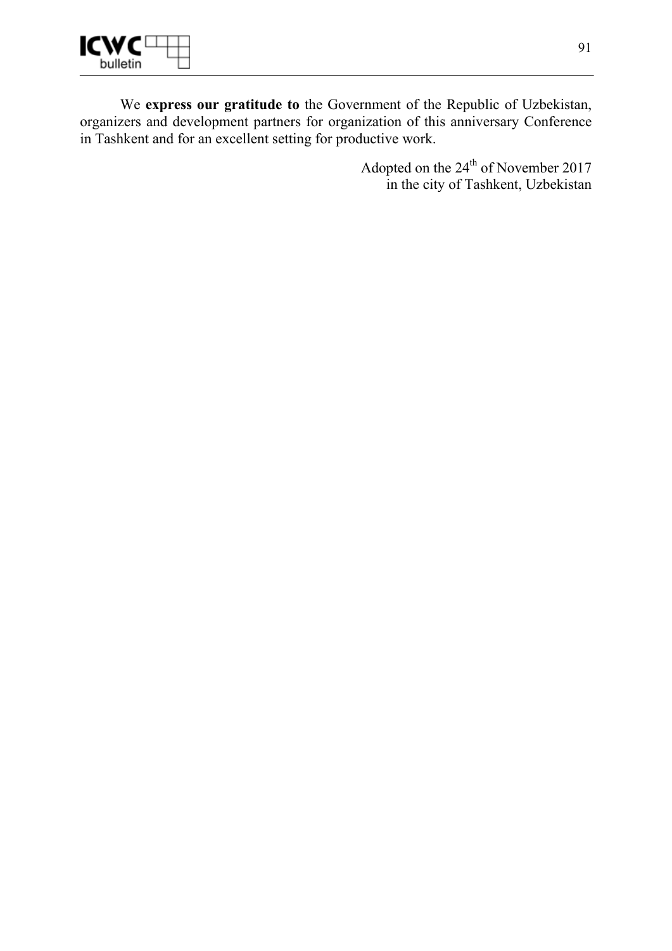

We **express our gratitude to** the Government of the Republic of Uzbekistan, organizers and development partners for organization of this anniversary Conference in Tashkent and for an excellent setting for productive work.

> Adopted on the 24<sup>th</sup> of November 2017 in the city of Tashkent, Uzbekistan